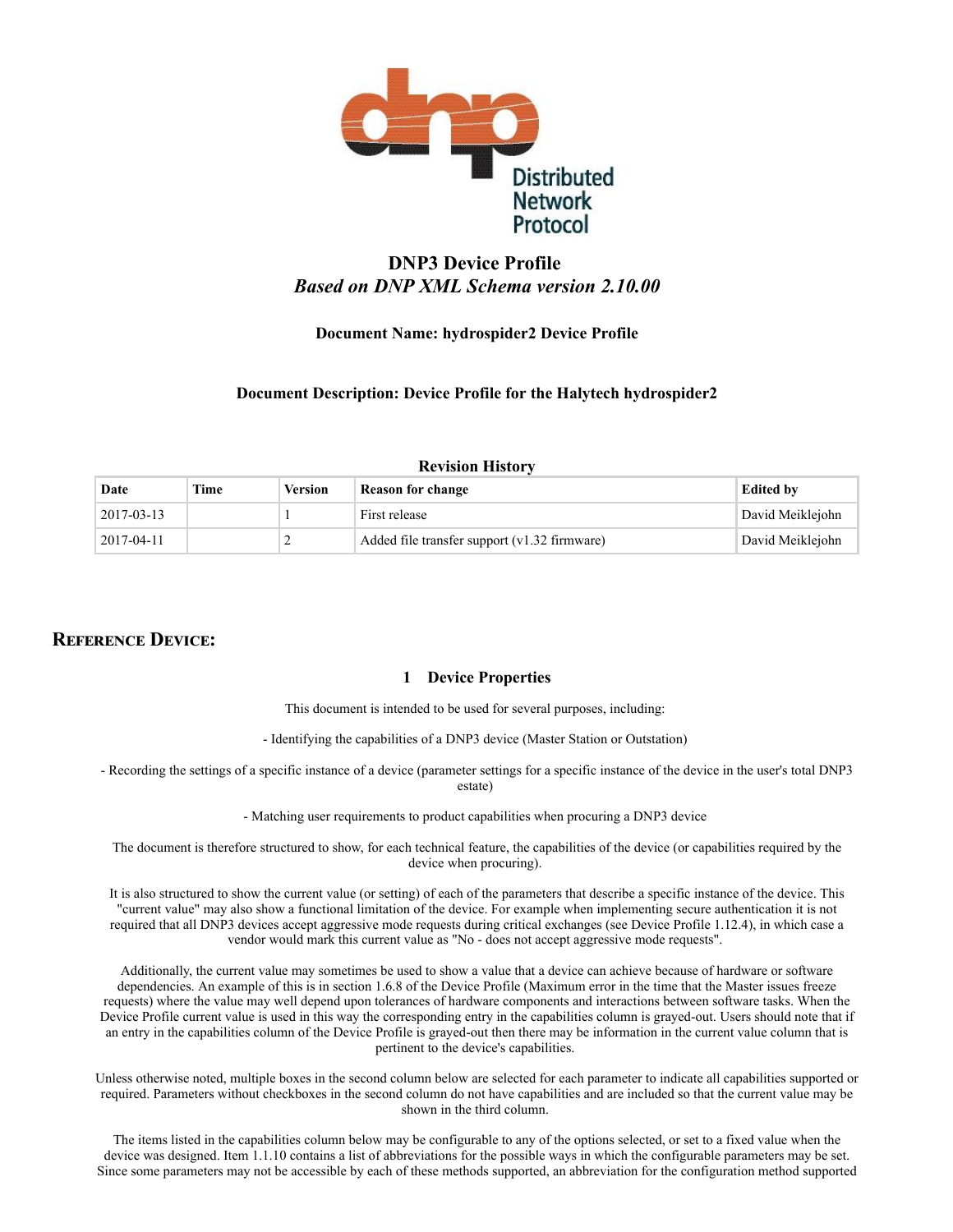

# DNP3 Device Profile *Based on DNP XML Schema version 2.10.00*

## Document Name: hydrospider2 Device Profile

### Document Description: Device Profile for the Halytech hydrospider2

# Revision History Date Time Version Reason for change the state of the Edited by 2017-03-13 1 First release David Meiklejohn 2017-04-11 2 Added file transfer support (v1.32 firmware) David Meiklejohn

## **REFERENCE DEVICE:**

### 1 Device Properties

This document is intended to be used for several purposes, including:

- Identifying the capabilities of a DNP3 device (Master Station or Outstation)

 Recording the settings of a specific instance of a device (parameter settings for a specific instance of the device in the user's total DNP3 estate)

Matching user requirements to product capabilities when procuring a DNP3 device

The document is therefore structured to show, for each technical feature, the capabilities of the device (or capabilities required by the device when procuring).

It is also structured to show the current value (or setting) of each of the parameters that describe a specific instance of the device. This "current value" may also show a functional limitation of the device. For example when implementing secure authentication it is not required that all DNP3 devices accept aggressive mode requests during critical exchanges (see Device Profile 1.12.4), in which case a vendor would mark this current value as "No - does not accept aggressive mode requests".

Additionally, the current value may sometimes be used to show a value that a device can achieve because of hardware or software dependencies. An example of this is in section 1.6.8 of the Device Profile (Maximum error in the time that the Master issues freeze requests) where the value may well depend upon tolerances of hardware components and interactions between software tasks. When the Device Profile current value is used in this way the corresponding entry in the capabilities column is grayed-out. Users should note that if an entry in the capabilities column of the Device Profile is grayed-out then there may be information in the current value column that is pertinent to the device's capabilities.

Unless otherwise noted, multiple boxes in the second column below are selected for each parameter to indicate all capabilities supported or required. Parameters without checkboxes in the second column do not have capabilities and are included so that the current value may be shown in the third column.

The items listed in the capabilities column below may be configurable to any of the options selected, or set to a fixed value when the device was designed. Item 1.1.10 contains a list of abbreviations for the possible ways in which the configurable parameters may be set. Since some parameters may not be accessible by each of these methods supported, an abbreviation for the configuration method supported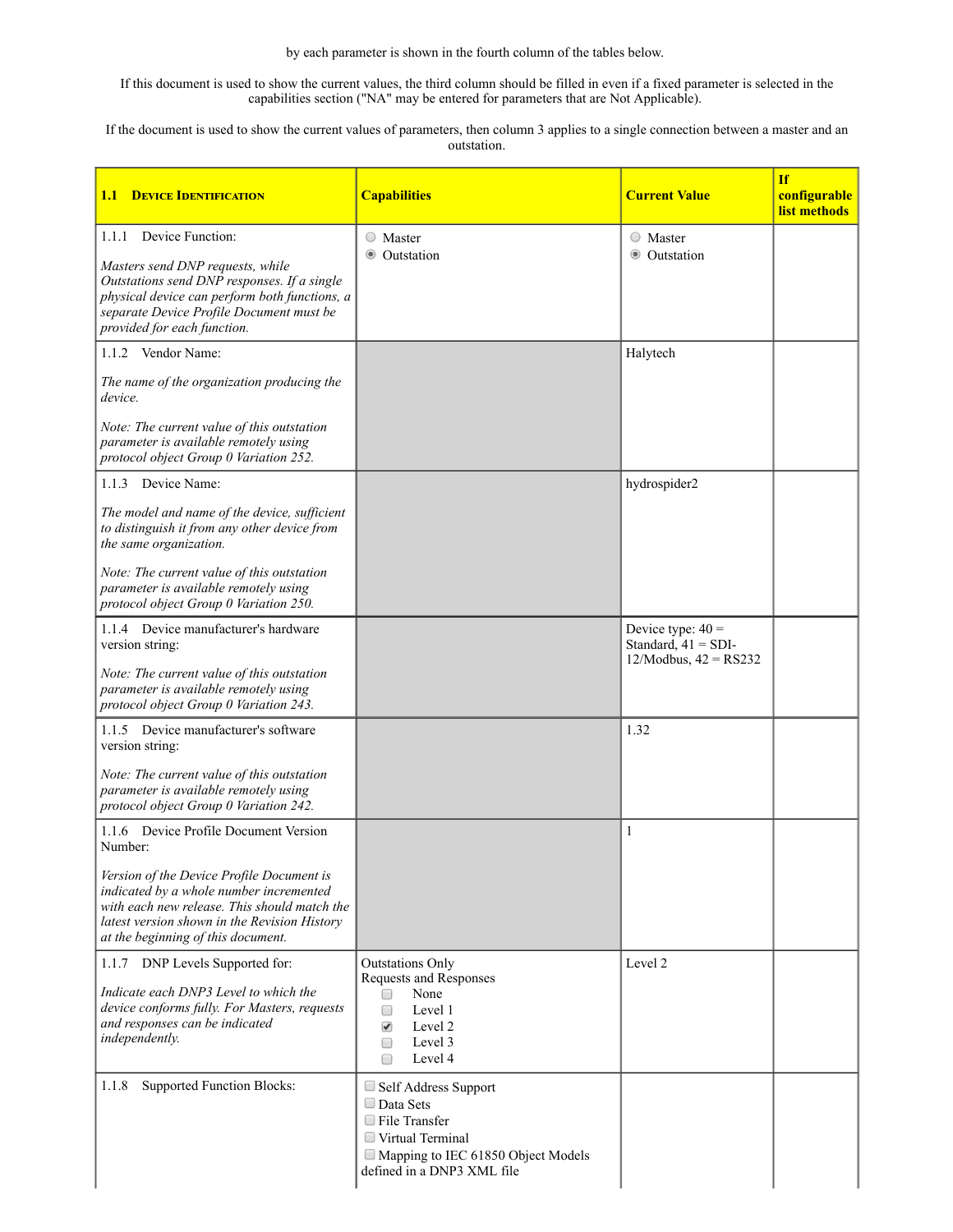by each parameter is shown in the fourth column of the tables below.

If this document is used to show the current values, the third column should be filled in even if a fixed parameter is selected in the capabilities section ("NA" may be entered for parameters that are Not Applicable).

If the document is used to show the current values of parameters, then column 3 applies to a single connection between a master and an outstation.

| <b>DEVICE IDENTIFICATION</b><br>1.1                                                                                                                                                                                                                                            | <b>Capabilities</b>                                                                                                                                             | <b>Current Value</b>                                                     | <b>If</b><br>configurable<br>list methods |
|--------------------------------------------------------------------------------------------------------------------------------------------------------------------------------------------------------------------------------------------------------------------------------|-----------------------------------------------------------------------------------------------------------------------------------------------------------------|--------------------------------------------------------------------------|-------------------------------------------|
| 1.1.1 Device Function:<br>Masters send DNP requests, while<br>Outstations send DNP responses. If a single<br>physical device can perform both functions, a<br>separate Device Profile Document must be<br>provided for each function.                                          | ○ Master<br><b>O</b> Outstation                                                                                                                                 | ○ Master<br><b>O</b> Outstation                                          |                                           |
| 1.1.2 Vendor Name:<br>The name of the organization producing the<br>device.<br>Note: The current value of this outstation<br>parameter is available remotely using<br>protocol object Group 0 Variation 252.                                                                   |                                                                                                                                                                 | Halytech                                                                 |                                           |
| 1.1.3 Device Name:<br>The model and name of the device, sufficient<br>to distinguish it from any other device from<br>the same organization.<br>Note: The current value of this outstation<br>parameter is available remotely using<br>protocol object Group 0 Variation 250.  |                                                                                                                                                                 | hydrospider2                                                             |                                           |
| 1.1.4 Device manufacturer's hardware<br>version string:<br>Note: The current value of this outstation<br>parameter is available remotely using<br>protocol object Group 0 Variation 243.                                                                                       |                                                                                                                                                                 | Device type: $40 =$<br>Standard, $41 = SDI$ -<br>12/Modbus, $42 = RS232$ |                                           |
| 1.1.5 Device manufacturer's software<br>version string:<br>Note: The current value of this outstation<br>parameter is available remotely using<br>protocol object Group 0 Variation 242.                                                                                       |                                                                                                                                                                 | 1.32                                                                     |                                           |
| 1.1.6 Device Profile Document Version<br>Number:<br>Version of the Device Profile Document is<br>indicated by a whole number incremented<br>with each new release. This should match the<br>latest version shown in the Revision History<br>at the beginning of this document. |                                                                                                                                                                 | 1                                                                        |                                           |
| 1.1.7 DNP Levels Supported for:<br>Indicate each DNP3 Level to which the<br>device conforms fully. For Masters, requests<br>and responses can be indicated<br>independently.                                                                                                   | <b>Outstations Only</b><br>Requests and Responses<br>None<br>$\Box$<br>Level 1<br>□<br>Level 2<br>$\blacktriangledown$<br>Level 3<br>□<br>Level 4<br>$\Box$     | Level 2                                                                  |                                           |
| 1.1.8<br><b>Supported Function Blocks:</b>                                                                                                                                                                                                                                     | $\Box$ Self Address Support<br>$\Box$ Data Sets<br>$\Box$ File Transfer<br>Virtual Terminal<br>Mapping to IEC 61850 Object Models<br>defined in a DNP3 XML file |                                                                          |                                           |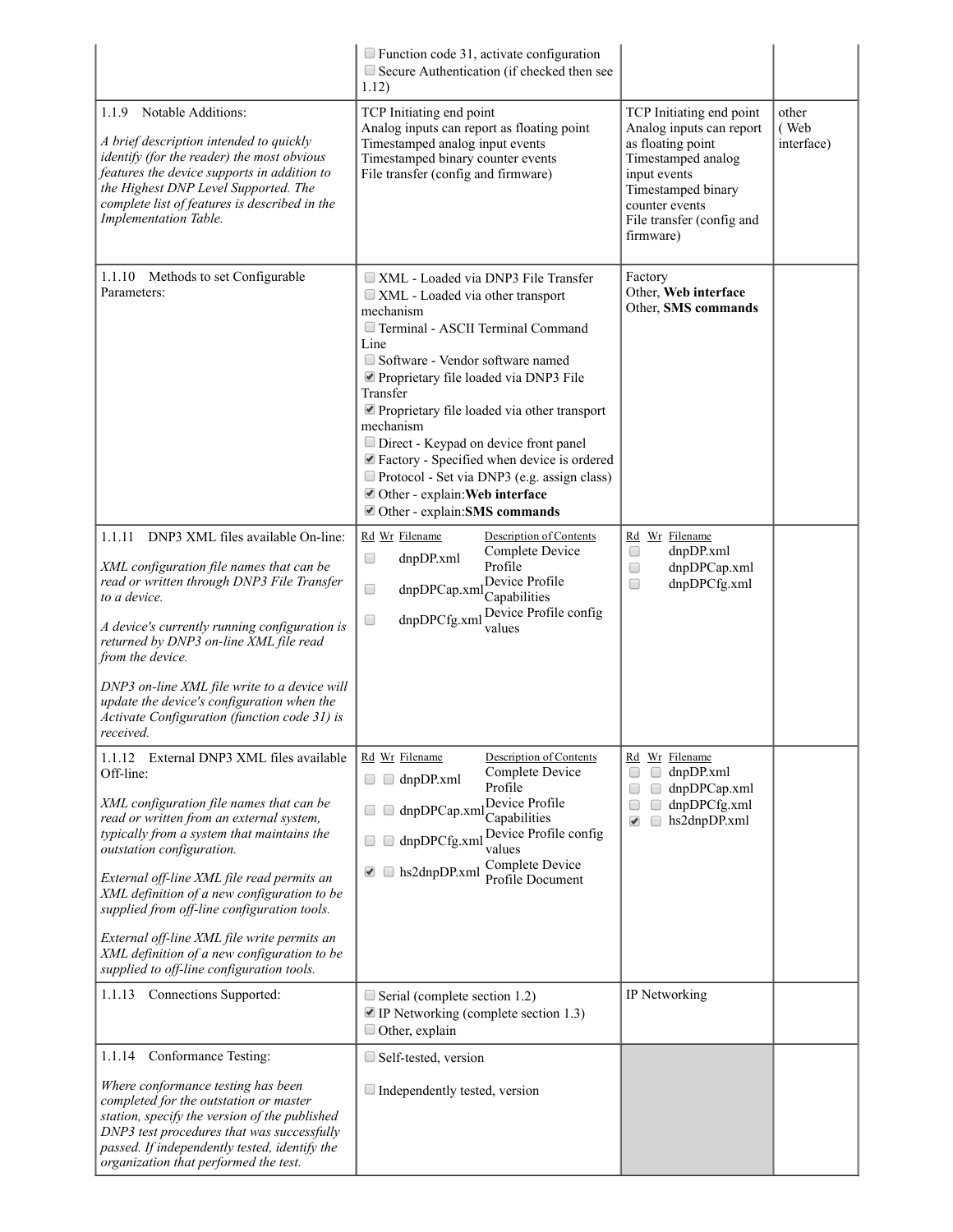|                                                                                                                                                                                                                                                                                                                                                                                                                                                                                                                 | $\Box$ Function code 31, activate configuration<br>Secure Authentication (if checked then see<br>1.12)                                                                                                                                                                                                                                                                                                                                                                                                   |                                                                                                                                                                                                   |                             |
|-----------------------------------------------------------------------------------------------------------------------------------------------------------------------------------------------------------------------------------------------------------------------------------------------------------------------------------------------------------------------------------------------------------------------------------------------------------------------------------------------------------------|----------------------------------------------------------------------------------------------------------------------------------------------------------------------------------------------------------------------------------------------------------------------------------------------------------------------------------------------------------------------------------------------------------------------------------------------------------------------------------------------------------|---------------------------------------------------------------------------------------------------------------------------------------------------------------------------------------------------|-----------------------------|
| 1.1.9 Notable Additions:<br>A brief description intended to quickly<br>identify (for the reader) the most obvious<br>features the device supports in addition to<br>the Highest DNP Level Supported. The<br>complete list of features is described in the<br>Implementation Table.                                                                                                                                                                                                                              | TCP Initiating end point<br>Analog inputs can report as floating point<br>Timestamped analog input events<br>Timestamped binary counter events<br>File transfer (config and firmware)                                                                                                                                                                                                                                                                                                                    | TCP Initiating end point<br>Analog inputs can report<br>as floating point<br>Timestamped analog<br>input events<br>Timestamped binary<br>counter events<br>File transfer (config and<br>firmware) | other<br>(Web<br>interface) |
| 1.1.10 Methods to set Configurable<br>Parameters:                                                                                                                                                                                                                                                                                                                                                                                                                                                               | XML - Loaded via DNP3 File Transfer<br>$\Box$ XML - Loaded via other transport<br>mechanism<br>Terminal - ASCII Terminal Command<br>Line<br>Software - Vendor software named<br>Proprietary file loaded via DNP3 File<br>Transfer<br>Proprietary file loaded via other transport<br>mechanism<br>Direct - Keypad on device front panel<br>■ Factory - Specified when device is ordered<br>Protocol - Set via DNP3 (e.g. assign class)<br>Other - explain: Web interface<br>Other - explain: SMS commands | Factory<br>Other, Web interface<br>Other, SMS commands                                                                                                                                            |                             |
| 1.1.11 DNP3 XML files available On-line:<br>XML configuration file names that can be<br>read or written through DNP3 File Transfer<br>to a device.<br>A device's currently running configuration is<br>returned by DNP3 on-line XML file read<br>from the device.<br>DNP3 on-line XML file write to a device will<br>update the device's configuration when the<br>Activate Configuration (function code 31) is<br>received.                                                                                    | Rd Wr Filename<br>Description of Contents<br>Complete Device<br>$\Box$<br>dnpDP.xml<br>Profile<br>Device Profile<br>dnpDPCap.xml<br>$\Box$<br>Capabilities<br>Device Profile config<br>dnpDPCfg.xml<br>$\Box$<br>values                                                                                                                                                                                                                                                                                  | Rd Wr Filename<br>dnpDP.xml<br>$\Box$<br>dnpDPCap.xml<br>$\Box$<br>dnpDPCfg.xml<br>$\Box$                                                                                                         |                             |
| 1.1.12 External DNP3 XML files available<br>Off-line:<br>XML configuration file names that can be<br>read or written from an external system,<br>typically from a system that maintains the<br>outstation configuration.<br>External off-line XML file read permits an<br>XML definition of a new configuration to be<br>supplied from off-line configuration tools.<br>External off-line XML file write permits an<br>XML definition of a new configuration to be<br>supplied to off-line configuration tools. | Rd Wr Filename<br>Description of Contents<br>Complete Device<br>$\Box$ dnpDP.xml<br>Profile<br>newice Profile<br>Capabilities<br>Device Profile config<br>dnpDPCfg.xml<br>$\Box$<br>values<br>Complete Device<br>$\Box$ hs2dnpDP.xml<br>$\blacktriangleright$<br>Profile Document                                                                                                                                                                                                                        | Rd Wr Filename<br>dnpDP.xml<br>$\Box$<br>dnpDPCap.xml<br>$\Box$<br>$\Box$<br>dnpDPCfg.xml<br>O<br>$\Box$<br>hs2dnpDP.xml<br>$\blacktriangledown$<br>$\Box$                                        |                             |
| 1.1.13 Connections Supported:                                                                                                                                                                                                                                                                                                                                                                                                                                                                                   | $\Box$ Serial (complete section 1.2)<br>$\blacksquare$ IP Networking (complete section 1.3)<br>$\Box$ Other, explain                                                                                                                                                                                                                                                                                                                                                                                     | IP Networking                                                                                                                                                                                     |                             |
| Conformance Testing:<br>1.1.14                                                                                                                                                                                                                                                                                                                                                                                                                                                                                  | Self-tested, version                                                                                                                                                                                                                                                                                                                                                                                                                                                                                     |                                                                                                                                                                                                   |                             |
| Where conformance testing has been<br>completed for the outstation or master<br>station, specify the version of the published<br>DNP3 test procedures that was successfully<br>passed. If independently tested, identify the<br>organization that performed the test.                                                                                                                                                                                                                                           | $\Box$ Independently tested, version                                                                                                                                                                                                                                                                                                                                                                                                                                                                     |                                                                                                                                                                                                   |                             |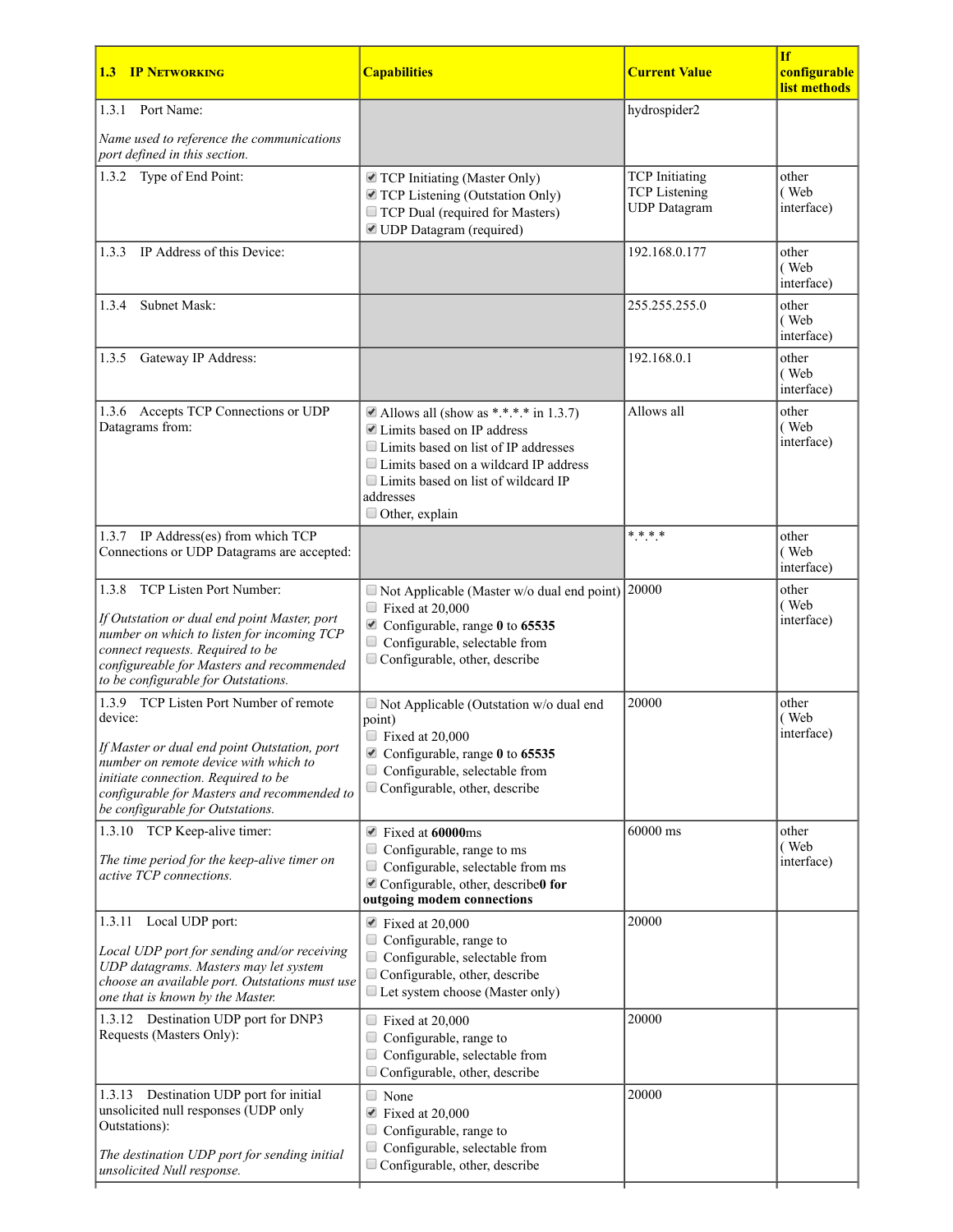| <b>IP NETWORKING</b><br>1.3                                                                                                                                                                                                                                          | <b>Capabilities</b>                                                                                                                                                                                                                       | <b>Current Value</b>                                                 | <b>If</b><br>configurable<br>list methods |
|----------------------------------------------------------------------------------------------------------------------------------------------------------------------------------------------------------------------------------------------------------------------|-------------------------------------------------------------------------------------------------------------------------------------------------------------------------------------------------------------------------------------------|----------------------------------------------------------------------|-------------------------------------------|
| 1.3.1 Port Name:                                                                                                                                                                                                                                                     |                                                                                                                                                                                                                                           | hydrospider2                                                         |                                           |
| Name used to reference the communications<br>port defined in this section.                                                                                                                                                                                           |                                                                                                                                                                                                                                           |                                                                      |                                           |
| 1.3.2 Type of End Point:                                                                                                                                                                                                                                             | TCP Initiating (Master Only)<br>TCP Listening (Outstation Only)<br>TCP Dual (required for Masters)<br>■ UDP Datagram (required)                                                                                                           | <b>TCP</b> Initiating<br><b>TCP</b> Listening<br><b>UDP</b> Datagram | other<br>(Web<br>interface)               |
| IP Address of this Device:<br>1.3.3                                                                                                                                                                                                                                  |                                                                                                                                                                                                                                           | 192.168.0.177                                                        | other<br>(Web<br>interface)               |
| <b>Subnet Mask:</b><br>1.3.4                                                                                                                                                                                                                                         |                                                                                                                                                                                                                                           | 255.255.255.0                                                        | other<br>(Web<br>interface)               |
| Gateway IP Address:<br>1.3.5                                                                                                                                                                                                                                         |                                                                                                                                                                                                                                           | 192.168.0.1                                                          | other<br>(Web<br>interface)               |
| 1.3.6 Accepts TCP Connections or UDP<br>Datagrams from:                                                                                                                                                                                                              | Allows all (show as *.*.*.* in 1.3.7)<br>■ Limits based on IP address<br>□ Limits based on list of IP addresses<br>□ Limits based on a wildcard IP address<br>□ Limits based on list of wildcard IP<br>addresses<br>$\Box$ Other, explain | Allows all                                                           | other<br>(Web<br>interface)               |
| 1.3.7 IP Address(es) from which TCP<br>Connections or UDP Datagrams are accepted:                                                                                                                                                                                    |                                                                                                                                                                                                                                           | $* * * *$                                                            | other<br>(Web<br>interface)               |
| TCP Listen Port Number:<br>1.3.8<br>If Outstation or dual end point Master, port<br>number on which to listen for incoming TCP<br>connect requests. Required to be<br>configureable for Masters and recommended<br>to be configurable for Outstations.               | $\Box$ Not Applicable (Master w/o dual end point)<br>$\Box$ Fixed at 20,000<br>■ Configurable, range 0 to 65535<br>$\Box$ Configurable, selectable from<br>$\Box$ Configurable, other, describe                                           | 20000                                                                | other<br>(Web<br>interface)               |
| 1.3.9 TCP Listen Port Number of remote<br>device:<br>If Master or dual end point Outstation, port<br>number on remote device with which to<br>initiate connection. Required to be<br>configurable for Masters and recommended to<br>be configurable for Outstations. | $\Box$ Not Applicable (Outstation w/o dual end<br>point)<br>$\Box$ Fixed at 20,000<br>■ Configurable, range 0 to 65535<br>Configurable, selectable from<br>$\Box$ Configurable, other, describe                                           | 20000                                                                | other<br>(Web<br>interface)               |
| 1.3.10 TCP Keep-alive timer:<br>The time period for the keep-alive timer on<br>active TCP connections.                                                                                                                                                               | ■ Fixed at 60000ms<br>$\Box$ Configurable, range to ms<br>$\Box$ Configurable, selectable from ms<br>■ Configurable, other, describe0 for<br>outgoing modem connections                                                                   | 60000 ms                                                             | other<br>(Web<br>interface)               |
| 1.3.11<br>Local UDP port:<br>Local UDP port for sending and/or receiving<br>UDP datagrams. Masters may let system<br>choose an available port. Outstations must use<br>one that is known by the Master.                                                              | $\blacktriangleright$ Fixed at 20,000<br>$\Box$<br>Configurable, range to<br>$\Box$<br>Configurable, selectable from<br>Configurable, other, describe<br>Let system choose (Master only)                                                  | 20000                                                                |                                           |
| 1.3.12 Destination UDP port for DNP3<br>Requests (Masters Only):                                                                                                                                                                                                     | $\Box$ Fixed at 20,000<br>Configurable, range to<br>Configurable, selectable from<br>$\Box$<br>Configurable, other, describe                                                                                                              | 20000                                                                |                                           |
| 1.3.13 Destination UDP port for initial<br>unsolicited null responses (UDP only<br>Outstations):<br>The destination UDP port for sending initial<br>unsolicited Null response.                                                                                       | $\Box$ None<br>$\blacksquare$ Fixed at 20,000<br>Configurable, range to<br>$\Box$<br>Configurable, selectable from<br>$\Box$<br>$\Box$ Configurable, other, describe                                                                      | 20000                                                                |                                           |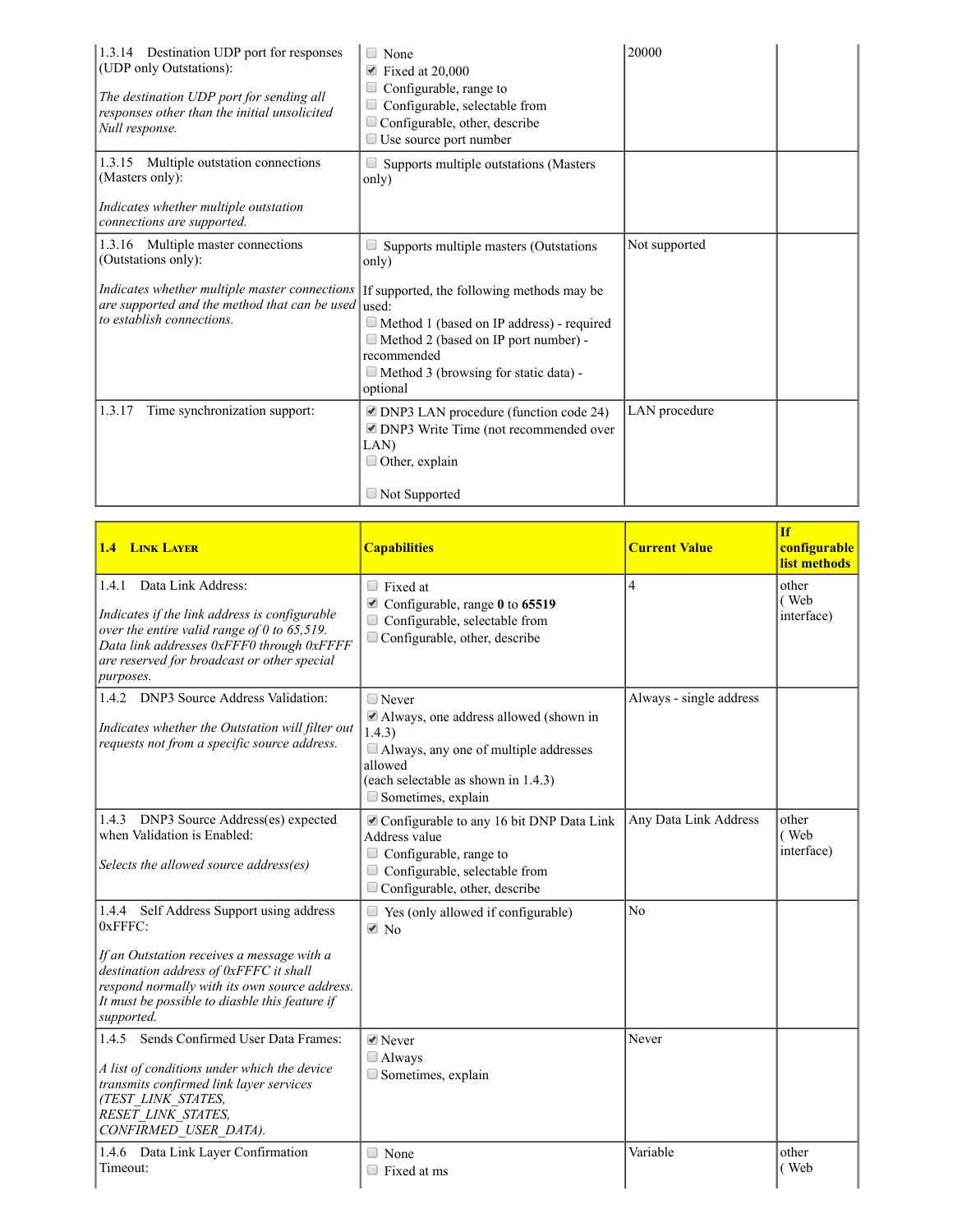| 1.3.14 Destination UDP port for responses<br>(UDP only Outstations):<br>The destination UDP port for sending all<br>responses other than the initial unsolicited<br>Null response. | $\Box$ None<br>$\blacktriangleright$ Fixed at 20,000<br>Configurable, range to<br>Configurable, selectable from<br>Configurable, other, describe<br>$\Box$ Use source port number                                 | 20000         |
|------------------------------------------------------------------------------------------------------------------------------------------------------------------------------------|-------------------------------------------------------------------------------------------------------------------------------------------------------------------------------------------------------------------|---------------|
| 1.3.15 Multiple outstation connections<br>(Masters only):<br>Indicates whether multiple outstation                                                                                 | $\Box$ Supports multiple outstations (Masters<br>only)                                                                                                                                                            |               |
| connections are supported.                                                                                                                                                         |                                                                                                                                                                                                                   |               |
| 1.3.16 Multiple master connections<br>(Outstations only):                                                                                                                          | Supports multiple masters (Outstations<br>only)                                                                                                                                                                   | Not supported |
| Indicates whether multiple master connections<br>are supported and the method that can be used used:<br>to establish connections.                                                  | If supported, the following methods may be<br>$\Box$ Method 1 (based on IP address) - required<br>$\Box$ Method 2 (based on IP port number) -<br>recommended<br>Method 3 (browsing for static data) -<br>optional |               |
| Time synchronization support:<br>1.3.17                                                                                                                                            | DNP3 LAN procedure (function code 24)<br>■ DNP3 Write Time (not recommended over<br>LAN)<br>$\Box$ Other, explain<br>$\Box$ Not Supported                                                                         | LAN procedure |

| <b>1.4 LINK LAYER</b>                                                                                                                                                                                                                                           | <b>Capabilities</b>                                                                                                                                                              | <b>Current Value</b>    | If<br>configurable<br>list methods |
|-----------------------------------------------------------------------------------------------------------------------------------------------------------------------------------------------------------------------------------------------------------------|----------------------------------------------------------------------------------------------------------------------------------------------------------------------------------|-------------------------|------------------------------------|
| 1.4.1<br>Data Link Address:<br>Indicates if the link address is configurable<br>over the entire valid range of $0$ to $65,519$ .<br>Data link addresses 0xFFF0 through 0xFFFF<br>are reserved for broadcast or other special<br>purposes.                       | $\Box$ Fixed at<br>■ Configurable, range 0 to 65519<br>$\Box$<br>Configurable, selectable from<br>$\Box$ Configurable, other, describe                                           | 4                       | other<br>(Web<br>interface)        |
| 1.4.2 DNP3 Source Address Validation:<br>Indicates whether the Outstation will filter out<br>requests not from a specific source address.                                                                                                                       | $\Box$ Never<br>Always, one address allowed (shown in<br>1.4.3)<br>Always, any one of multiple addresses<br>allowed<br>(each selectable as shown in 1.4.3)<br>Sometimes, explain | Always - single address |                                    |
| 1.4.3 DNP3 Source Address(es) expected<br>when Validation is Enabled:<br>Selects the allowed source address(es)                                                                                                                                                 | Configurable to any 16 bit DNP Data Link<br>Address value<br>$\Box$ Configurable, range to<br>Configurable, selectable from<br>$\Box$<br>Configurable, other, describe           | Any Data Link Address   | other<br>(Web<br>interface)        |
| 1.4.4 Self Address Support using address<br>$0x$ FFFC:<br>If an Outstation receives a message with a<br>destination address of 0xFFFC it shall<br>respond normally with its own source address.<br>It must be possible to diasble this feature if<br>supported. | $\Box$ Yes (only allowed if configurable)<br>$\blacksquare$ No                                                                                                                   | No                      |                                    |
| Sends Confirmed User Data Frames:<br>1.4.5<br>A list of conditions under which the device<br>transmits confirmed link layer services<br>(TEST LINK STATES,<br>RESET LINK STATES,<br>CONFIRMED USER DATA).                                                       | $\blacksquare$ Never<br>$\Box$ Always<br>Sometimes, explain                                                                                                                      | Never                   |                                    |
| 1.4.6 Data Link Layer Confirmation<br>Timeout:                                                                                                                                                                                                                  | None<br>$\Box$<br>$\Box$ Fixed at ms                                                                                                                                             | Variable                | other<br>(Web                      |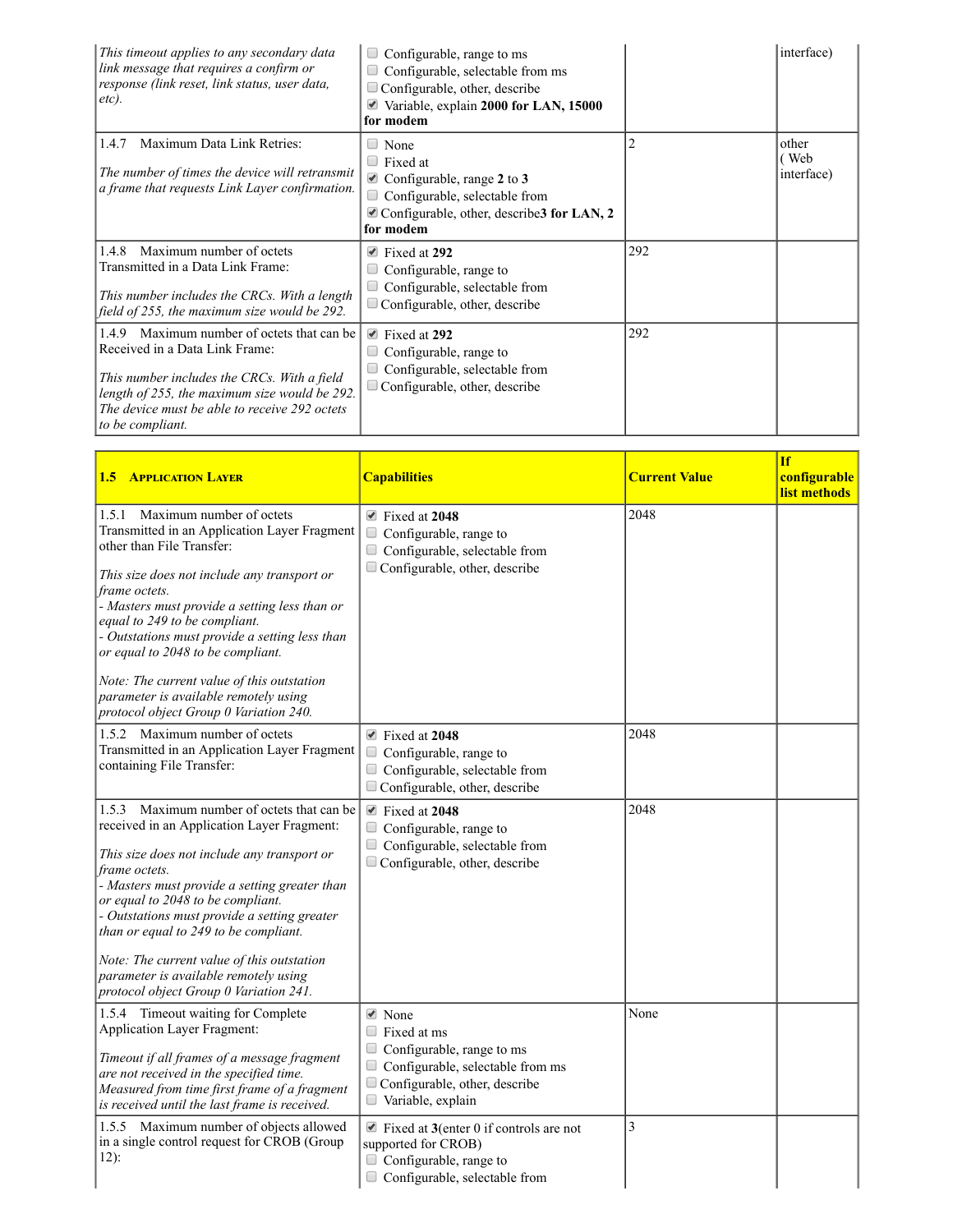| This timeout applies to any secondary data<br>link message that requires a confirm or<br>response (link reset, link status, user data,<br>etc).                                                                                                       | Configurable, range to ms<br>Configurable, selectable from ms<br>Configurable, other, describe<br>Variable, explain 2000 for LAN, 15000<br>for modem                         |     | interface)                   |
|-------------------------------------------------------------------------------------------------------------------------------------------------------------------------------------------------------------------------------------------------------|------------------------------------------------------------------------------------------------------------------------------------------------------------------------------|-----|------------------------------|
| Maximum Data Link Retries:<br>1.4.7<br>The number of times the device will retransmit<br>a frame that requests Link Layer confirmation.                                                                                                               | None<br>$\Box$ Fixed at<br>$\blacksquare$ Configurable, range 2 to 3<br>Configurable, selectable from<br>$\triangle$ Configurable, other, describe 3 for LAN, 2<br>for modem |     | other<br>(Web)<br>interface) |
| Maximum number of octets<br>1.4.8<br>Transmitted in a Data Link Frame:<br>This number includes the CRCs. With a length<br>field of 255, the maximum size would be 292.                                                                                | Fixed at 292<br>$\blacktriangledown$<br>Configurable, range to<br>Configurable, selectable from<br>$\Box$ Configurable, other, describe                                      | 292 |                              |
| Maximum number of octets that can be.<br>1.4.9<br>Received in a Data Link Frame:<br>This number includes the CRCs. With a field<br>length of 255, the maximum size would be 292.<br>The device must be able to receive 292 octets<br>to be compliant. | $\blacktriangleright$ Fixed at 292<br>Configurable, range to<br>Configurable, selectable from<br>$\Box$ Configurable, other, describe                                        | 292 |                              |

| <b>1.5 APPLICATION LAYER</b>                                                                                                                                                                                                                                                                                                                                                                                                                                                          | <b>Capabilities</b>                                                                                                                                                                      | <b>Current Value</b> | <b>If</b><br>configurable<br>list methods |
|---------------------------------------------------------------------------------------------------------------------------------------------------------------------------------------------------------------------------------------------------------------------------------------------------------------------------------------------------------------------------------------------------------------------------------------------------------------------------------------|------------------------------------------------------------------------------------------------------------------------------------------------------------------------------------------|----------------------|-------------------------------------------|
| 1.5.1 Maximum number of octets<br>Transmitted in an Application Layer Fragment<br>other than File Transfer:<br>This size does not include any transport or<br>frame octets.<br>- Masters must provide a setting less than or<br>equal to 249 to be compliant.<br>- Outstations must provide a setting less than<br>or equal to 2048 to be compliant.<br>Note: The current value of this outstation<br>parameter is available remotely using<br>protocol object Group 0 Variation 240. | $\blacksquare$ Fixed at 2048<br>Configurable, range to<br>$\Box$<br>Configurable, selectable from<br>Configurable, other, describe                                                       | 2048                 |                                           |
| 1.5.2 Maximum number of octets<br>Transmitted in an Application Layer Fragment<br>containing File Transfer:                                                                                                                                                                                                                                                                                                                                                                           | $\blacksquare$ Fixed at 2048<br>0<br>Configurable, range to<br>Configurable, selectable from<br>Configurable, other, describe                                                            | 2048                 |                                           |
| 1.5.3 Maximum number of octets that can be<br>received in an Application Layer Fragment:<br>This size does not include any transport or<br>frame octets.<br>- Masters must provide a setting greater than<br>or equal to 2048 to be compliant.<br>- Outstations must provide a setting greater<br>than or equal to 249 to be compliant.<br>Note: The current value of this outstation<br>parameter is available remotely using<br>protocol object Group 0 Variation 241.              | $\blacksquare$ Fixed at 2048<br>$\Box$<br>Configurable, range to<br>Configurable, selectable from<br>Configurable, other, describe                                                       | 2048                 |                                           |
| 1.5.4 Timeout waiting for Complete<br><b>Application Layer Fragment:</b><br>Timeout if all frames of a message fragment<br>are not received in the specified time.<br>Measured from time first frame of a fragment<br>is received until the last frame is received.                                                                                                                                                                                                                   | $\blacktriangleright$ None<br>$\Box$ Fixed at ms<br>$\Box$ Configurable, range to ms<br>Configurable, selectable from ms<br>$\Box$<br>Configurable, other, describe<br>Variable, explain | None                 |                                           |
| 1.5.5 Maximum number of objects allowed<br>in a single control request for CROB (Group<br>$12)$ :                                                                                                                                                                                                                                                                                                                                                                                     | $\blacksquare$ Fixed at 3(enter 0 if controls are not<br>supported for CROB)<br>Configurable, range to<br>Configurable, selectable from                                                  | 3                    |                                           |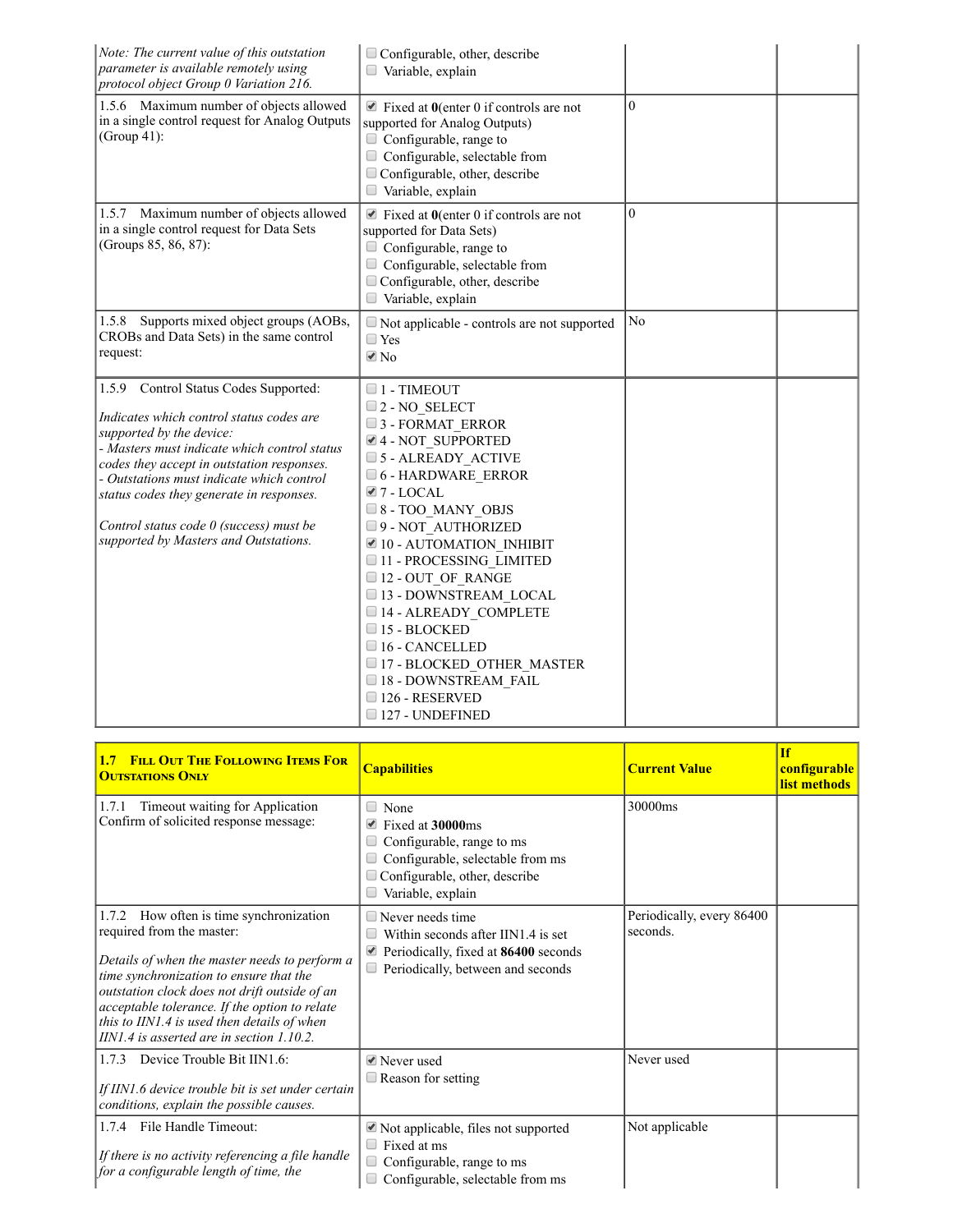| Note: The current value of this outstation<br>parameter is available remotely using<br>protocol object Group 0 Variation 216.                                                                                                                                                                                                                                                            | Configurable, other, describe<br>Variable, explain                                                                                                                                                                                                                                                                                                                                                                                                                                                                                                                      |                |  |
|------------------------------------------------------------------------------------------------------------------------------------------------------------------------------------------------------------------------------------------------------------------------------------------------------------------------------------------------------------------------------------------|-------------------------------------------------------------------------------------------------------------------------------------------------------------------------------------------------------------------------------------------------------------------------------------------------------------------------------------------------------------------------------------------------------------------------------------------------------------------------------------------------------------------------------------------------------------------------|----------------|--|
| 1.5.6 Maximum number of objects allowed<br>in a single control request for Analog Outputs<br>(Group 41):                                                                                                                                                                                                                                                                                 | $\blacksquare$ Fixed at 0(enter 0 if controls are not<br>supported for Analog Outputs)<br>$\Box$ Configurable, range to<br>Configurable, selectable from<br>Configurable, other, describe<br>$\Box$ Variable, explain                                                                                                                                                                                                                                                                                                                                                   | $\theta$       |  |
| 1.5.7 Maximum number of objects allowed<br>in a single control request for Data Sets<br>(Groups 85, 86, 87):                                                                                                                                                                                                                                                                             | $\blacksquare$ Fixed at 0(enter 0 if controls are not<br>supported for Data Sets)<br>Configurable, range to<br>Configurable, selectable from<br>$\Box$ Configurable, other, describe<br>Variable, explain                                                                                                                                                                                                                                                                                                                                                               | $\theta$       |  |
| 1.5.8 Supports mixed object groups (AOBs,<br>CROBs and Data Sets) in the same control<br>request:                                                                                                                                                                                                                                                                                        | $\Box$ Not applicable - controls are not supported<br>$\Box$ Yes<br>$\blacksquare$ No                                                                                                                                                                                                                                                                                                                                                                                                                                                                                   | N <sub>o</sub> |  |
| 1.5.9 Control Status Codes Supported:<br>Indicates which control status codes are<br>supported by the device:<br>- Masters must indicate which control status<br>codes they accept in outstation responses.<br>- Outstations must indicate which control<br>status codes they generate in responses.<br>Control status code 0 (success) must be<br>supported by Masters and Outstations. | $\Box$ 1 - TIMEOUT<br>$\square$ 2 - NO SELECT<br>$\Box$ 3 - FORMAT ERROR<br>4 - NOT SUPPORTED<br>$\Box$ 5 - ALREADY ACTIVE<br>$\Box$ 6 - HARDWARE ERROR<br>$\blacksquare$ 7 - LOCAL<br>$\Box$ 8 - TOO MANY OBJS<br>9 - NOT AUTHORIZED<br>$\blacksquare$ 10 - AUTOMATION INHIBIT<br>11 - PROCESSING LIMITED<br>$\Box$ 12 - OUT OF RANGE<br>□ 13 - DOWNSTREAM LOCAL<br>$\Box$ 14 - ALREADY COMPLETE<br>$\Box$ 15 - BLOCKED<br>$\Box$ 16 - CANCELLED<br>$\Box$ 17 - BLOCKED OTHER MASTER<br>$\Box$ 18 - DOWNSTREAM FAIL<br>$\Box$ 126 - RESERVED<br>$\Box$ 127 - UNDEFINED |                |  |

| 1.7 FILL OUT THE FOLLOWING ITEMS FOR<br><b>OUTSTATIONS ONLY</b>                                                                                                                                                                                                                                                                                                     | <b>Capabilities</b>                                                                                                                                    | <b>Current Value</b>                  | <b>If</b><br><b>configurable</b><br>list methods |
|---------------------------------------------------------------------------------------------------------------------------------------------------------------------------------------------------------------------------------------------------------------------------------------------------------------------------------------------------------------------|--------------------------------------------------------------------------------------------------------------------------------------------------------|---------------------------------------|--------------------------------------------------|
| 1.7.1<br>Timeout waiting for Application<br>Confirm of solicited response message:                                                                                                                                                                                                                                                                                  | $\Box$ None<br>Fixed at 30000ms<br>Configurable, range to ms<br>Configurable, selectable from ms<br>Configurable, other, describe<br>Variable, explain | 30000ms                               |                                                  |
| 1.7.2 How often is time synchronization<br>required from the master:<br>Details of when the master needs to perform a<br>time synchronization to ensure that the<br>outstation clock does not drift outside of an<br>acceptable tolerance. If the option to relate<br>this to IIN1.4 is used then details of when<br>$IINI.4$ is asserted are in section $1.10.2$ . | $\Box$ Never needs time<br>Within seconds after IIN1.4 is set<br>Periodically, fixed at 86400 seconds<br>Periodically, between and seconds             | Periodically, every 86400<br>seconds. |                                                  |
| Device Trouble Bit IIN1.6:<br>1.7.3<br>If IIN1.6 device trouble bit is set under certain<br>conditions, explain the possible causes.                                                                                                                                                                                                                                | ■ Never used<br>$\Box$ Reason for setting                                                                                                              | Never used                            |                                                  |
| File Handle Timeout:<br>1.7.4<br>If there is no activity referencing a file handle<br>for a configurable length of time, the                                                                                                                                                                                                                                        | $\blacktriangleright$ Not applicable, files not supported<br>Fixed at ms<br>Configurable, range to ms<br>Configurable, selectable from ms              | Not applicable                        |                                                  |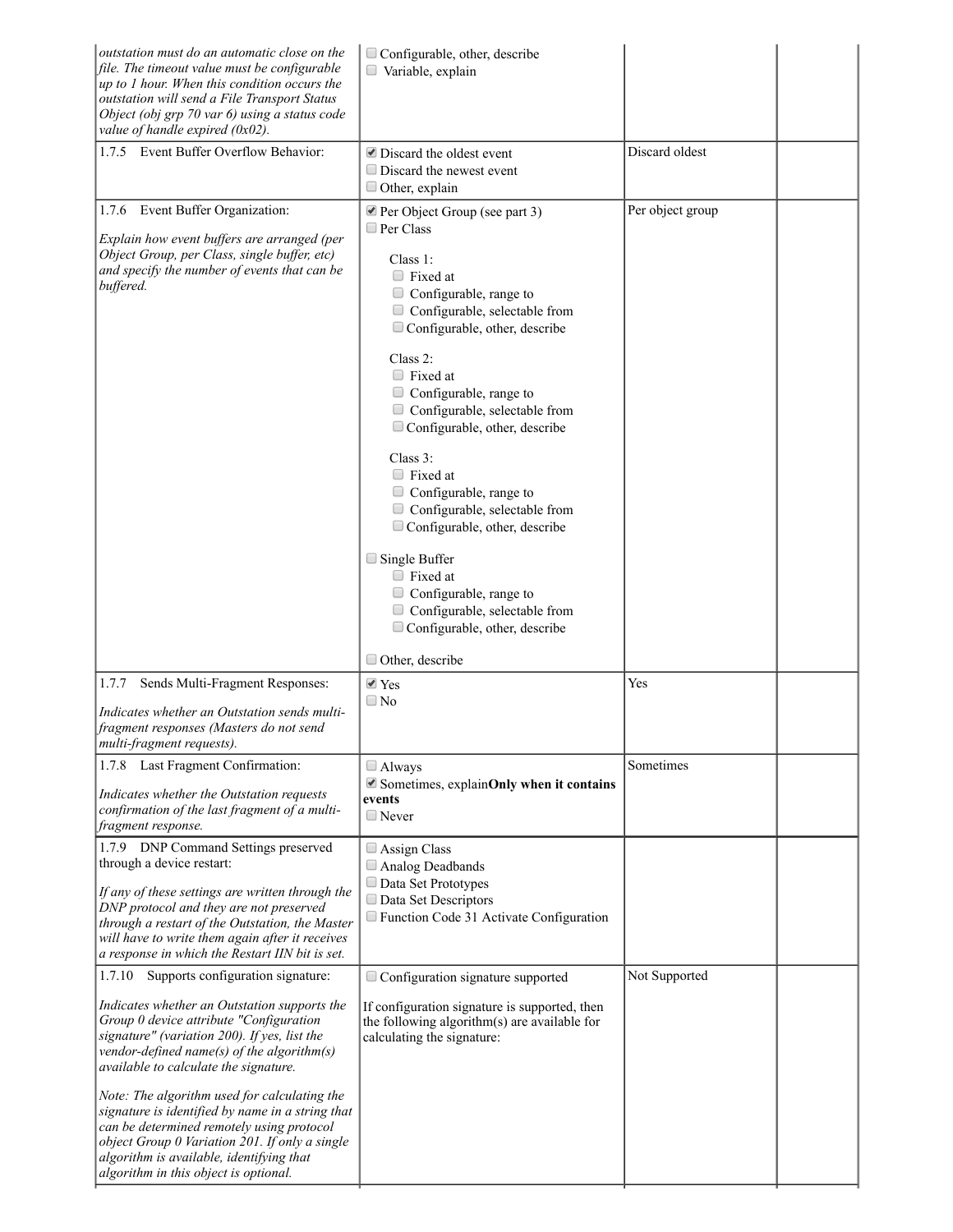| outstation must do an automatic close on the<br>file. The timeout value must be configurable<br>up to 1 hour. When this condition occurs the<br>outstation will send a File Transport Status<br>Object (obj grp 70 var 6) using a status code<br>value of handle expired $(0x02)$ .                                       | $\Box$ Configurable, other, describe<br>Variable, explain                                                                                                                                                                                                                                                                                                                                                                                                                                                                                                                                                                                                                          |                  |
|---------------------------------------------------------------------------------------------------------------------------------------------------------------------------------------------------------------------------------------------------------------------------------------------------------------------------|------------------------------------------------------------------------------------------------------------------------------------------------------------------------------------------------------------------------------------------------------------------------------------------------------------------------------------------------------------------------------------------------------------------------------------------------------------------------------------------------------------------------------------------------------------------------------------------------------------------------------------------------------------------------------------|------------------|
| 1.7.5 Event Buffer Overflow Behavior:                                                                                                                                                                                                                                                                                     | $\blacksquare$ Discard the oldest event<br>$\Box$ Discard the newest event<br>$\Box$ Other, explain                                                                                                                                                                                                                                                                                                                                                                                                                                                                                                                                                                                | Discard oldest   |
| Event Buffer Organization:<br>1.7.6<br>Explain how event buffers are arranged (per<br>Object Group, per Class, single buffer, etc)<br>and specify the number of events that can be<br>buffered.                                                                                                                           | Per Object Group (see part 3)<br>$\Box$ Per Class<br>Class 1:<br>$\Box$ Fixed at<br>Configurable, range to<br>$\Box$<br>$\Box$ Configurable, selectable from<br>Configurable, other, describe<br>Class $2$ :<br>$\Box$ Fixed at<br>Configurable, range to<br>$\Box$ Configurable, selectable from<br>$\Box$ Configurable, other, describe<br>Class $3$ :<br>$\Box$ Fixed at<br>$\Box$ Configurable, range to<br>$\Box$ Configurable, selectable from<br>$\Box$ Configurable, other, describe<br>$\Box$ Single Buffer<br>$\Box$ Fixed at<br>$\Box$ Configurable, range to<br>$\Box$ Configurable, selectable from<br>$\Box$ Configurable, other, describe<br>$\Box$ Other, describe | Per object group |
| 1.7.7<br>Sends Multi-Fragment Responses:<br>Indicates whether an Outstation sends multi-<br>fragment responses (Masters do not send<br>multi-fragment requests).                                                                                                                                                          | $\blacktriangleright$ Yes<br>$\Box$ No                                                                                                                                                                                                                                                                                                                                                                                                                                                                                                                                                                                                                                             | Yes              |
| 1.7.8 Last Fragment Confirmation:                                                                                                                                                                                                                                                                                         | $\Box$ Always                                                                                                                                                                                                                                                                                                                                                                                                                                                                                                                                                                                                                                                                      | Sometimes        |
| Indicates whether the Outstation requests<br>confirmation of the last fragment of a multi-<br>fragment response.                                                                                                                                                                                                          | Sometimes, explainOnly when it contains<br>events<br>$\Box$ Never                                                                                                                                                                                                                                                                                                                                                                                                                                                                                                                                                                                                                  |                  |
| 1.7.9 DNP Command Settings preserved<br>through a device restart:<br>If any of these settings are written through the<br>DNP protocol and they are not preserved<br>through a restart of the Outstation, the Master<br>will have to write them again after it receives<br>a response in which the Restart IIN bit is set. | Assign Class<br>Analog Deadbands<br>Data Set Prototypes<br>Data Set Descriptors<br>Function Code 31 Activate Configuration                                                                                                                                                                                                                                                                                                                                                                                                                                                                                                                                                         |                  |
| Supports configuration signature:<br>1.7.10                                                                                                                                                                                                                                                                               | Configuration signature supported                                                                                                                                                                                                                                                                                                                                                                                                                                                                                                                                                                                                                                                  | Not Supported    |
| Indicates whether an Outstation supports the<br>Group 0 device attribute "Configuration<br>signature" (variation 200). If yes, list the<br>vendor-defined name(s) of the algorithm(s)<br>available to calculate the signature.                                                                                            | If configuration signature is supported, then<br>the following algorithm(s) are available for<br>calculating the signature:                                                                                                                                                                                                                                                                                                                                                                                                                                                                                                                                                        |                  |
| Note: The algorithm used for calculating the<br>signature is identified by name in a string that<br>can be determined remotely using protocol<br>object Group 0 Variation 201. If only a single<br>algorithm is available, identifying that<br>algorithm in this object is optional.                                      |                                                                                                                                                                                                                                                                                                                                                                                                                                                                                                                                                                                                                                                                                    |                  |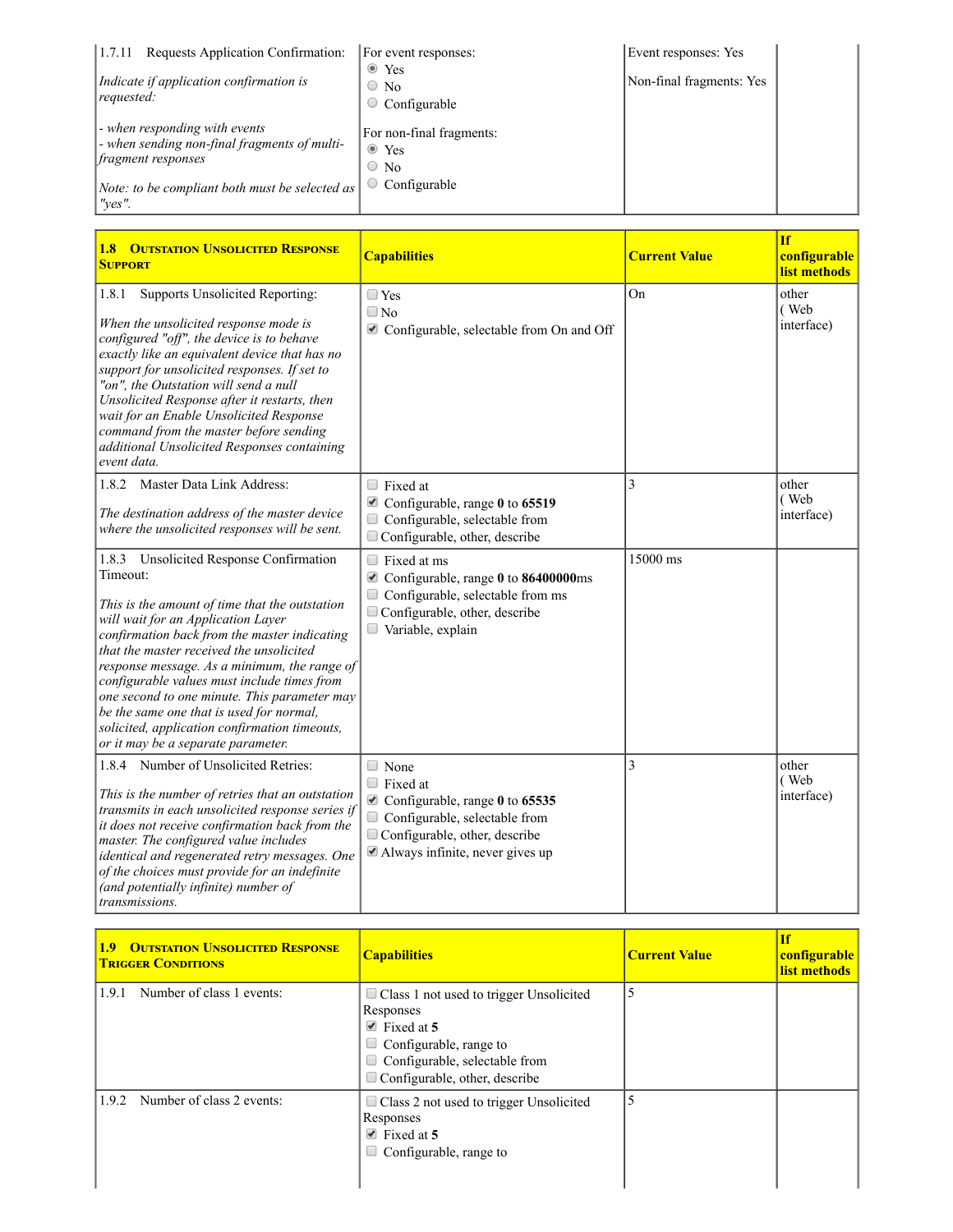| 1.7.11<br>Requests Application Confirmation:                                                              | For event responses:                                    | Event responses: Yes     |
|-----------------------------------------------------------------------------------------------------------|---------------------------------------------------------|--------------------------|
| Indicate if application confirmation is<br>$\lvert \textit{required} \rvert$                              | $\bullet$ Yes<br>$\circ$ No<br>Configurable             | Non-final fragments: Yes |
| - when responding with events<br>-when sending non-final fragments of multi-<br><i>fragment responses</i> | For non-final fragments:<br>$\bullet$ Yes<br>$\circ$ No |                          |
| Note: to be compliant both must be selected as<br>$"ves"$ .                                               | Configurable                                            |                          |

| <b>1.8 OUTSTATION UNSOLICITED RESPONSE</b><br><b>SUPPORT</b>                                                                                                                                                                                                                                                                                                                                                                                                                                                              | <b>Capabilities</b>                                                                                                                                                             | <b>Current Value</b> | <b>If</b><br>configurable<br>list methods |
|---------------------------------------------------------------------------------------------------------------------------------------------------------------------------------------------------------------------------------------------------------------------------------------------------------------------------------------------------------------------------------------------------------------------------------------------------------------------------------------------------------------------------|---------------------------------------------------------------------------------------------------------------------------------------------------------------------------------|----------------------|-------------------------------------------|
| Supports Unsolicited Reporting:<br>1.8.1<br>When the unsolicited response mode is<br>configured "off", the device is to behave<br>exactly like an equivalent device that has no<br>support for unsolicited responses. If set to<br>"on", the Outstation will send a null<br>Unsolicited Response after it restarts, then<br>wait for an Enable Unsolicited Response<br>command from the master before sending<br>additional Unsolicited Responses containing<br>event data.                                               | $\Box$ Yes<br>$\Box$ No<br>Configurable, selectable from On and Off                                                                                                             | On                   | other<br>(Web<br>interface)               |
| 1.8.2 Master Data Link Address:<br>The destination address of the master device<br>where the unsolicited responses will be sent.                                                                                                                                                                                                                                                                                                                                                                                          | $\Box$ Fixed at<br>Configurable, range 0 to 65519<br>Configurable, selectable from<br>$\Box$<br>$\Box$ Configurable, other, describe                                            | 3                    | other<br>(Web<br>interface)               |
| 1.8.3 Unsolicited Response Confirmation<br>Timeout:<br>This is the amount of time that the outstation<br>will wait for an Application Layer<br>confirmation back from the master indicating<br>that the master received the unsolicited<br>response message. As a minimum, the range of<br>configurable values must include times from<br>one second to one minute. This parameter may<br>be the same one that is used for normal,<br>solicited, application confirmation timeouts,<br>or it may be a separate parameter. | $\Box$ Fixed at ms<br>Configurable, range 0 to 86400000ms<br>Configurable, selectable from ms<br>Configurable, other, describe<br>Variable, explain                             | 15000 ms             |                                           |
| 1.8.4 Number of Unsolicited Retries:<br>This is the number of retries that an outstation<br>transmits in each unsolicited response series if<br>it does not receive confirmation back from the<br>master. The configured value includes<br>identical and regenerated retry messages. One<br>of the choices must provide for an indefinite<br>(and potentially infinite) number of<br>transmissions.                                                                                                                       | $\Box$ None<br>$\Box$ Fixed at<br>Configurable, range 0 to 65535<br>$\Box$<br>Configurable, selectable from<br>Configurable, other, describe<br>Always infinite, never gives up | 3                    | other<br>(Web<br>interface)               |

| <b>OUTSTATION UNSOLICITED RESPONSE</b><br>1.9 <sup>2</sup><br><b>TRIGGER CONDITIONS</b> | <b>Capabilities</b>                                                                                                                                                                                              | <b>Current Value</b> | <b>If</b><br>configurable<br>list methods |
|-----------------------------------------------------------------------------------------|------------------------------------------------------------------------------------------------------------------------------------------------------------------------------------------------------------------|----------------------|-------------------------------------------|
| Number of class 1 events:<br>1.9.1                                                      | $\Box$ Class 1 not used to trigger Unsolicited<br>Responses<br>$\blacktriangleright$ Fixed at 5<br>$\Box$ Configurable, range to<br>$\Box$ Configurable, selectable from<br>$\Box$ Configurable, other, describe | 5                    |                                           |
| Number of class 2 events:<br>1.9.2                                                      | $\Box$ Class 2 not used to trigger Unsolicited<br>Responses<br>$\blacktriangleright$ Fixed at 5<br>$\Box$ Configurable, range to                                                                                 |                      |                                           |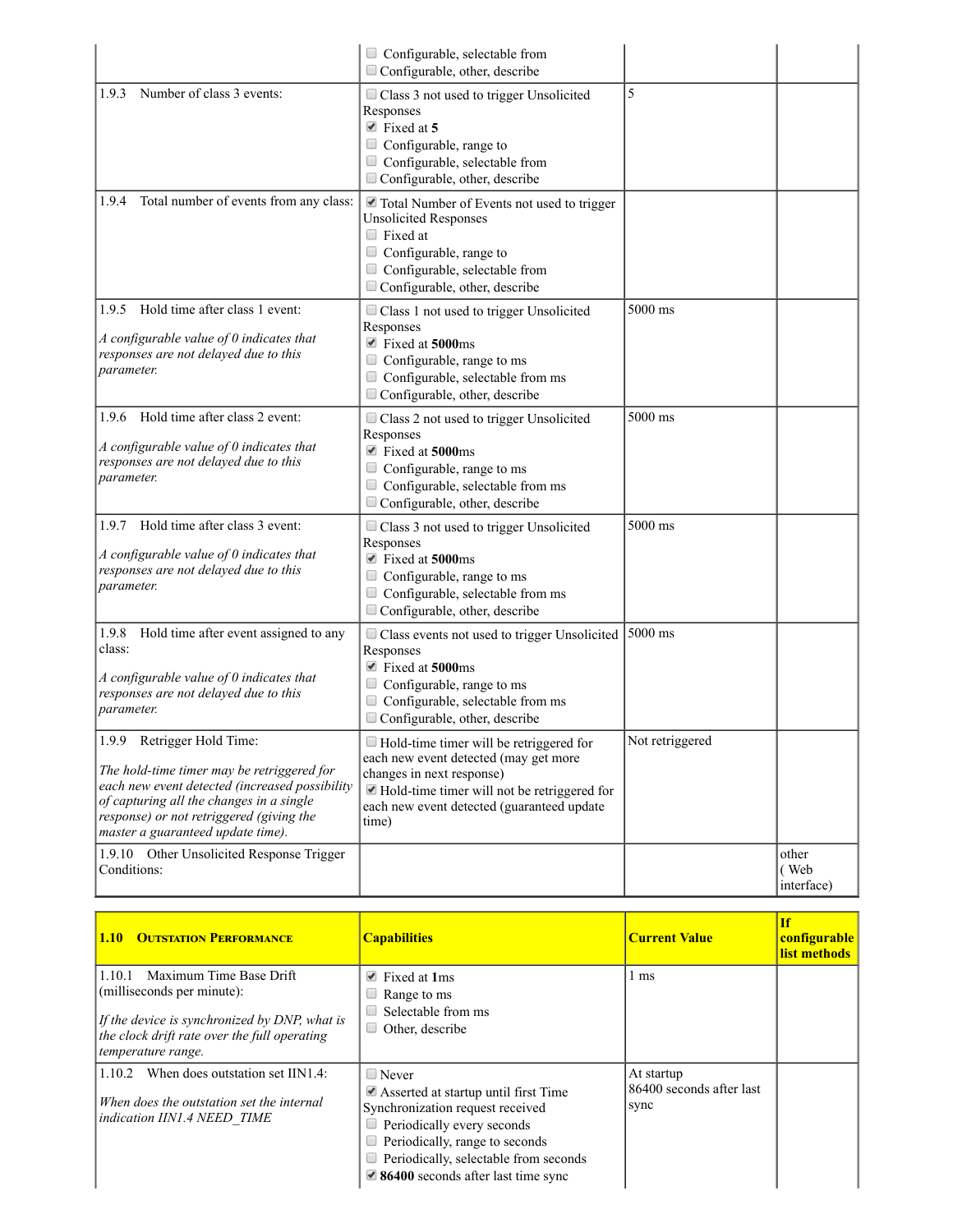|                                                                                                                                                                                                                                                         | $\Box$ Configurable, selectable from<br>$\Box$ Configurable, other, describe                                                                                                                                                       |                 |                             |
|---------------------------------------------------------------------------------------------------------------------------------------------------------------------------------------------------------------------------------------------------------|------------------------------------------------------------------------------------------------------------------------------------------------------------------------------------------------------------------------------------|-----------------|-----------------------------|
| Number of class 3 events:<br>1.9.3                                                                                                                                                                                                                      | Class 3 not used to trigger Unsolicited<br>Responses<br>$\blacksquare$ Fixed at 5<br>Configurable, range to<br>$\Box$ Configurable, selectable from<br>$\Box$ Configurable, other, describe                                        | 5               |                             |
| Total number of events from any class:<br>1.9.4                                                                                                                                                                                                         | $\blacktriangleright$ Total Number of Events not used to trigger<br><b>Unsolicited Responses</b><br>$\Box$ Fixed at<br>Configurable, range to<br>$\Box$ Configurable, selectable from<br>$\Box$ Configurable, other, describe      |                 |                             |
| Hold time after class 1 event:<br>1.9.5<br>A configurable value of $0$ indicates that<br>responses are not delayed due to this<br>parameter.                                                                                                            | Class 1 not used to trigger Unsolicited<br>Responses<br>$\blacksquare$ Fixed at 5000ms<br>Configurable, range to ms<br>Configurable, selectable from ms<br>$\Box$ Configurable, other, describe                                    | $5000$ ms       |                             |
| Hold time after class 2 event:<br>1.9.6<br>A configurable value of 0 indicates that<br>responses are not delayed due to this<br>parameter.                                                                                                              | Class 2 not used to trigger Unsolicited<br>Responses<br>$\blacktriangleright$ Fixed at 5000ms<br>$\Box$ Configurable, range to ms<br>$\Box$ Configurable, selectable from ms<br>$\Box$ Configurable, other, describe               | $5000$ ms       |                             |
| Hold time after class 3 event:<br>1.9.7<br>A configurable value of $0$ indicates that<br>responses are not delayed due to this<br>parameter.                                                                                                            | Class 3 not used to trigger Unsolicited<br>Responses<br>$\blacksquare$ Fixed at 5000ms<br>$\Box$ Configurable, range to ms<br>$\Box$ Configurable, selectable from ms<br>$\Box$ Configurable, other, describe                      | 5000 ms         |                             |
| 1.9.8<br>Hold time after event assigned to any<br>class:<br>A configurable value of $0$ indicates that<br>responses are not delayed due to this<br>parameter.                                                                                           | $\Box$ Class events not used to trigger Unsolicited<br>Responses<br>■ Fixed at 5000ms<br>$\Box$ Configurable, range to ms<br>$\Box$ Configurable, selectable from ms<br>$\Box$ Configurable, other, describe                       | 5000 ms         |                             |
| 1.9.9 Retrigger Hold Time:<br>The hold-time timer may be retriggered for<br>each new event detected (increased possibility<br>of capturing all the changes in a single<br>response) or not retriggered (giving the<br>master a guaranteed update time). | Hold-time timer will be retriggered for<br>each new event detected (may get more<br>changes in next response)<br>$\blacksquare$ Hold-time timer will not be retriggered for<br>each new event detected (guaranteed update<br>time) | Not retriggered |                             |
| 1.9.10 Other Unsolicited Response Trigger<br>Conditions:                                                                                                                                                                                                |                                                                                                                                                                                                                                    |                 | other<br>(Web<br>interface) |

| <b>1.10 OUTSTATION PERFORMANCE</b>                                                                                                                                                     | <b>Capabilities</b>                                                                                                                                                                                                                                                                     | <b>Current Value</b>                           | <b>If</b><br>configurable<br>list methods |
|----------------------------------------------------------------------------------------------------------------------------------------------------------------------------------------|-----------------------------------------------------------------------------------------------------------------------------------------------------------------------------------------------------------------------------------------------------------------------------------------|------------------------------------------------|-------------------------------------------|
| Maximum Time Base Drift<br>1.10.1<br>(milliseconds per minute):<br>If the device is synchronized by DNP, what is<br>the clock drift rate over the full operating<br>temperature range. | $\blacksquare$ Fixed at 1 ms<br>Range to ms<br>Selectable from ms<br>Other, describe                                                                                                                                                                                                    | 1 ms                                           |                                           |
| 1.10.2<br>When does outstation set IIN1.4:<br>When does the outstation set the internal<br>indication IIN1.4 NEED TIME                                                                 | $\Box$ Never<br>$\blacktriangleright$ Asserted at startup until first Time<br>Synchronization request received<br>Periodically every seconds<br>$\Box$ Periodically, range to seconds<br>$\Box$ Periodically, selectable from seconds<br>$\triangle$ 86400 seconds after last time sync | At startup<br>86400 seconds after last<br>sync |                                           |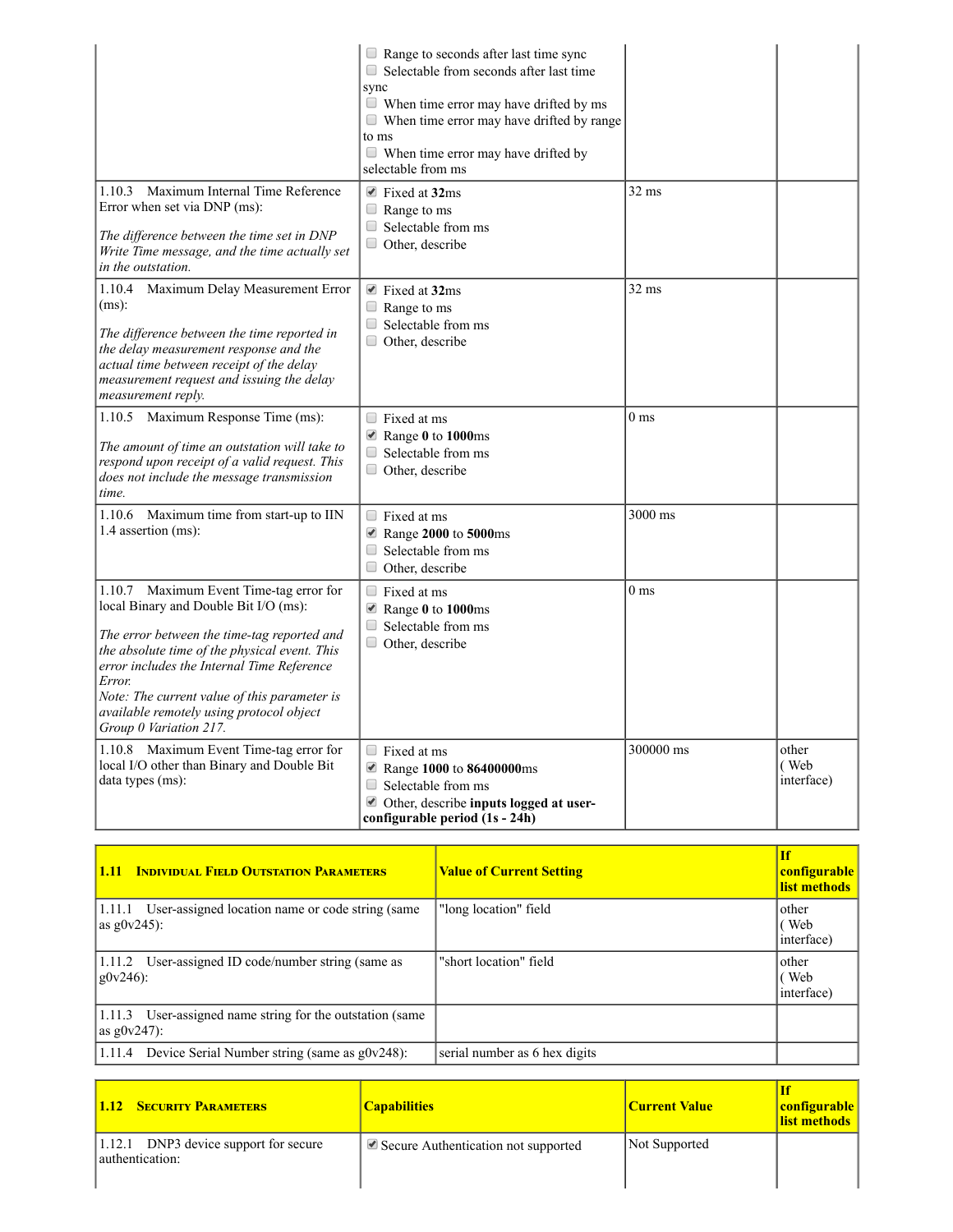|                                                                                                                                                                                                                                                                                                                                                                   | $\Box$ Range to seconds after last time sync<br>$\Box$ Selectable from seconds after last time<br>sync<br>$\Box$ When time error may have drifted by ms<br>$\blacksquare$ When time error may have drifted by range<br>to ms<br>$\Box$<br>When time error may have drifted by<br>selectable from ms |                 |                             |
|-------------------------------------------------------------------------------------------------------------------------------------------------------------------------------------------------------------------------------------------------------------------------------------------------------------------------------------------------------------------|-----------------------------------------------------------------------------------------------------------------------------------------------------------------------------------------------------------------------------------------------------------------------------------------------------|-----------------|-----------------------------|
| Maximum Internal Time Reference<br>1.10.3<br>Error when set via DNP (ms):<br>The difference between the time set in DNP<br>Write Time message, and the time actually set<br>in the outstation.                                                                                                                                                                    | $\blacksquare$ Fixed at 32ms<br>$\Box$ Range to ms<br>$\Box$ Selectable from ms<br>$\Box$ Other, describe                                                                                                                                                                                           | $32 \text{ ms}$ |                             |
| 1.10.4 Maximum Delay Measurement Error<br>$(ms)$ :<br>The difference between the time reported in<br>the delay measurement response and the<br>actual time between receipt of the delay<br>measurement request and issuing the delay<br>measurement reply.                                                                                                        | $\blacksquare$ Fixed at 32ms<br>$\Box$ Range to ms<br>$\Box$ Selectable from ms<br>$\Box$ Other, describe                                                                                                                                                                                           | $32 \text{ ms}$ |                             |
| 1.10.5 Maximum Response Time (ms):<br>The amount of time an outstation will take to<br>respond upon receipt of a valid request. This<br>does not include the message transmission<br>time.                                                                                                                                                                        | $\Box$ Fixed at ms<br>Range 0 to 1000ms<br>$\Box$ Selectable from ms<br>$\Box$ Other, describe                                                                                                                                                                                                      | 0 <sub>ms</sub> |                             |
| 1.10.6 Maximum time from start-up to IIN<br>1.4 assertion (ms):                                                                                                                                                                                                                                                                                                   | $\Box$ Fixed at ms<br>Range 2000 to 5000ms<br>$\Box$ Selectable from ms<br>$\Box$<br>Other, describe                                                                                                                                                                                                | $3000$ ms       |                             |
| Maximum Event Time-tag error for<br>1.10.7<br>local Binary and Double Bit I/O (ms):<br>The error between the time-tag reported and<br>the absolute time of the physical event. This<br>error includes the Internal Time Reference<br>Error.<br>Note: The current value of this parameter is<br>available remotely using protocol object<br>Group 0 Variation 217. | $\Box$ Fixed at ms<br>Range 0 to 1000ms<br>$\Box$ Selectable from ms<br>$\Box$ Other, describe                                                                                                                                                                                                      | $0~\mathrm{ms}$ |                             |
| 1.10.8 Maximum Event Time-tag error for<br>local I/O other than Binary and Double Bit<br>data types (ms):                                                                                                                                                                                                                                                         | $\Box$ Fixed at ms<br>Range 1000 to 86400000ms<br>0<br>Selectable from ms<br>Other, describe inputs logged at user-<br>configurable period (1s - 24h)                                                                                                                                               | 300000 ms       | other<br>(Web<br>interface) |

| <b>INDIVIDUAL FIELD OUTSTATION PARAMETERS</b><br>1.11                         | <b>Value of Current Setting</b> | <b>If</b><br>configurable<br>list methods |
|-------------------------------------------------------------------------------|---------------------------------|-------------------------------------------|
| User-assigned location name or code string (same<br>11.11.1<br>as $g0v245$ :  | "long location" field           | other<br>(Web<br>interface)               |
| User-assigned ID code/number string (same as<br> 1.11.2 <br>$g0v246$ :        | "short location" field          | other<br>(Web<br>interface)               |
| User-assigned name string for the outstation (same<br>1.11.3<br>as $g0v247$ : |                                 |                                           |
| Device Serial Number string (same as $g0v248$ ):<br>1.11.4                    | serial number as 6 hex digits   |                                           |

| <b>1.12 SECURITY PARAMETERS</b>                             | <b>Capabilities</b>                                       | <b>Current Value</b> | configurable<br>list methods |
|-------------------------------------------------------------|-----------------------------------------------------------|----------------------|------------------------------|
| DNP3 device support for secure<br>1.12.1<br>authentication: | $\blacktriangleright$ Secure Authentication not supported | Not Supported        |                              |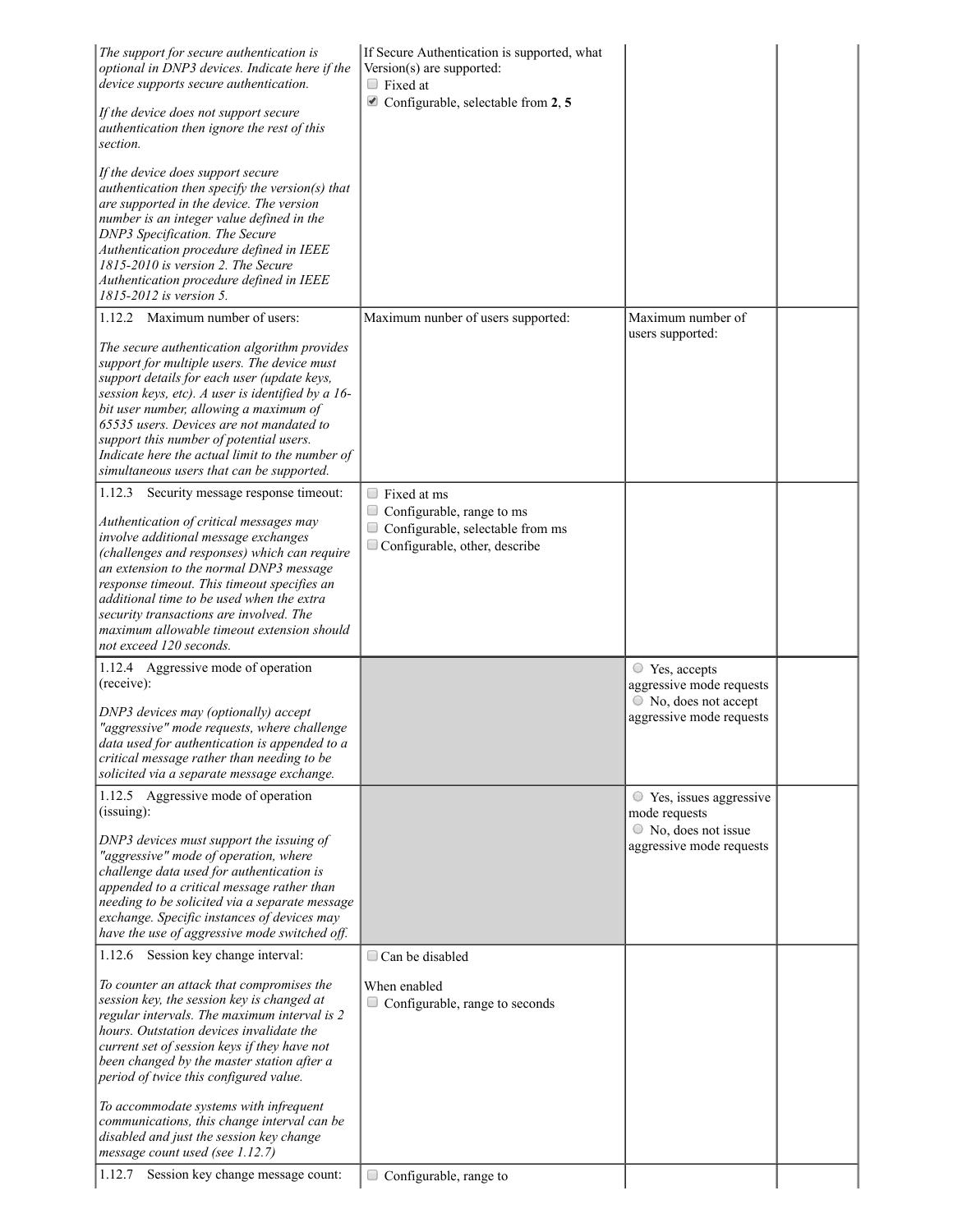| The support for secure authentication is<br>optional in DNP3 devices. Indicate here if the<br>device supports secure authentication.<br>If the device does not support secure<br>authentication then ignore the rest of this<br>section.                                                                                                                                                                                                | If Secure Authentication is supported, what<br>Version(s) are supported:<br>$\Box$ Fixed at<br>$\blacksquare$ Configurable, selectable from 2, 5 |                                                                                                           |  |
|-----------------------------------------------------------------------------------------------------------------------------------------------------------------------------------------------------------------------------------------------------------------------------------------------------------------------------------------------------------------------------------------------------------------------------------------|--------------------------------------------------------------------------------------------------------------------------------------------------|-----------------------------------------------------------------------------------------------------------|--|
| If the device does support secure<br>authentication then specify the version(s) that<br>are supported in the device. The version<br>number is an integer value defined in the<br>DNP3 Specification. The Secure<br>Authentication procedure defined in IEEE<br>1815-2010 is version 2. The Secure<br>Authentication procedure defined in IEEE<br>1815-2012 is version 5.                                                                |                                                                                                                                                  |                                                                                                           |  |
| 1.12.2 Maximum number of users:                                                                                                                                                                                                                                                                                                                                                                                                         | Maximum nunber of users supported:                                                                                                               | Maximum number of                                                                                         |  |
| The secure authentication algorithm provides<br>support for multiple users. The device must<br>support details for each user (update keys,<br>session keys, etc). A user is identified by a 16-<br>bit user number, allowing a maximum of<br>65535 users. Devices are not mandated to<br>support this number of potential users.<br>Indicate here the actual limit to the number of<br>simultaneous users that can be supported.        |                                                                                                                                                  | users supported:                                                                                          |  |
| 1.12.3 Security message response timeout:<br>Authentication of critical messages may<br>involve additional message exchanges<br>(challenges and responses) which can require<br>an extension to the normal DNP3 message<br>response timeout. This timeout specifies an<br>additional time to be used when the extra<br>security transactions are involved. The<br>maximum allowable timeout extension should<br>not exceed 120 seconds. | $\Box$ Fixed at ms<br>$\Box$ Configurable, range to ms<br>Configurable, selectable from ms<br>$\Box$ Configurable, other, describe               |                                                                                                           |  |
| 1.12.4 Aggressive mode of operation<br>(receive):                                                                                                                                                                                                                                                                                                                                                                                       |                                                                                                                                                  | $\circ$ Yes, accepts<br>aggressive mode requests<br>$\circ$ No, does not accept                           |  |
| DNP3 devices may (optionally) accept<br>"aggressive" mode requests, where challenge<br>data used for authentication is appended to a<br>critical message rather than needing to be<br>solicited via a separate message exchange.                                                                                                                                                                                                        |                                                                                                                                                  | aggressive mode requests                                                                                  |  |
| 1.12.5 Aggressive mode of operation<br>(isuing):<br>DNP3 devices must support the issuing of<br>"aggressive" mode of operation, where<br>challenge data used for authentication is<br>appended to a critical message rather than<br>needing to be solicited via a separate message<br>exchange. Specific instances of devices may<br>have the use of aggressive mode switched off.                                                      |                                                                                                                                                  | $\circ$ Yes, issues aggressive<br>mode requests<br>$\circ$ No, does not issue<br>aggressive mode requests |  |
| 1.12.6 Session key change interval:                                                                                                                                                                                                                                                                                                                                                                                                     | $\Box$ Can be disabled                                                                                                                           |                                                                                                           |  |
| To counter an attack that compromises the<br>session key, the session key is changed at<br>regular intervals. The maximum interval is 2<br>hours. Outstation devices invalidate the<br>current set of session keys if they have not<br>been changed by the master station after a<br>period of twice this configured value.                                                                                                             | When enabled<br>$\Box$ Configurable, range to seconds                                                                                            |                                                                                                           |  |
| To accommodate systems with infrequent<br>communications, this change interval can be<br>disabled and just the session key change<br>message count used (see 1.12.7)                                                                                                                                                                                                                                                                    |                                                                                                                                                  |                                                                                                           |  |
| Session key change message count:<br>1.12.7                                                                                                                                                                                                                                                                                                                                                                                             | Configurable, range to                                                                                                                           |                                                                                                           |  |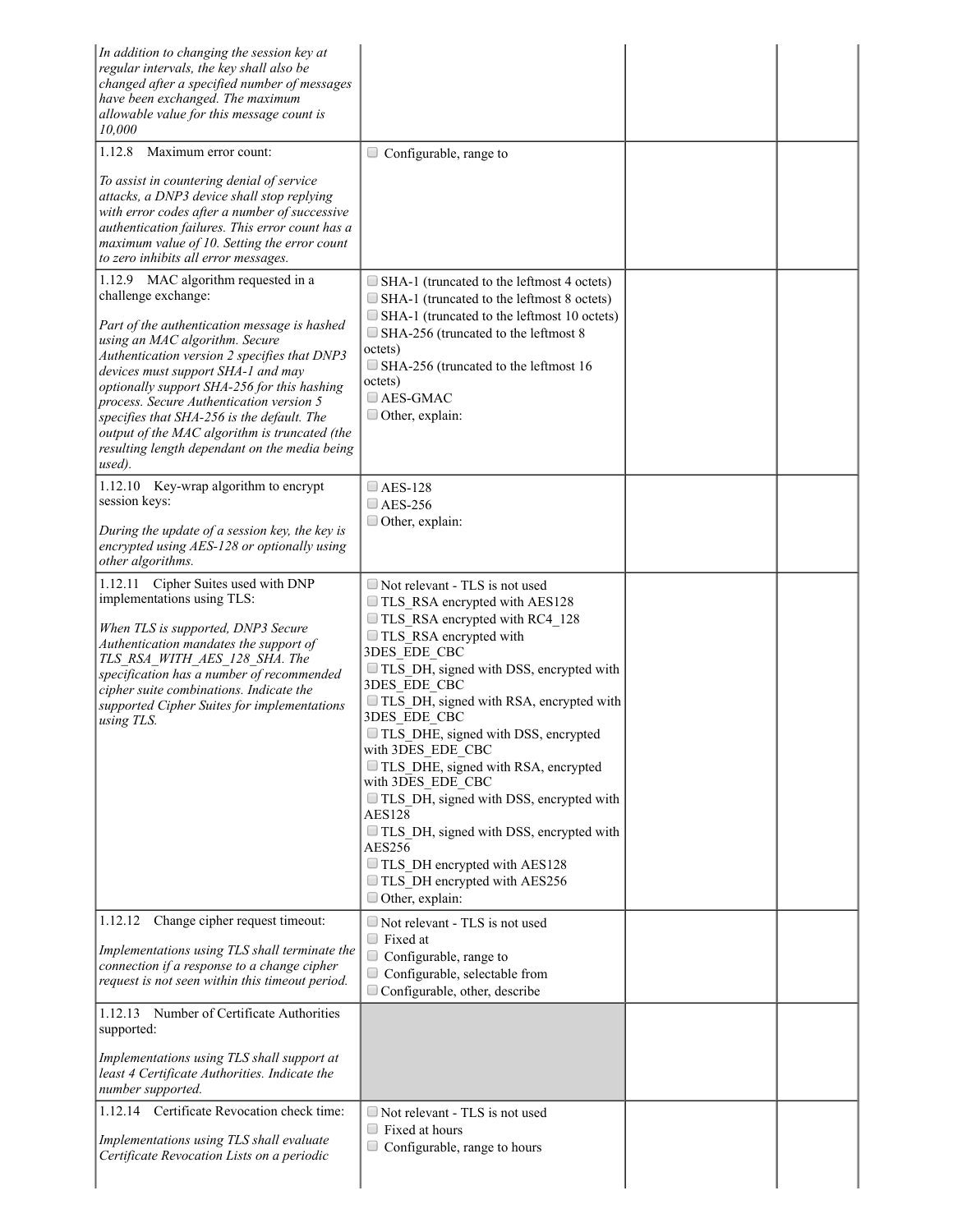| In addition to changing the session key at<br>regular intervals, the key shall also be<br>changed after a specified number of messages<br>have been exchanged. The maximum<br>allowable value for this message count is<br>10,000                                                                                                                                                                                                                                                       |                                                                                                                                                                                                                                                                                                                                                                                                                                                                                                                                                                                                      |  |
|-----------------------------------------------------------------------------------------------------------------------------------------------------------------------------------------------------------------------------------------------------------------------------------------------------------------------------------------------------------------------------------------------------------------------------------------------------------------------------------------|------------------------------------------------------------------------------------------------------------------------------------------------------------------------------------------------------------------------------------------------------------------------------------------------------------------------------------------------------------------------------------------------------------------------------------------------------------------------------------------------------------------------------------------------------------------------------------------------------|--|
| Maximum error count:<br>1.12.8<br>To assist in countering denial of service<br>attacks, a DNP3 device shall stop replying<br>with error codes after a number of successive<br>authentication failures. This error count has a<br>maximum value of 10. Setting the error count<br>to zero inhibits all error messages.                                                                                                                                                                   | $\Box$ Configurable, range to                                                                                                                                                                                                                                                                                                                                                                                                                                                                                                                                                                        |  |
| 1.12.9 MAC algorithm requested in a<br>challenge exchange:<br>Part of the authentication message is hashed<br>using an MAC algorithm. Secure<br>Authentication version 2 specifies that DNP3<br>devices must support SHA-1 and may<br>optionally support SHA-256 for this hashing<br>process. Secure Authentication version 5<br>specifies that SHA-256 is the default. The<br>output of the MAC algorithm is truncated (the<br>resulting length dependant on the media being<br>used). | SHA-1 (truncated to the leftmost 4 octets)<br>$\Box$ SHA-1 (truncated to the leftmost 8 octets)<br>SHA-1 (truncated to the leftmost 10 octets)<br>SHA-256 (truncated to the leftmost 8<br>octets)<br>SHA-256 (truncated to the leftmost 16<br>octets)<br>$\Box$ AES-GMAC<br>Other, explain:                                                                                                                                                                                                                                                                                                          |  |
| 1.12.10 Key-wrap algorithm to encrypt<br>session keys:<br>During the update of a session key, the key is<br>encrypted using AES-128 or optionally using<br>other algorithms.                                                                                                                                                                                                                                                                                                            | $\Box$ AES-128<br>$\Box$ AES-256<br>$\Box$ Other, explain:                                                                                                                                                                                                                                                                                                                                                                                                                                                                                                                                           |  |
| 1.12.11 Cipher Suites used with DNP<br>implementations using TLS:<br>When TLS is supported, DNP3 Secure<br>Authentication mandates the support of<br>TLS RSA WITH AES 128 SHA. The<br>specification has a number of recommended<br>cipher suite combinations. Indicate the<br>supported Cipher Suites for implementations<br>using TLS.                                                                                                                                                 | Not relevant - TLS is not used<br>TLS RSA encrypted with AES128<br>TLS RSA encrypted with RC4 128<br>TLS RSA encrypted with<br>3DES EDE CBC<br>TLS DH, signed with DSS, encrypted with<br>3DES EDE CBC<br>TLS DH, signed with RSA, encrypted with<br>3DES EDE CBC<br>TLS_DHE, signed with DSS, encrypted<br>with 3DES EDE CBC<br>TLS DHE, signed with RSA, encrypted<br>with 3DES EDE CBC<br>TLS DH, signed with DSS, encrypted with<br><b>AES128</b><br>TLS DH, signed with DSS, encrypted with<br>AES256<br>TLS DH encrypted with AES128<br>TLS DH encrypted with AES256<br>$\Box$ Other, explain: |  |
| 1.12.12 Change cipher request timeout:<br>Implementations using TLS shall terminate the<br>connection if a response to a change cipher<br>request is not seen within this timeout period.                                                                                                                                                                                                                                                                                               | Not relevant - TLS is not used<br>$\Box$ Fixed at<br>Configurable, range to<br>Configurable, selectable from<br>$\Box$ Configurable, other, describe                                                                                                                                                                                                                                                                                                                                                                                                                                                 |  |
| 1.12.13 Number of Certificate Authorities<br>supported:<br>Implementations using TLS shall support at<br>least 4 Certificate Authorities. Indicate the<br>number supported.                                                                                                                                                                                                                                                                                                             |                                                                                                                                                                                                                                                                                                                                                                                                                                                                                                                                                                                                      |  |
| 1.12.14 Certificate Revocation check time:<br>Implementations using TLS shall evaluate<br>Certificate Revocation Lists on a periodic                                                                                                                                                                                                                                                                                                                                                    | Not relevant - TLS is not used<br>$\Box$ Fixed at hours<br>$\Box$ Configurable, range to hours                                                                                                                                                                                                                                                                                                                                                                                                                                                                                                       |  |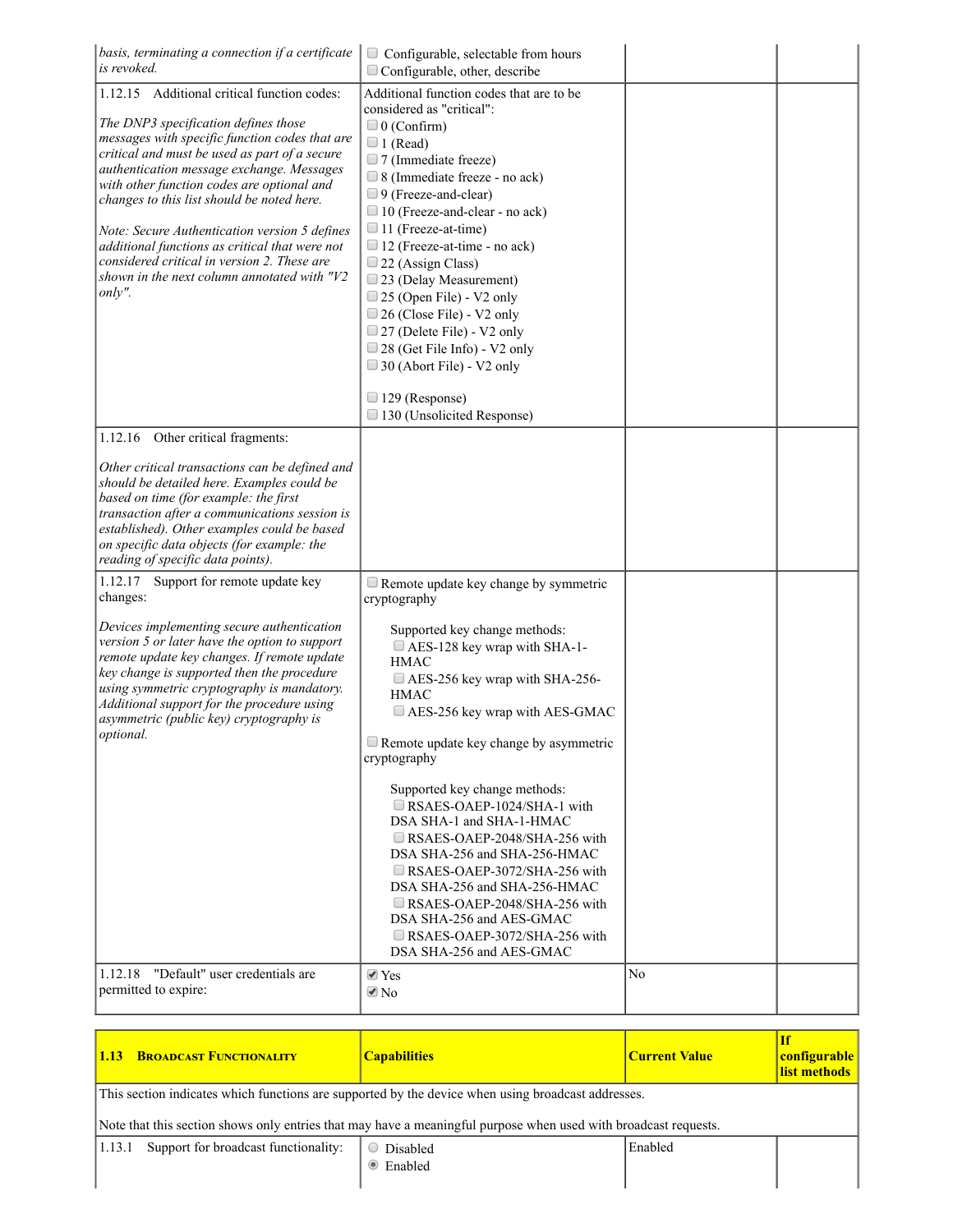| basis, terminating a connection if a certificate $\vert$<br>is revoked.                                                                                                                                                                                                                                                                                                                                                                                                                                                                    | Configurable, selectable from hours<br>Configurable, other, describe                                                                                                                                                                                                                                                                                                                                                                                                                                                                                        |                |  |
|--------------------------------------------------------------------------------------------------------------------------------------------------------------------------------------------------------------------------------------------------------------------------------------------------------------------------------------------------------------------------------------------------------------------------------------------------------------------------------------------------------------------------------------------|-------------------------------------------------------------------------------------------------------------------------------------------------------------------------------------------------------------------------------------------------------------------------------------------------------------------------------------------------------------------------------------------------------------------------------------------------------------------------------------------------------------------------------------------------------------|----------------|--|
| 1.12.15 Additional critical function codes:<br>The DNP3 specification defines those<br>messages with specific function codes that are<br>critical and must be used as part of a secure<br>authentication message exchange. Messages<br>with other function codes are optional and<br>changes to this list should be noted here.<br>Note: Secure Authentication version 5 defines<br>additional functions as critical that were not<br>considered critical in version 2. These are<br>shown in the next column annotated with "V2<br>only". | Additional function codes that are to be<br>considered as "critical":<br>$\Box$ 0 (Confirm)<br>$\Box$ 1 (Read)<br>7 (Immediate freeze)<br>$\Box$ 8 (Immediate freeze - no ack)<br>9 (Freeze-and-clear)<br>10 (Freeze-and-clear - no ack)<br>□ 11 (Freeze-at-time)<br>$\Box$ 12 (Freeze-at-time - no ack)<br>$\Box$ 22 (Assign Class)<br>23 (Delay Measurement)<br>$\Box$ 25 (Open File) - V2 only<br>26 (Close File) - V2 only<br>27 (Delete File) - V2 only<br>$\Box$ 28 (Get File Info) - V2 only<br>$\Box$ 30 (Abort File) - V2 only<br>□ 129 (Response) |                |  |
| Other critical fragments:<br>1.12.16                                                                                                                                                                                                                                                                                                                                                                                                                                                                                                       | □ 130 (Unsolicited Response)                                                                                                                                                                                                                                                                                                                                                                                                                                                                                                                                |                |  |
| Other critical transactions can be defined and<br>should be detailed here. Examples could be<br>based on time (for example: the first<br>transaction after a communications session is<br>established). Other examples could be based<br>on specific data objects (for example: the<br>reading of specific data points).                                                                                                                                                                                                                   |                                                                                                                                                                                                                                                                                                                                                                                                                                                                                                                                                             |                |  |
| 1.12.17 Support for remote update key<br>changes:                                                                                                                                                                                                                                                                                                                                                                                                                                                                                          | $\Box$ Remote update key change by symmetric<br>cryptography                                                                                                                                                                                                                                                                                                                                                                                                                                                                                                |                |  |
| Devices implementing secure authentication<br>version 5 or later have the option to support<br>remote update key changes. If remote update<br>key change is supported then the procedure<br>using symmetric cryptography is mandatory.<br>Additional support for the procedure using<br>asymmetric (public key) cryptography is<br>optional.                                                                                                                                                                                               | Supported key change methods:<br>AES-128 key wrap with SHA-1-<br><b>HMAC</b><br>AES-256 key wrap with SHA-256-<br><b>HMAC</b><br>AES-256 key wrap with AES-GMAC<br>Remote update key change by asymmetric<br>cryptography                                                                                                                                                                                                                                                                                                                                   |                |  |
|                                                                                                                                                                                                                                                                                                                                                                                                                                                                                                                                            | Supported key change methods:<br>RSAES-OAEP-1024/SHA-1 with<br>DSA SHA-1 and SHA-1-HMAC<br>$\Box$ RSAES-OAEP-2048/SHA-256 with<br>DSA SHA-256 and SHA-256-HMAC<br>$\Box$ RSAES-OAEP-3072/SHA-256 with<br>DSA SHA-256 and SHA-256-HMAC<br>$\Box$ RSAES-OAEP-2048/SHA-256 with<br>DSA SHA-256 and AES-GMAC<br>$\Box$ RSAES-OAEP-3072/SHA-256 with<br>DSA SHA-256 and AES-GMAC                                                                                                                                                                                 |                |  |
| "Default" user credentials are<br>1.12.18<br>permitted to expire:                                                                                                                                                                                                                                                                                                                                                                                                                                                                          | $\blacktriangledown$ Yes<br>$\triangle$ No                                                                                                                                                                                                                                                                                                                                                                                                                                                                                                                  | N <sub>o</sub> |  |

| <b>BROADCAST FUNCTIONALITY</b><br>1.13                                                                                                                                                                                | <b>Capabilities</b>           | <b>Current Value</b> | <b>If</b><br>configurable<br>list methods |  |
|-----------------------------------------------------------------------------------------------------------------------------------------------------------------------------------------------------------------------|-------------------------------|----------------------|-------------------------------------------|--|
| This section indicates which functions are supported by the device when using broadcast addresses.<br>Note that this section shows only entries that may have a meaningful purpose when used with broadcast requests. |                               |                      |                                           |  |
| Support for broadcast functionality:<br> 1.13.1                                                                                                                                                                       | Disabled<br>$\bullet$ Enabled | Enabled              |                                           |  |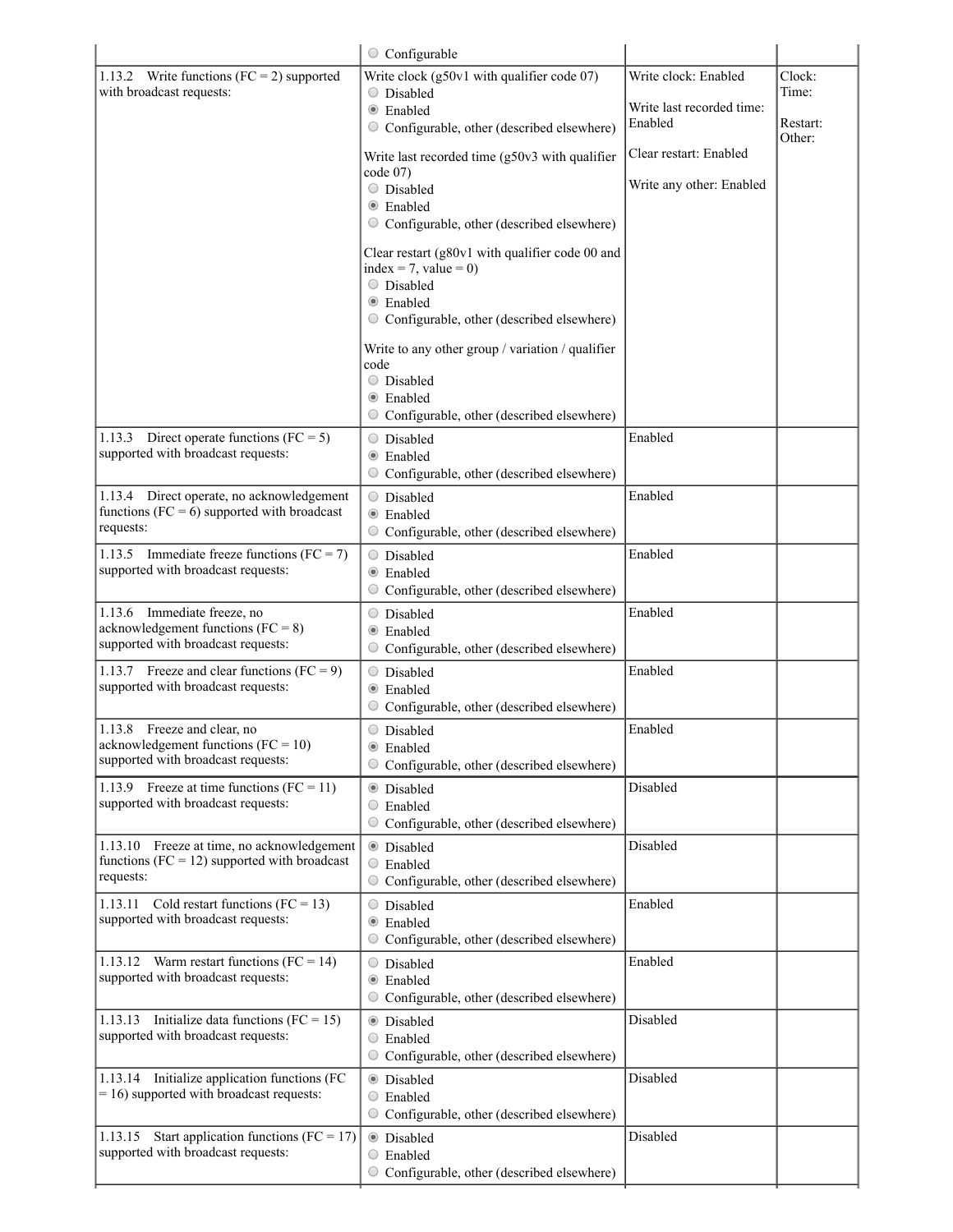|                                                                                                              | $\circ$ Configurable                                                                                                                                                                                                                                                                                                                                                                                                                                                                                                                                                                  |                                                                                                                    |                                       |
|--------------------------------------------------------------------------------------------------------------|---------------------------------------------------------------------------------------------------------------------------------------------------------------------------------------------------------------------------------------------------------------------------------------------------------------------------------------------------------------------------------------------------------------------------------------------------------------------------------------------------------------------------------------------------------------------------------------|--------------------------------------------------------------------------------------------------------------------|---------------------------------------|
| 1.13.2 Write functions ( $FC = 2$ ) supported<br>with broadcast requests:                                    | Write clock (g50v1 with qualifier code 07)<br>○ Disabled<br><b>Enabled</b><br>○ Configurable, other (described elsewhere)<br>Write last recorded time (g50v3 with qualifier<br>code 07)<br>O Disabled<br>$\bullet$ Enabled<br>○ Configurable, other (described elsewhere)<br>Clear restart (g80v1 with qualifier code 00 and<br>index = 7, value = 0)<br>○ Disabled<br>$\bullet$ Enabled<br>O Configurable, other (described elsewhere)<br>Write to any other group / variation / qualifier<br>code<br>O Disabled<br>$\bullet$ Enabled<br>○ Configurable, other (described elsewhere) | Write clock: Enabled<br>Write last recorded time:<br>Enabled<br>Clear restart: Enabled<br>Write any other: Enabled | Clock:<br>Time:<br>Restart:<br>Other: |
| Direct operate functions ( $FC = 5$ )<br>1.13.3<br>supported with broadcast requests:                        | O Disabled<br><b>Enabled</b><br>○ Configurable, other (described elsewhere)                                                                                                                                                                                                                                                                                                                                                                                                                                                                                                           | Enabled                                                                                                            |                                       |
| 1.13.4 Direct operate, no acknowledgement<br>functions ( $FC = 6$ ) supported with broadcast<br>requests:    | ○ Disabled<br>$\bullet$ Enabled<br>Configurable, other (described elsewhere)                                                                                                                                                                                                                                                                                                                                                                                                                                                                                                          | Enabled                                                                                                            |                                       |
| 1.13.5 Immediate freeze functions (FC = 7)<br>supported with broadcast requests:                             | O Disabled<br>$\bullet$ Enabled<br>Configurable, other (described elsewhere)<br>$\cup$                                                                                                                                                                                                                                                                                                                                                                                                                                                                                                | Enabled                                                                                                            |                                       |
| 1.13.6 Immediate freeze, no<br>acknowledgement functions ( $FC = 8$ )<br>supported with broadcast requests:  | $\bigcirc$ Disabled<br><b>Enabled</b><br>Configurable, other (described elsewhere)<br>O                                                                                                                                                                                                                                                                                                                                                                                                                                                                                               | Enabled                                                                                                            |                                       |
| 1.13.7 Freeze and clear functions (FC = 9)<br>supported with broadcast requests:                             | O Disabled<br>$\bullet$ Enabled<br>○ Configurable, other (described elsewhere)                                                                                                                                                                                                                                                                                                                                                                                                                                                                                                        | Enabled                                                                                                            |                                       |
| 1.13.8 Freeze and clear, no<br>acknowledgement functions ( $FC = 10$ )<br>supported with broadcast requests: | O Disabled<br><b>Enabled</b><br>Configurable, other (described elsewhere)<br>O                                                                                                                                                                                                                                                                                                                                                                                                                                                                                                        | Enabled                                                                                                            |                                       |
| 1.13.9 Freeze at time functions ( $FC = 11$ )<br>supported with broadcast requests:                          | Disabled<br>$\odot$<br>Enabled<br>O<br>Configurable, other (described elsewhere)                                                                                                                                                                                                                                                                                                                                                                                                                                                                                                      | Disabled                                                                                                           |                                       |
| 1.13.10 Freeze at time, no acknowledgement<br>functions ( $FC = 12$ ) supported with broadcast<br>requests:  | $\odot$<br>Disabled<br>$\circ$ Enabled<br>Configurable, other (described elsewhere)<br>O                                                                                                                                                                                                                                                                                                                                                                                                                                                                                              | Disabled                                                                                                           |                                       |
| Cold restart functions ( $FC = 13$ )<br>1.13.11<br>supported with broadcast requests:                        | Disabled<br>$\bigcirc$<br>Enabled<br>$\odot$<br>○ Configurable, other (described elsewhere)                                                                                                                                                                                                                                                                                                                                                                                                                                                                                           | Enabled                                                                                                            |                                       |
| 1.13.12 Warm restart functions (FC = 14)<br>supported with broadcast requests:                               | O Disabled<br><b>Enabled</b><br>Configurable, other (described elsewhere)<br>O                                                                                                                                                                                                                                                                                                                                                                                                                                                                                                        | Enabled                                                                                                            |                                       |
| 1.13.13 Initialize data functions (FC = 15)<br>supported with broadcast requests:                            | $\circledcirc$<br>Disabled<br>Enabled<br>O<br>Configurable, other (described elsewhere)<br>$\bigcirc$                                                                                                                                                                                                                                                                                                                                                                                                                                                                                 | Disabled                                                                                                           |                                       |
| 1.13.14 Initialize application functions (FC<br>$= 16$ ) supported with broadcast requests:                  | <b>O</b> Disabled<br>Enabled<br>O<br>Configurable, other (described elsewhere)<br>$\cup$                                                                                                                                                                                                                                                                                                                                                                                                                                                                                              | Disabled                                                                                                           |                                       |
| Start application functions ( $FC = 17$ )<br>1.13.15<br>supported with broadcast requests:                   | <b>O</b> Disabled<br>Enabled<br>O<br>○ Configurable, other (described elsewhere)                                                                                                                                                                                                                                                                                                                                                                                                                                                                                                      | Disabled                                                                                                           |                                       |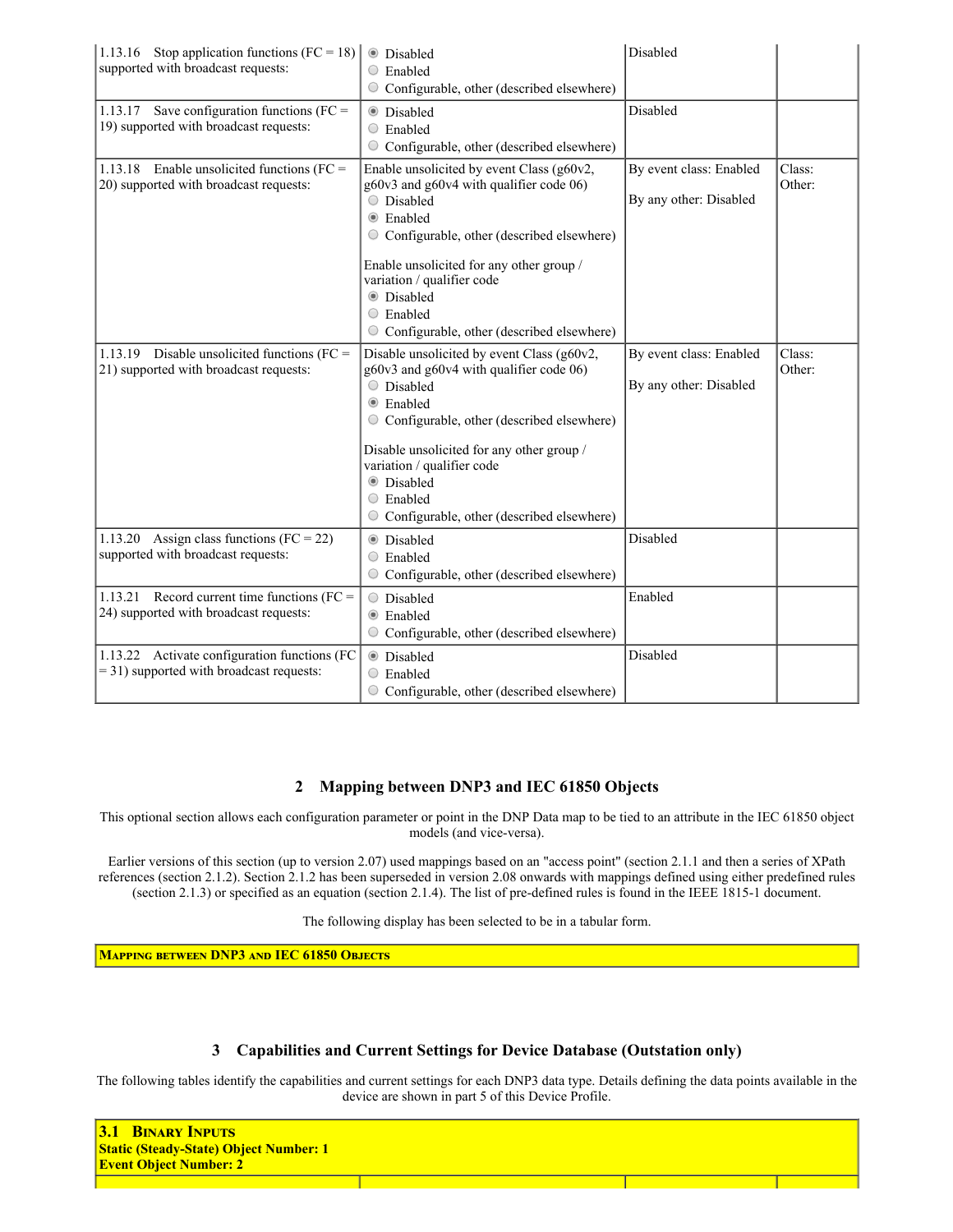| 1.13.16 Stop application functions (FC = 18)<br>supported with broadcast requests:         | <b>Disabled</b><br>$\circ$ Enabled<br>Configurable, other (described elsewhere)                                                                                                                                                                                                                                                                              | Disabled                                          |                  |
|--------------------------------------------------------------------------------------------|--------------------------------------------------------------------------------------------------------------------------------------------------------------------------------------------------------------------------------------------------------------------------------------------------------------------------------------------------------------|---------------------------------------------------|------------------|
| 1.13.17 Save configuration functions (FC =<br>19) supported with broadcast requests:       | <b>O</b> Disabled<br>$\circ$ Enabled<br>$\circ$ Configurable, other (described elsewhere)                                                                                                                                                                                                                                                                    | Disabled                                          |                  |
| 1.13.18 Enable unsolicited functions ( $FC =$<br>20) supported with broadcast requests:    | Enable unsolicited by event Class (g60v2,<br>g60v3 and g60v4 with qualifier code 06)<br>O Disabled<br>Enabled<br>$\bullet$<br>$\circ$ Configurable, other (described elsewhere)<br>Enable unsolicited for any other group /<br>variation / qualifier code<br><b>O</b> Disabled<br>$\circ$ Enabled<br>Configurable, other (described elsewhere)<br>$\bigcirc$ | By event class: Enabled<br>By any other: Disabled | Class:<br>Other: |
| 1.13.19 Disable unsolicited functions (FC =<br>21) supported with broadcast requests:      | Disable unsolicited by event Class (g60v2,<br>g60v3 and g60v4 with qualifier code 06)<br>O Disabled<br>Enabled<br>$\bullet$<br>Configurable, other (described elsewhere)<br>Disable unsolicited for any other group /<br>variation / qualifier code<br><b>O</b> Disabled<br>Enabled<br>O<br>Configurable, other (described elsewhere)<br>O                   | By event class: Enabled<br>By any other: Disabled | Class:<br>Other: |
| 1.13.20<br>Assign class functions ( $FC = 22$ )<br>supported with broadcast requests:      | <b>C</b> Disabled<br>$\circ$ Enabled<br>Configurable, other (described elsewhere)<br>$\bigcirc$                                                                                                                                                                                                                                                              | Disabled                                          |                  |
| 1.13.21 Record current time functions ( $FC =$<br>24) supported with broadcast requests:   | Disabled<br>$\bigcirc$<br>Enabled<br>$\bullet$<br>Configurable, other (described elsewhere)                                                                                                                                                                                                                                                                  | Enabled                                           |                  |
| 1.13.22 Activate configuration functions (FC<br>$=$ 31) supported with broadcast requests: | <b>O</b> Disabled<br>$\circ$ Enabled<br>$\circ$ Configurable, other (described elsewhere)                                                                                                                                                                                                                                                                    | Disabled                                          |                  |

## 2 Mapping between DNP3 and IEC 61850 Objects

This optional section allows each configuration parameter or point in the DNP Data map to be tied to an attribute in the IEC 61850 object models (and vice-versa).

Earlier versions of this section (up to version 2.07) used mappings based on an "access point" (section 2.1.1 and then a series of XPath references (section 2.1.2). Section 2.1.2 has been superseded in version 2.08 onwards with mappings defined using either predefined rules (section 2.1.3) or specified as an equation (section 2.1.4). The list of predefined rules is found in the IEEE 18151 document.

The following display has been selected to be in a tabular form.

MAPPING BETWEEN DNP3 AND IEC 61850 OBJECTS

#### 3 Capabilities and Current Settings for Device Database (Outstation only)

The following tables identify the capabilities and current settings for each DNP3 data type. Details defining the data points available in the device are shown in part 5 of this Device Profile.

| <b>BINARY INPUTS</b><br>$\sqrt{3.1}$<br><b>Static (Steady-State) Object Number: 1</b><br><b>Event Object Number: 2</b> |  |  |
|------------------------------------------------------------------------------------------------------------------------|--|--|
|                                                                                                                        |  |  |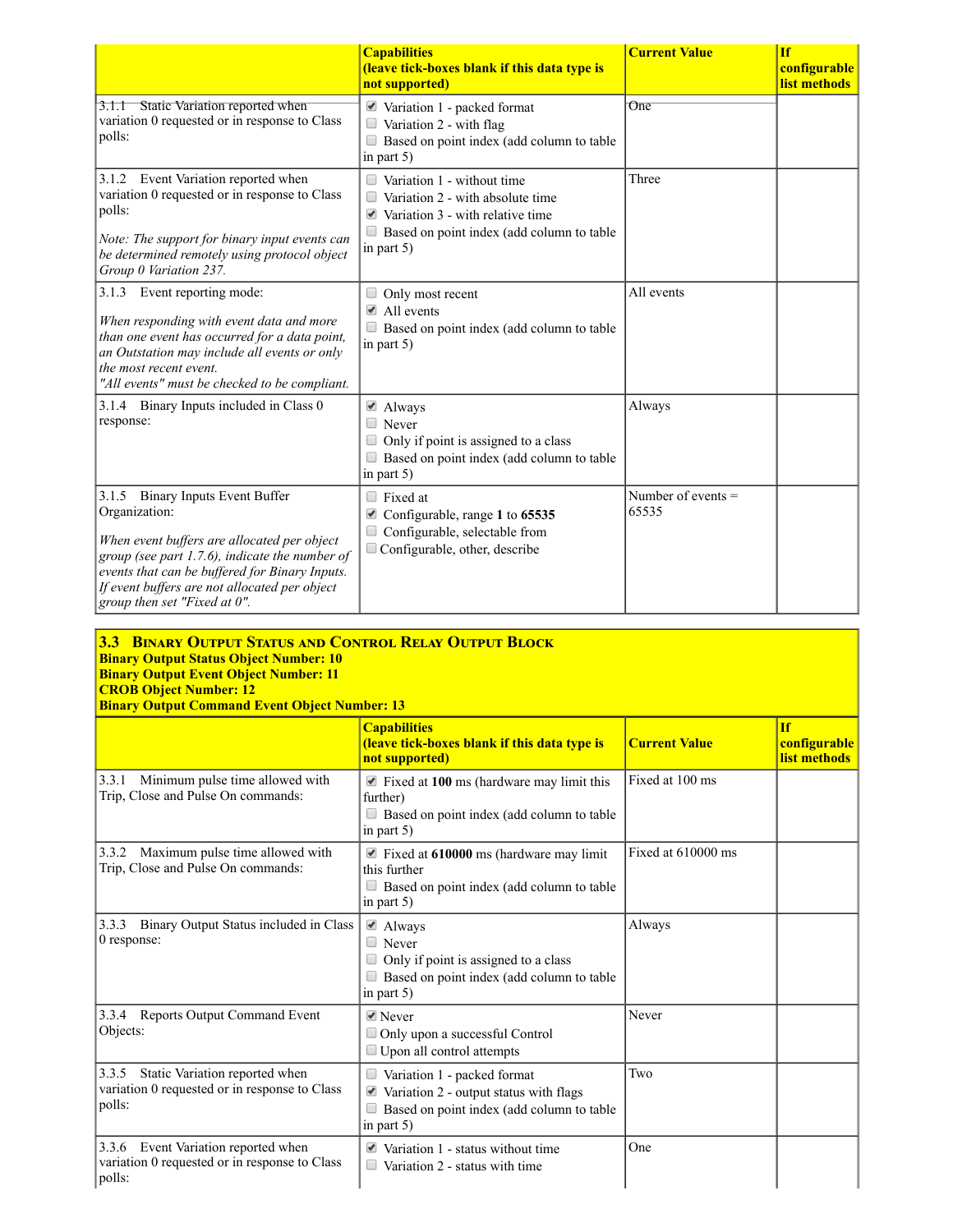|                                                                                                                                                                                                                                                                                       | <b>Capabilities</b><br>(leave tick-boxes blank if this data type is<br>not supported)                                                                                                                    | <b>Current Value</b>          | <b>If</b><br>configurable<br>list methods |
|---------------------------------------------------------------------------------------------------------------------------------------------------------------------------------------------------------------------------------------------------------------------------------------|----------------------------------------------------------------------------------------------------------------------------------------------------------------------------------------------------------|-------------------------------|-------------------------------------------|
| 3.1.1 Static Variation reported when<br>variation 0 requested or in response to Class<br>polls:                                                                                                                                                                                       | $\blacktriangleright$ Variation 1 - packed format<br>Variation 2 - with flag<br>$\Box$<br>Based on point index (add column to table<br>in part $5$ )                                                     | $_{\rm One}$                  |                                           |
| 3.1.2 Event Variation reported when<br>variation 0 requested or in response to Class<br>polls:<br>Note: The support for binary input events can<br>be determined remotely using protocol object<br>Group 0 Variation 237.                                                             | Variation 1 - without time<br>$\Box$<br>Variation 2 - with absolute time<br>$\Box$<br>$\triangleleft$ Variation 3 - with relative time<br>$\Box$ Based on point index (add column to table<br>in part 5) | Three                         |                                           |
| 3.1.3 Event reporting mode:<br>When responding with event data and more<br>than one event has occurred for a data point,<br>an Outstation may include all events or only<br>the most recent event.<br>"All events" must be checked to be compliant.                                   | Only most recent<br>$\triangle$ All events<br>Based on point index (add column to table<br>in part $5$ )                                                                                                 | All events                    |                                           |
| 3.1.4 Binary Inputs included in Class 0<br>response:                                                                                                                                                                                                                                  | $\triangle$ Always<br>$\Box$ Never<br>Only if point is assigned to a class<br>Based on point index (add column to table<br>in part 5)                                                                    | Always                        |                                           |
| 3.1.5 Binary Inputs Event Buffer<br>Organization:<br>When event buffers are allocated per object<br>group (see part 1.7.6), indicate the number of<br>events that can be buffered for Binary Inputs.<br>If event buffers are not allocated per object<br>group then set "Fixed at 0". | $\Box$ Fixed at<br>■ Configurable, range 1 to 65535<br>Configurable, selectable from<br>Configurable, other, describe                                                                                    | Number of events $=$<br>65535 |                                           |

#### 3.3 BINARY OUTPUT STATUS AND CONTROL RELAY OUTPUT BLOCK **Binary Output Status Object Number: 10 Binary Output Event Object Number: 11** CROB Object Number: 12 Binary Output Command Event Object Number: 13

|                                                                                                    | <b>Capabilities</b><br>(leave tick-boxes blank if this data type is<br>not supported)                                                              | <b>Current Value</b> | <b>If</b><br>configurable<br>list methods |
|----------------------------------------------------------------------------------------------------|----------------------------------------------------------------------------------------------------------------------------------------------------|----------------------|-------------------------------------------|
| Minimum pulse time allowed with<br>3.3.1<br>Trip, Close and Pulse On commands:                     | $\blacksquare$ Fixed at 100 ms (hardware may limit this<br>further)<br>Based on point index (add column to table<br>in part $5$ )                  | Fixed at 100 ms      |                                           |
| Maximum pulse time allowed with<br>3.3.2<br>Trip, Close and Pulse On commands:                     | Fixed at 610000 ms (hardware may limit<br>this further<br>$\Box$ Based on point index (add column to table<br>in part $5$ )                        | Fixed at 610000 ms   |                                           |
| Binary Output Status included in Class<br>3.3.3<br>0 response:                                     | ■ Always<br>$\Box$ Never<br>Only if point is assigned to a class<br>$\Box$ Based on point index (add column to table<br>in part $5$ )              | Always               |                                           |
| Reports Output Command Event<br>3.3.4<br>Objects:                                                  | $\triangle$ Never<br>Only upon a successful Control<br>$\Box$ Upon all control attempts                                                            | Never                |                                           |
| 3.3.5<br>Static Variation reported when<br>variation 0 requested or in response to Class<br>polls: | Variation 1 - packed format<br>$\blacksquare$ Variation 2 - output status with flags<br>Based on point index (add column to table<br>in part $5$ ) | Two                  |                                           |
| 3.3.6 Event Variation reported when<br>variation 0 requested or in response to Class<br>polls:     | $\triangle$ Variation 1 - status without time<br>Variation 2 - status with time<br>$\Box$                                                          | One                  |                                           |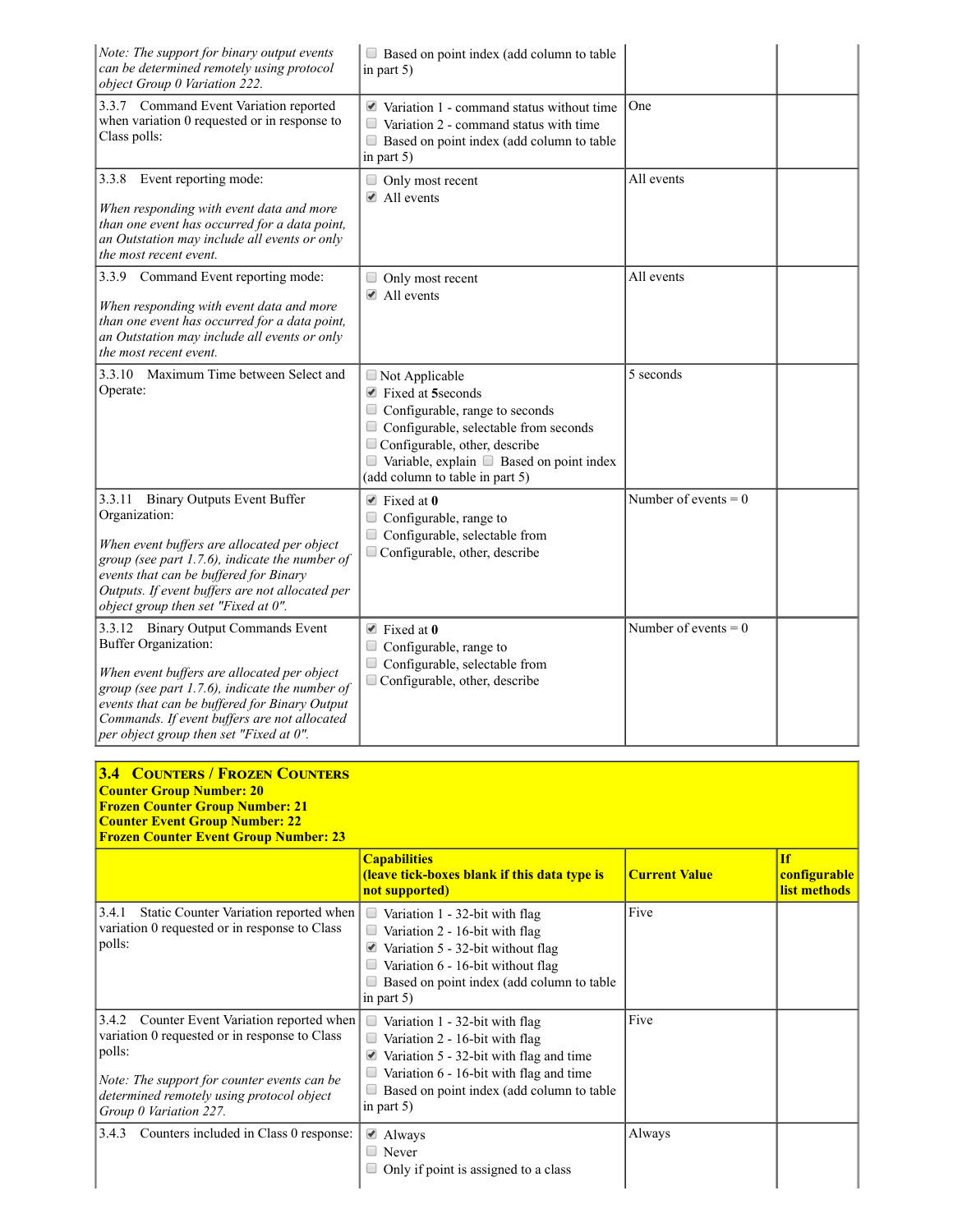| Note: The support for binary output events<br>can be determined remotely using protocol<br>object Group 0 Variation 222.                                                                                                                                                                                 | Based on point index (add column to table<br>in part $5$ )                                                                                                                                                                                                        |                        |
|----------------------------------------------------------------------------------------------------------------------------------------------------------------------------------------------------------------------------------------------------------------------------------------------------------|-------------------------------------------------------------------------------------------------------------------------------------------------------------------------------------------------------------------------------------------------------------------|------------------------|
| 3.3.7 Command Event Variation reported<br>when variation 0 requested or in response to<br>Class polls:                                                                                                                                                                                                   | $\blacktriangleright$ Variation 1 - command status without time<br>$\Box$<br>Variation 2 - command status with time<br>Based on point index (add column to table<br>in part 5)                                                                                    | One                    |
| 3.3.8 Event reporting mode:<br>When responding with event data and more<br>than one event has occurred for a data point,<br>an Outstation may include all events or only<br>the most recent event.                                                                                                       | Only most recent<br>$\triangle$ All events                                                                                                                                                                                                                        | All events             |
| 3.3.9 Command Event reporting mode:<br>When responding with event data and more<br>than one event has occurred for a data point,<br>an Outstation may include all events or only<br>the most recent event.                                                                                               | $\Box$ Only most recent<br>$\triangle$ All events                                                                                                                                                                                                                 | All events             |
| 3.3.10 Maximum Time between Select and<br>Operate:                                                                                                                                                                                                                                                       | $\Box$ Not Applicable<br>■ Fixed at 5seconds<br>$\Box$ Configurable, range to seconds<br>Configurable, selectable from seconds<br>$\Box$ Configurable, other, describe<br>$\Box$ Variable, explain $\Box$ Based on point index<br>(add column to table in part 5) | 5 seconds              |
| 3.3.11 Binary Outputs Event Buffer<br>Organization:<br>When event buffers are allocated per object<br>group (see part 1.7.6), indicate the number of<br>events that can be buffered for Binary<br>Outputs. If event buffers are not allocated per<br>object group then set "Fixed at 0".                 | $\triangle$ Fixed at 0<br>Configurable, range to<br>Configurable, selectable from<br>Configurable, other, describe                                                                                                                                                | Number of events = $0$ |
| 3.3.12 Binary Output Commands Event<br>Buffer Organization:<br>When event buffers are allocated per object<br>group (see part 1.7.6), indicate the number of<br>events that can be buffered for Binary Output<br>Commands. If event buffers are not allocated<br>per object group then set "Fixed at 0". | $\blacktriangleright$ Fixed at 0<br>Configurable, range to<br>Configurable, selectable from<br>$\Box$ Configurable, other, describe                                                                                                                               | Number of events $= 0$ |

| <b>3.4 COUNTERS / FROZEN COUNTERS</b><br><b>Counter Group Number: 20</b><br><b>Frozen Counter Group Number: 21</b><br><b>Counter Event Group Number: 22</b><br><b>Frozen Counter Event Group Number: 23</b>                     |                                                                                                                                                                                                                                |                      |                                           |
|---------------------------------------------------------------------------------------------------------------------------------------------------------------------------------------------------------------------------------|--------------------------------------------------------------------------------------------------------------------------------------------------------------------------------------------------------------------------------|----------------------|-------------------------------------------|
|                                                                                                                                                                                                                                 | <b>Capabilities</b><br><b>(leave tick-boxes blank if this data type is</b><br>not supported)                                                                                                                                   | <b>Current Value</b> | <b>If</b><br>configurable<br>list methods |
| 3.4.1<br>Static Counter Variation reported when<br>variation 0 requested or in response to Class<br>polls:                                                                                                                      | $\Box$<br>Variation 1 - 32-bit with flag<br>Variation 2 - 16-bit with flag<br>$\Box$<br>Variation 5 - 32-bit without flag<br>Variation 6 - 16-bit without flag<br>Based on point index (add column to table<br>in part $5$ )   | Five                 |                                           |
| Counter Event Variation reported when<br>3.4.2<br>variation 0 requested or in response to Class<br>polls:<br>Note: The support for counter events can be<br>determined remotely using protocol object<br>Group 0 Variation 227. | Variation 1 - 32-bit with flag<br>$\Box$<br>Variation 2 - 16-bit with flag<br>Variation 5 - 32-bit with flag and time<br>Variation 6 - 16-bit with flag and time<br>Based on point index (add column to table<br>in part $5$ ) | Five                 |                                           |
| Counters included in Class 0 response:<br>3.4.3                                                                                                                                                                                 | ■ Always<br>Never<br>Only if point is assigned to a class                                                                                                                                                                      | Always               |                                           |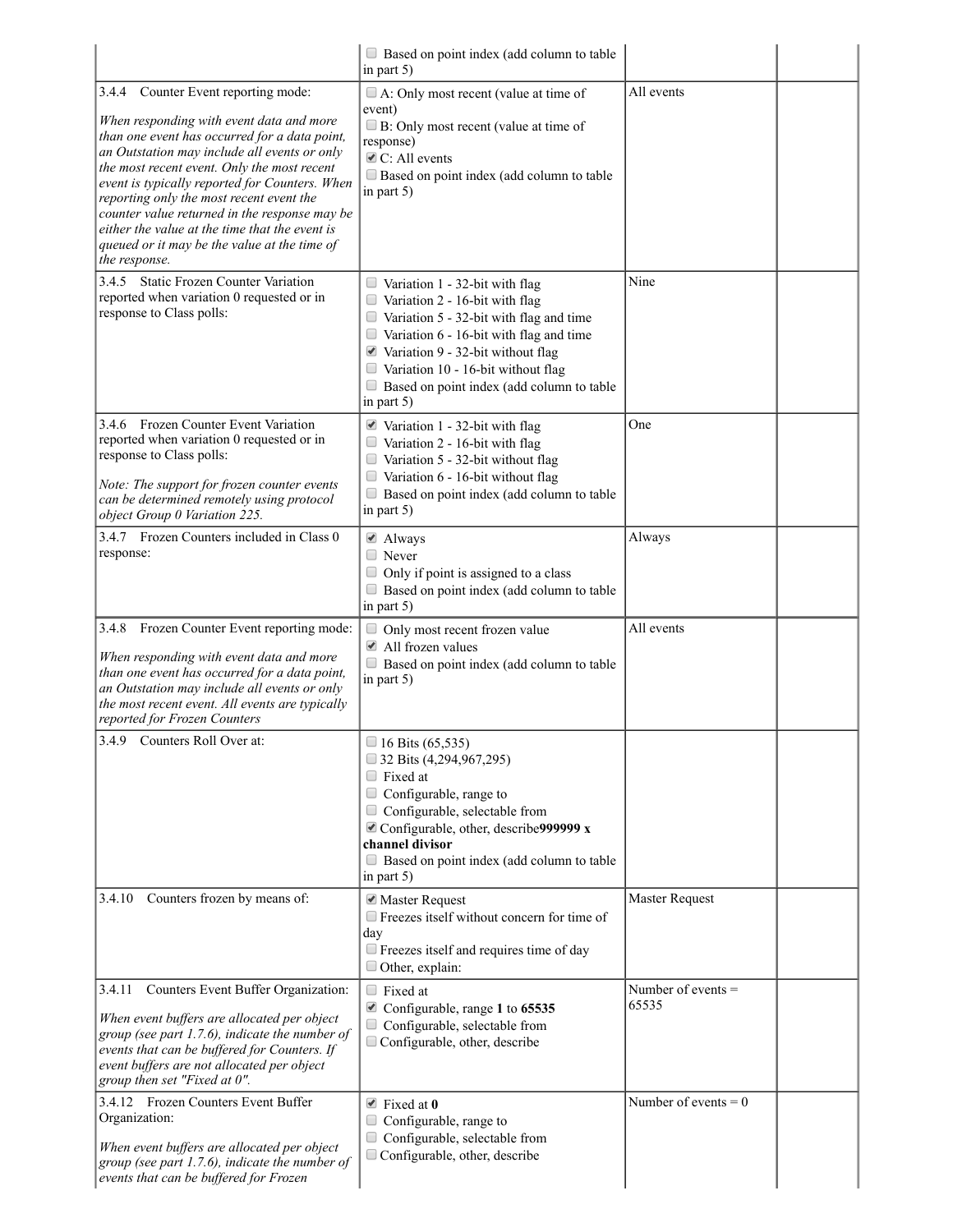|                                                                                                                                                                                                                                                                                                                                                                                                                                                                                                      | $\Box$ Based on point index (add column to table<br>in part $5$ )                                                                                                                                                                                                                                                                                           |                             |
|------------------------------------------------------------------------------------------------------------------------------------------------------------------------------------------------------------------------------------------------------------------------------------------------------------------------------------------------------------------------------------------------------------------------------------------------------------------------------------------------------|-------------------------------------------------------------------------------------------------------------------------------------------------------------------------------------------------------------------------------------------------------------------------------------------------------------------------------------------------------------|-----------------------------|
| Counter Event reporting mode:<br>3.4.4<br>When responding with event data and more<br>than one event has occurred for a data point,<br>an Outstation may include all events or only<br>the most recent event. Only the most recent<br>event is typically reported for Counters. When<br>reporting only the most recent event the<br>counter value returned in the response may be<br>either the value at the time that the event is<br>queued or it may be the value at the time of<br>the response. | $\Box$ A: Only most recent (value at time of<br>event)<br>B: Only most recent (value at time of<br>response)<br>$\triangle$ C: All events<br>$\Box$ Based on point index (add column to table<br>in part $5$ )                                                                                                                                              | All events                  |
| 3.4.5 Static Frozen Counter Variation<br>reported when variation 0 requested or in<br>response to Class polls:                                                                                                                                                                                                                                                                                                                                                                                       | $\Box$ Variation 1 - 32-bit with flag<br>$\Box$ Variation 2 - 16-bit with flag<br>$\Box$ Variation 5 - 32-bit with flag and time<br>$\Box$ Variation 6 - 16-bit with flag and time<br>$\blacksquare$ Variation 9 - 32-bit without flag<br>$\Box$ Variation 10 - 16-bit without flag<br>$\Box$<br>Based on point index (add column to table<br>in part $5$ ) | Nine                        |
| 3.4.6 Frozen Counter Event Variation<br>reported when variation 0 requested or in<br>response to Class polls:<br>Note: The support for frozen counter events<br>can be determined remotely using protocol<br>object Group 0 Variation 225.                                                                                                                                                                                                                                                           | $\blacksquare$ Variation 1 - 32-bit with flag<br>$\Box$ Variation 2 - 16-bit with flag<br>$\Box$ Variation 5 - 32-bit without flag<br>$\Box$ Variation 6 - 16-bit without flag<br>Based on point index (add column to table<br>in part $5$ )                                                                                                                | One                         |
| 3.4.7 Frozen Counters included in Class 0<br>response:                                                                                                                                                                                                                                                                                                                                                                                                                                               | $\triangle$ Always<br>$\Box$ Never<br>Only if point is assigned to a class<br>Based on point index (add column to table<br>in part $5$ )                                                                                                                                                                                                                    | Always                      |
| 3.4.8<br>Frozen Counter Event reporting mode:<br>When responding with event data and more<br>than one event has occurred for a data point,<br>an Outstation may include all events or only<br>the most recent event. All events are typically<br>reported for Frozen Counters                                                                                                                                                                                                                        | Only most recent frozen value<br>$\Box$<br>All frozen values<br>$\Box$ Based on point index (add column to table<br>in part 5)                                                                                                                                                                                                                              | All events                  |
| 3.4.9 Counters Roll Over at:                                                                                                                                                                                                                                                                                                                                                                                                                                                                         | $\Box$ 16 Bits (65,535)<br>$\Box$ 32 Bits (4,294,967,295)<br>$\Box$ Fixed at<br>Configurable, range to<br>Configurable, selectable from<br>$\triangle$ Configurable, other, describe 9999999 x<br>channel divisor<br>Based on point index (add column to table<br>in part $5$ )                                                                             |                             |
| Counters frozen by means of:<br>3.4.10                                                                                                                                                                                                                                                                                                                                                                                                                                                               | ■ Master Request<br>$\Box$ Freezes itself without concern for time of<br>day<br>$\Box$ Freezes itself and requires time of day<br>$\Box$ Other, explain:                                                                                                                                                                                                    | Master Request              |
| Counters Event Buffer Organization:<br>3.4.11<br>When event buffers are allocated per object<br>group (see part 1.7.6), indicate the number of<br>events that can be buffered for Counters. If<br>event buffers are not allocated per object<br>group then set "Fixed at 0".                                                                                                                                                                                                                         | $\Box$ Fixed at<br>■ Configurable, range 1 to 65535<br>$\Box$ Configurable, selectable from<br>Configurable, other, describe                                                                                                                                                                                                                                | Number of events =<br>65535 |
| 3.4.12 Frozen Counters Event Buffer<br>Organization:<br>When event buffers are allocated per object<br>group (see part 1.7.6), indicate the number of<br>events that can be buffered for Frozen                                                                                                                                                                                                                                                                                                      | $\blacktriangleright$ Fixed at 0<br>Configurable, range to<br>$\Box$ Configurable, selectable from<br>$\Box$ Configurable, other, describe                                                                                                                                                                                                                  | Number of events $= 0$      |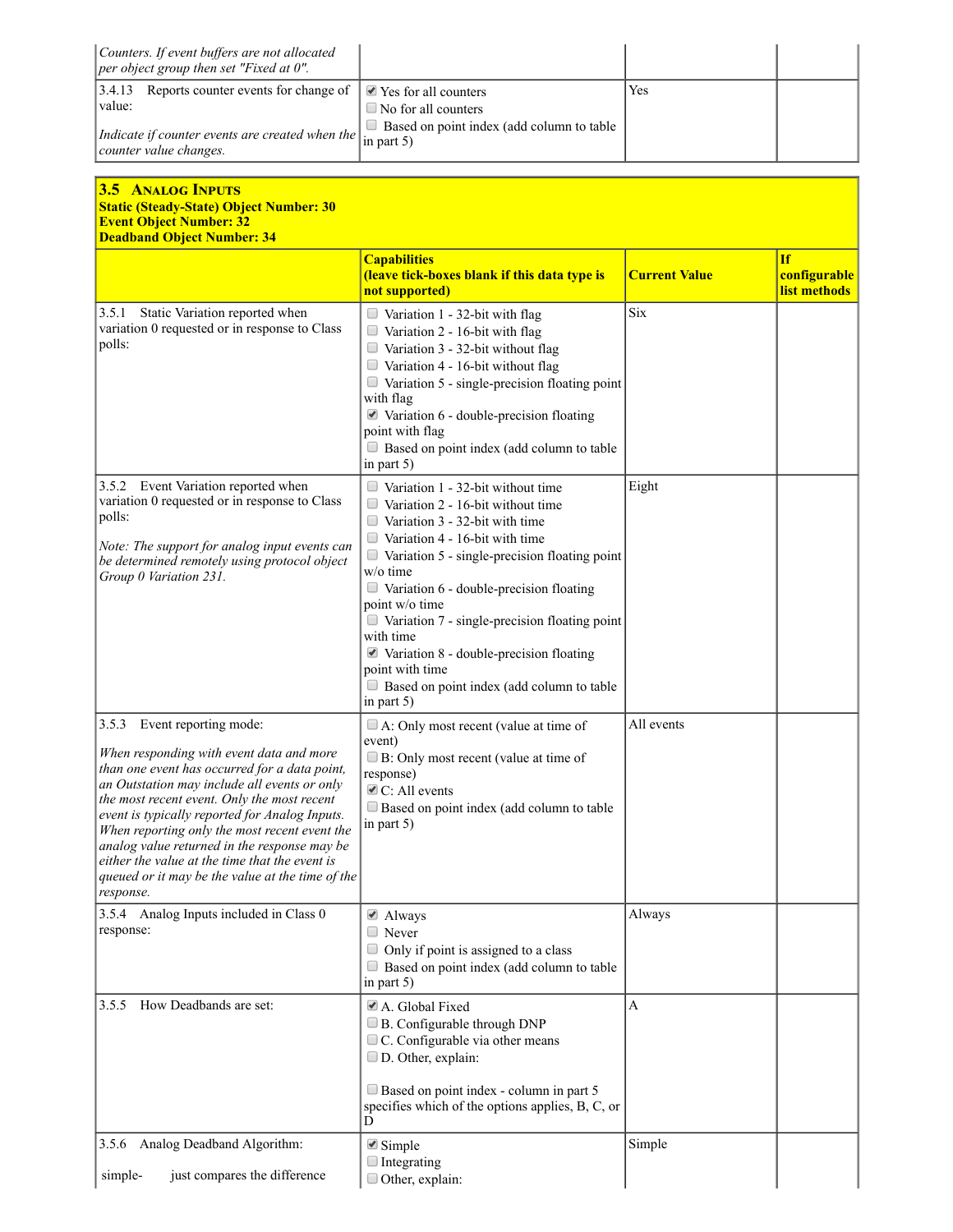| Counters. If event buffers are not allocated<br>per object group then set "Fixed at 0".                                                                                                                                                                                                                                                                                                                                                                                                          |                                                                                                                                                                                                                                                                                                                                                                                                                                                                                                                        |                      |                                           |
|--------------------------------------------------------------------------------------------------------------------------------------------------------------------------------------------------------------------------------------------------------------------------------------------------------------------------------------------------------------------------------------------------------------------------------------------------------------------------------------------------|------------------------------------------------------------------------------------------------------------------------------------------------------------------------------------------------------------------------------------------------------------------------------------------------------------------------------------------------------------------------------------------------------------------------------------------------------------------------------------------------------------------------|----------------------|-------------------------------------------|
| Reports counter events for change of<br>3.4.13<br>value:<br>Indicate if counter events are created when the<br>counter value changes.                                                                                                                                                                                                                                                                                                                                                            | ■ Yes for all counters<br>$\Box$ No for all counters<br>Based on point index (add column to table<br>in part $5$ )                                                                                                                                                                                                                                                                                                                                                                                                     | Yes                  |                                           |
| <b>3.5 ANALOG INPUTS</b><br><b>Static (Steady-State) Object Number: 30</b><br><b>Event Object Number: 32</b><br><b>Deadband Object Number: 34</b>                                                                                                                                                                                                                                                                                                                                                |                                                                                                                                                                                                                                                                                                                                                                                                                                                                                                                        |                      |                                           |
|                                                                                                                                                                                                                                                                                                                                                                                                                                                                                                  | <b>Capabilities</b><br>(leave tick-boxes blank if this data type is<br>not supported)                                                                                                                                                                                                                                                                                                                                                                                                                                  | <b>Current Value</b> | <b>If</b><br>configurable<br>list methods |
| Static Variation reported when<br>3.5.1<br>variation 0 requested or in response to Class<br>polls:                                                                                                                                                                                                                                                                                                                                                                                               | $\Box$ Variation 1 - 32-bit with flag<br>Variation 2 - 16-bit with flag<br>$\Box$ Variation 3 - 32-bit without flag<br>$\Box$ Variation 4 - 16-bit without flag<br>$\Box$ Variation 5 - single-precision floating point<br>with flag<br>$\blacktriangleright$ Variation 6 - double-precision floating<br>point with flag<br>Based on point index (add column to table<br>in part 5)                                                                                                                                    | <b>Six</b>           |                                           |
| 3.5.2 Event Variation reported when<br>variation 0 requested or in response to Class<br>polls:<br>Note: The support for analog input events can<br>be determined remotely using protocol object<br>Group 0 Variation 231.                                                                                                                                                                                                                                                                        | $\Box$ Variation 1 - 32-bit without time<br>Variation 2 - 16-bit without time<br>$\Box$ Variation 3 - 32-bit with time<br>Variation 4 - 16-bit with time<br>$\Box$ Variation 5 - single-precision floating point<br>w/o time<br>$\Box$ Variation 6 - double-precision floating<br>point w/o time<br>$\Box$ Variation 7 - single-precision floating point<br>with time<br>$\blacktriangleright$ Variation 8 - double-precision floating<br>point with time<br>Based on point index (add column to table<br>in part $5)$ | Eight                |                                           |
| 3.5.3<br>Event reporting mode:<br>When responding with event data and more<br>than one event has occurred for a data point,<br>an Outstation may include all events or only<br>the most recent event. Only the most recent<br>event is typically reported for Analog Inputs.<br>When reporting only the most recent event the<br>analog value returned in the response may be<br>either the value at the time that the event is<br>queued or it may be the value at the time of the<br>response. | $\Box$ A: Only most recent (value at time of<br>event)<br>B: Only most recent (value at time of<br>response)<br>$\triangle$ C: All events<br>Based on point index (add column to table<br>in part 5)                                                                                                                                                                                                                                                                                                                   | All events           |                                           |
| 3.5.4<br>Analog Inputs included in Class 0<br>response:                                                                                                                                                                                                                                                                                                                                                                                                                                          | ■ Always<br>$\Box$ Never<br>$\Box$ Only if point is assigned to a class<br>Based on point index (add column to table<br>in part 5)                                                                                                                                                                                                                                                                                                                                                                                     | Always               |                                           |
| How Deadbands are set:<br>3.5.5                                                                                                                                                                                                                                                                                                                                                                                                                                                                  | A. Global Fixed<br>B. Configurable through DNP<br>C. Configurable via other means<br>D. Other, explain:<br>Based on point index - column in part 5<br>specifies which of the options applies, B, C, or<br>D                                                                                                                                                                                                                                                                                                            | $\mathbf{A}$         |                                           |
| Analog Deadband Algorithm:<br>3.5.6<br>just compares the difference<br>simple-                                                                                                                                                                                                                                                                                                                                                                                                                   | $\triangle$ Simple<br>$\Box$ Integrating<br>Other, explain:                                                                                                                                                                                                                                                                                                                                                                                                                                                            | Simple               |                                           |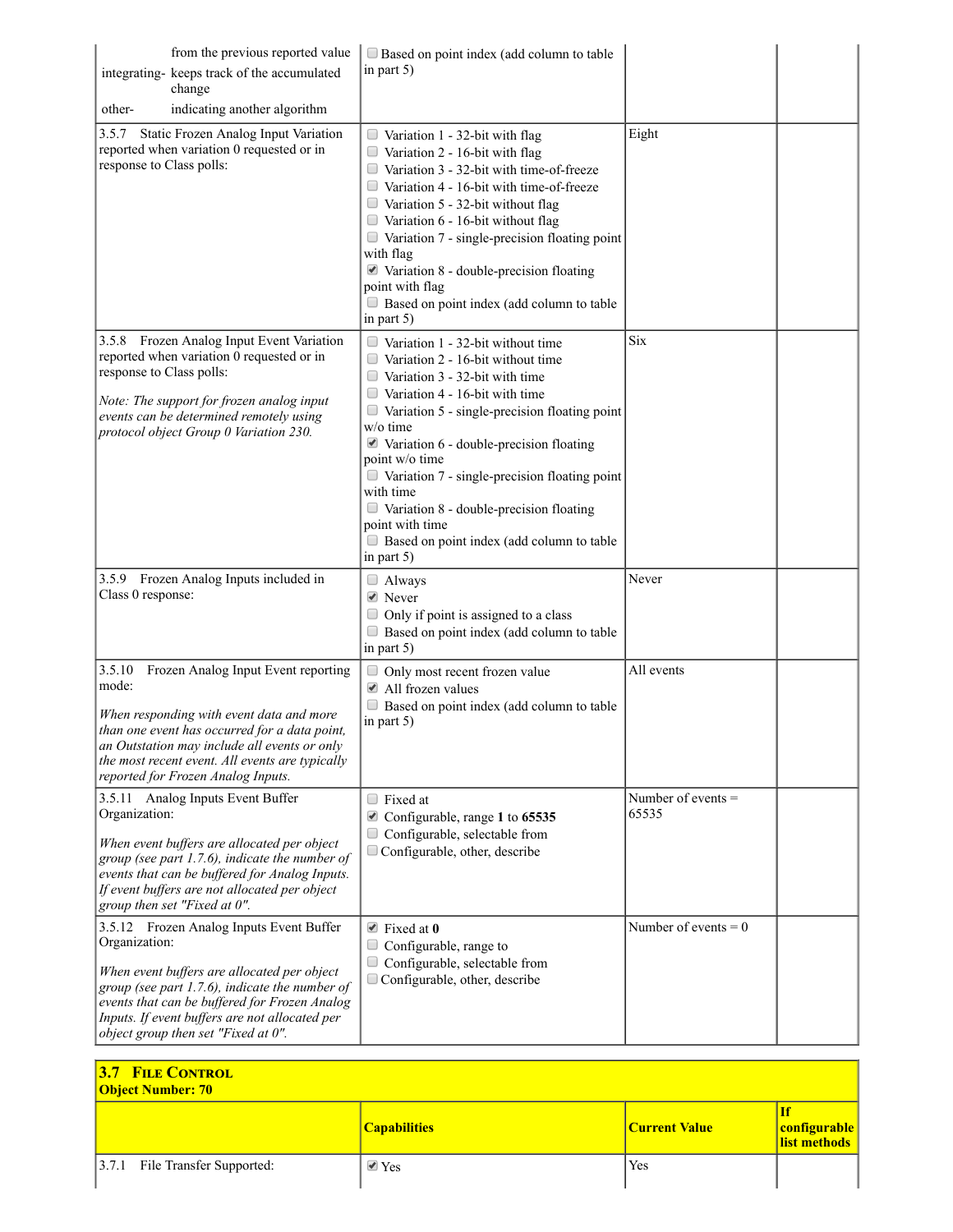| from the previous reported value<br>integrating- keeps track of the accumulated<br>change<br>indicating another algorithm<br>other-                                                                                                                                                                  | $\Box$ Based on point index (add column to table<br>in part $5$ )                                                                                                                                                                                                                                                                                                                                                                                                                                                                   |                               |
|------------------------------------------------------------------------------------------------------------------------------------------------------------------------------------------------------------------------------------------------------------------------------------------------------|-------------------------------------------------------------------------------------------------------------------------------------------------------------------------------------------------------------------------------------------------------------------------------------------------------------------------------------------------------------------------------------------------------------------------------------------------------------------------------------------------------------------------------------|-------------------------------|
| Static Frozen Analog Input Variation<br>3.5.7<br>reported when variation 0 requested or in<br>response to Class polls:                                                                                                                                                                               | $\Box$ Variation 1 - 32-bit with flag<br>$\Box$ Variation 2 - 16-bit with flag<br>Variation 3 - 32-bit with time-of-freeze<br>Variation 4 - 16-bit with time-of-freeze<br>$\Box$ Variation 5 - 32-bit without flag<br>$\Box$ Variation 6 - 16-bit without flag<br>Variation 7 - single-precision floating point<br>$\Box$<br>with flag<br>■ Variation 8 - double-precision floating<br>point with flag<br>Based on point index (add column to table<br>in part 5)                                                                   | Eight                         |
| 3.5.8 Frozen Analog Input Event Variation<br>reported when variation 0 requested or in<br>response to Class polls:<br>Note: The support for frozen analog input<br>events can be determined remotely using<br>protocol object Group 0 Variation 230.                                                 | $\Box$ Variation 1 - 32-bit without time<br>Variation 2 - 16-bit without time<br>$\Box$ Variation 3 - 32-bit with time<br>Variation 4 - 16-bit with time<br>Variation 5 - single-precision floating point<br>$\Box$<br>w/o time<br>$\blacktriangleright$ Variation 6 - double-precision floating<br>point w/o time<br>Variation 7 - single-precision floating point<br>$\Box$<br>with time<br>$\Box$ Variation 8 - double-precision floating<br>point with time<br>$\Box$ Based on point index (add column to table<br>in part $5)$ | <b>Six</b>                    |
| 3.5.9 Frozen Analog Inputs included in<br>Class 0 response:                                                                                                                                                                                                                                          | $\Box$ Always<br>$\blacktriangleright$ Never<br>Only if point is assigned to a class<br>$\Box$ Based on point index (add column to table<br>in part 5)                                                                                                                                                                                                                                                                                                                                                                              | Never                         |
| 3.5.10<br>Frozen Analog Input Event reporting<br>mode:<br>When responding with event data and more<br>than one event has occurred for a data point,<br>an Outstation may include all events or only<br>the most recent event. All events are typically<br>reported for Frozen Analog Inputs.         | Only most recent frozen value<br>$\Box$<br>$\blacksquare$ All frozen values<br>Based on point index (add column to table<br>in part $5$ )                                                                                                                                                                                                                                                                                                                                                                                           | All events                    |
| 3.5.11 Analog Inputs Event Buffer<br>Organization:<br>When event buffers are allocated per object<br>group (see part $1.7.6$ ), indicate the number of<br>events that can be buffered for Analog Inputs.<br>If event buffers are not allocated per object<br>group then set "Fixed at 0".            | $\Box$ Fixed at<br>Configurable, range 1 to 65535<br>Configurable, selectable from<br>$\Box$ Configurable, other, describe                                                                                                                                                                                                                                                                                                                                                                                                          | Number of events $=$<br>65535 |
| 3.5.12 Frozen Analog Inputs Event Buffer<br>Organization:<br>When event buffers are allocated per object<br>group (see part 1.7.6), indicate the number of<br>events that can be buffered for Frozen Analog<br>Inputs. If event buffers are not allocated per<br>object group then set "Fixed at 0". | $\blacktriangleright$ Fixed at 0<br>Configurable, range to<br>$\Box$<br>Configurable, selectable from<br>Configurable, other, describe                                                                                                                                                                                                                                                                                                                                                                                              | Number of events = $0$        |

| <b>3.7 FILE CONTROL</b><br><b>Object Number: 70</b> |                     |               |              |
|-----------------------------------------------------|---------------------|---------------|--------------|
|                                                     | <b>Capabilities</b> | Current Value | configurable |
| [3.7.1 File Transfer Supported:                     | $\vee$ Yes          | Yes           |              |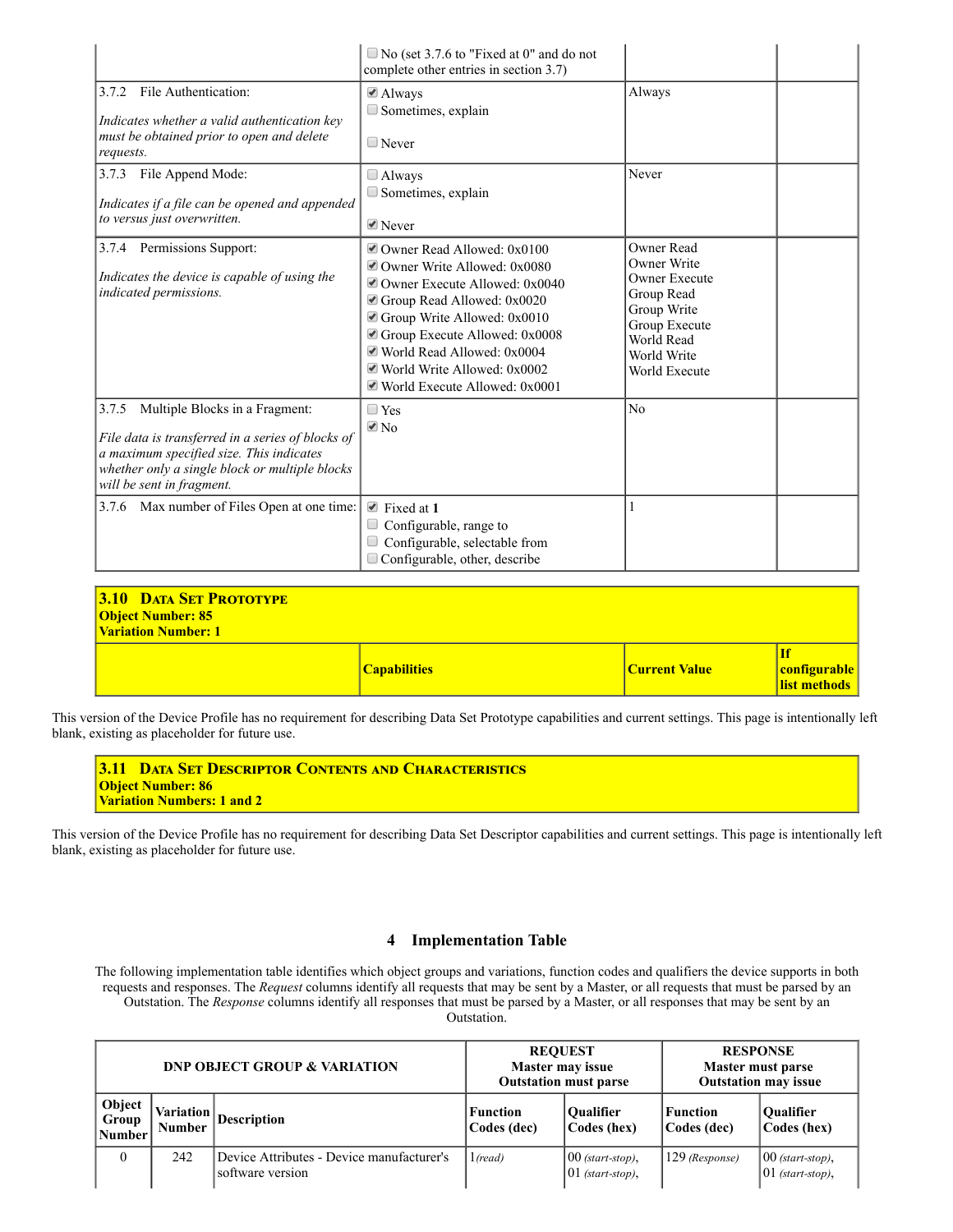|                                                                                                                                                                                                                         | $\Box$ No (set 3.7.6 to "Fixed at 0" and do not<br>complete other entries in section 3.7)                                                                                                                                                                                                          |                                                                                                                                               |
|-------------------------------------------------------------------------------------------------------------------------------------------------------------------------------------------------------------------------|----------------------------------------------------------------------------------------------------------------------------------------------------------------------------------------------------------------------------------------------------------------------------------------------------|-----------------------------------------------------------------------------------------------------------------------------------------------|
| File Authentication:<br>3.7.2<br>Indicates whether a valid authentication key<br>must be obtained prior to open and delete<br>requests.                                                                                 | $\triangle$ Always<br>Sometimes, explain<br>$\Box$ Never                                                                                                                                                                                                                                           | Always                                                                                                                                        |
| File Append Mode:<br>3.7.3<br>Indicates if a file can be opened and appended<br>to versus just overwritten.                                                                                                             | $\Box$ Always<br>$\Box$ Sometimes, explain<br>$\blacksquare$ Never                                                                                                                                                                                                                                 | Never                                                                                                                                         |
| 3.7.4 Permissions Support:<br>Indicates the device is capable of using the<br>indicated permissions.                                                                                                                    | ■ Owner Read Allowed: 0x0100<br>■ Owner Write Allowed: 0x0080<br>■ Owner Execute Allowed: 0x0040<br>Group Read Allowed: 0x0020<br>Group Write Allowed: 0x0010<br>Group Execute Allowed: 0x0008<br>■ World Read Allowed: 0x0004<br>■ World Write Allowed: 0x0002<br>World Execute Allowed: $0x0001$ | Owner Read<br>Owner Write<br><b>Owner Execute</b><br>Group Read<br>Group Write<br>Group Execute<br>World Read<br>World Write<br>World Execute |
| Multiple Blocks in a Fragment:<br>3.7.5<br>File data is transferred in a series of blocks of<br>a maximum specified size. This indicates<br>whether only a single block or multiple blocks<br>will be sent in fragment. | $\Box$ Yes<br>$\sqrt{2}$ No                                                                                                                                                                                                                                                                        | No                                                                                                                                            |
| 3.7.6 Max number of Files Open at one time:                                                                                                                                                                             | $\triangle$ Fixed at 1<br>Configurable, range to<br>Configurable, selectable from<br>Configurable, other, describe                                                                                                                                                                                 |                                                                                                                                               |

| <b>3.10 DATA SET PROTOTYPE</b><br><b>Object Number: 85</b><br><b>Variation Number: 1</b> |                     |               |                                    |
|------------------------------------------------------------------------------------------|---------------------|---------------|------------------------------------|
|                                                                                          | <b>Capabilities</b> | Current Value | Ιf<br>configurable<br>list methods |

This version of the Device Profile has no requirement for describing Data Set Prototype capabilities and current settings. This page is intentionally left blank, existing as placeholder for future use.

| <b>3.11 DATA SET DESCRIPTOR CONTENTS AND CHARACTERISTICS</b> |
|--------------------------------------------------------------|
| <b>Object Number: 86</b>                                     |
| <b>Variation Numbers: 1 and 2</b>                            |
|                                                              |

This version of the Device Profile has no requirement for describing Data Set Descriptor capabilities and current settings. This page is intentionally left blank, existing as placeholder for future use.

## 4 Implementation Table

The following implementation table identifies which object groups and variations, function codes and qualifiers the device supports in both requests and responses. The *Request* columns identify all requests that may be sent by a Master, or all requests that must be parsed by an Outstation. The *Response* columns identify all responses that must be parsed by a Master, or all responses that may be sent by an Outstation.

|                           |               | <b>DNP OBJECT GROUP &amp; VARIATION</b>                       |                         | <b>REQUEST</b><br><b>Master may issue</b><br><b>Outstation must parse</b> | <b>RESPONSE</b><br>Master must parse<br><b>Outstation may issue</b> |                                            |  |
|---------------------------|---------------|---------------------------------------------------------------|-------------------------|---------------------------------------------------------------------------|---------------------------------------------------------------------|--------------------------------------------|--|
| Object<br>Group<br>Number | <b>Number</b> | $\sim$  Variation  Description                                | Function<br>Codes (dec) | <b>Oualifier</b><br>Codes (hex)                                           | Function<br>Codes (dec)                                             | <b>Oualifier</b><br>Codes (hex)            |  |
| 0                         | 242           | Device Attributes - Device manufacturer's<br>software version | $1$ (read)              | $100$ (start-stop),<br>$ 01$ (start-stop),                                | 129 (Response)                                                      | $[00$ (start-stop),<br>$ 01$ (start-stop), |  |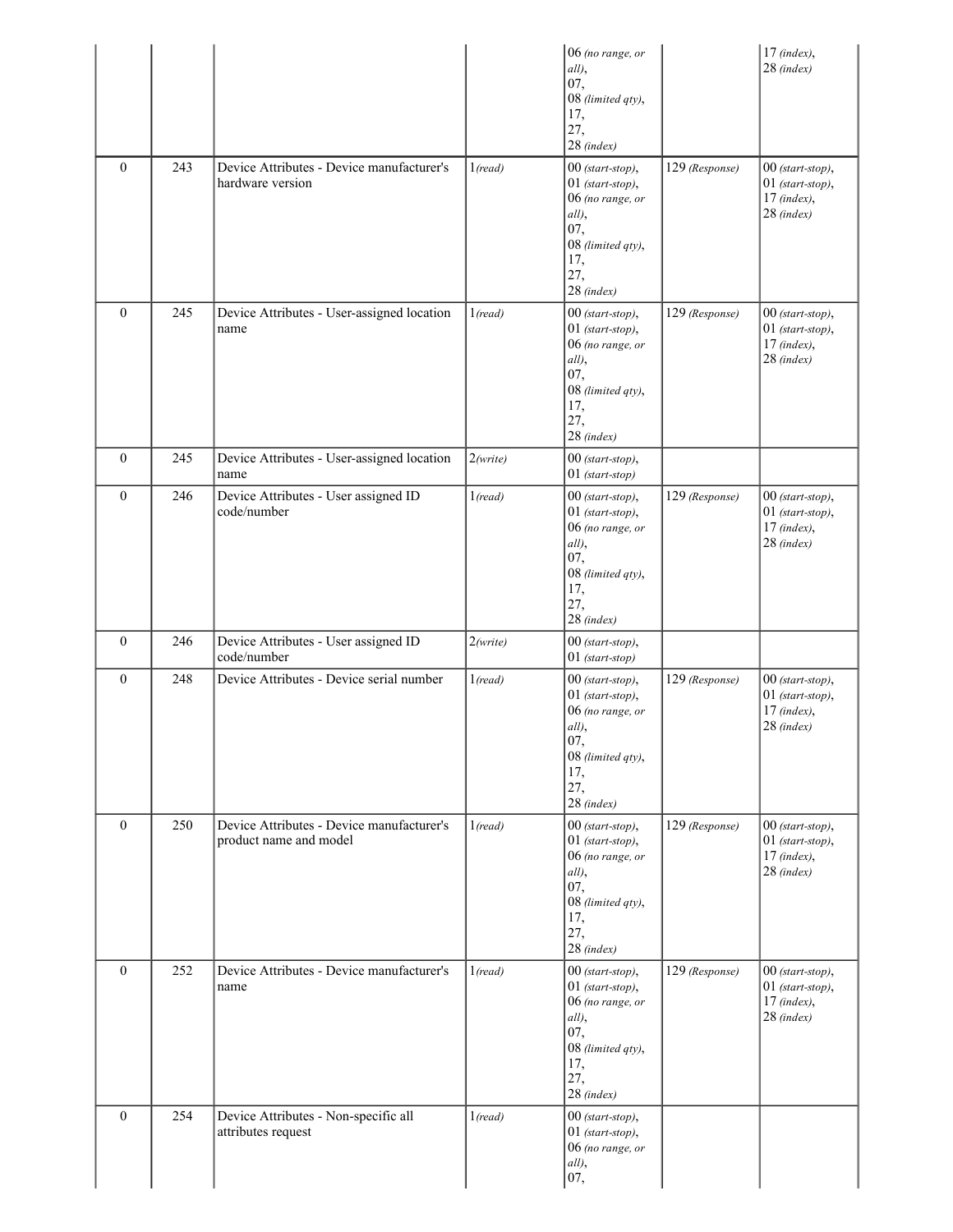|              |     |                                                                     |                  | 06 (no range, or<br>all),<br>07,<br>08 (limited qty),<br>17,<br>27,<br>28 (index)                                           |                | $17$ (index),<br>$28$ (index)                                           |
|--------------|-----|---------------------------------------------------------------------|------------------|-----------------------------------------------------------------------------------------------------------------------------|----------------|-------------------------------------------------------------------------|
| $\mathbf{0}$ | 243 | Device Attributes - Device manufacturer's<br>hardware version       | 1 (read)         | 00 (start-stop),<br>$01$ (start-stop),<br>06 (no range, or<br>all),<br>07,<br>08 (limited qty),<br>17,<br>27,<br>28 (index) | 129 (Response) | 00 (start-stop),<br>$01$ (start-stop),<br>$17$ (index),<br>28 (index)   |
| $\mathbf{0}$ | 245 | Device Attributes - User-assigned location<br>name                  | 1 (read)         | 00 (start-stop),<br>$01$ (start-stop),<br>06 (no range, or<br>all),<br>07,<br>08 (limited qty),<br>17,<br>27,<br>28 (index) | 129 (Response) | 00 (start-stop),<br>$01$ (start-stop),<br>$17$ (index),<br>$28$ (index) |
| $\mathbf{0}$ | 245 | Device Attributes - User-assigned location<br>name                  | 2(write)         | 00 (start-stop),<br>$01$ (start-stop)                                                                                       |                |                                                                         |
| $\mathbf{0}$ | 246 | Device Attributes - User assigned ID<br>code/number                 | 1 (read)         | 00 (start-stop),<br>01 (start-stop),<br>06 (no range, or<br>all),<br>07,<br>08 (limited qty),<br>17,<br>27,<br>$28$ (index) | 129 (Response) | $00$ (start-stop),<br>$01$ (start-stop),<br>$17$ (index),<br>28 (index) |
| $\mathbf{0}$ | 246 | Device Attributes - User assigned ID<br>code/number                 | 2(write)         | 00 (start-stop),<br>01 (start-stop)                                                                                         |                |                                                                         |
| $\mathbf{0}$ | 248 | Device Attributes - Device serial number                            | 1 (read)         | 00 (start-stop),<br>$01$ (start-stop),<br>06 (no range, or<br>all),<br>07,<br>08 (limited qty),<br>17,<br>27,<br>28 (index) | 129 (Response) | 00 (start-stop),<br>$01$ (start-stop),<br>$17$ (index),<br>$28$ (index) |
| $\mathbf{0}$ | 250 | Device Attributes - Device manufacturer's<br>product name and model | 1( <i>read</i> ) | 00 (start-stop),<br>$01$ (start-stop),<br>06 (no range, or<br>all),<br>07,<br>08 (limited qty),<br>17,<br>27,<br>28 (index) | 129 (Response) | 00 (start-stop),<br>$01$ (start-stop),<br>$17$ (index),<br>28 (index)   |
| $\mathbf{0}$ | 252 | Device Attributes - Device manufacturer's<br>name                   | 1 (read)         | 00 (start-stop),<br>$01$ (start-stop),<br>06 (no range, or<br>all),<br>07,<br>08 (limited qty),<br>17,<br>27,<br>28 (index) | 129 (Response) | $00$ (start-stop),<br>$01$ (start-stop),<br>$17$ (index),<br>28 (index) |
| $\mathbf{0}$ | 254 | Device Attributes - Non-specific all<br>attributes request          | 1 (read)         | 00 (start-stop),<br>$01$ (start-stop),<br>06 (no range, or<br>all),<br>07,                                                  |                |                                                                         |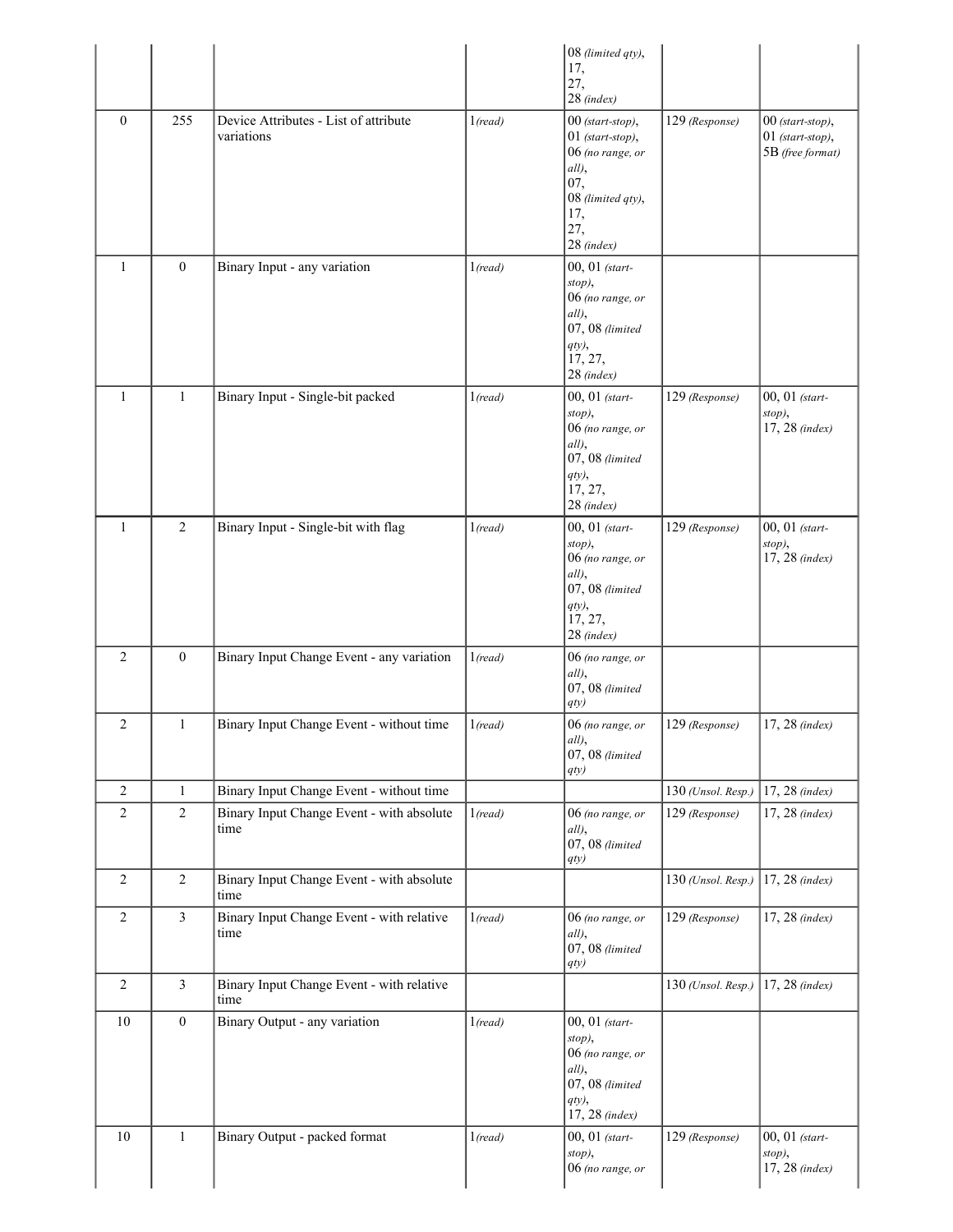|                |                  |                                                     |                  | 08 (limited qty),<br>17,<br>27,<br>28 (index)                                                                                 |                    |                                                              |
|----------------|------------------|-----------------------------------------------------|------------------|-------------------------------------------------------------------------------------------------------------------------------|--------------------|--------------------------------------------------------------|
| $\mathbf{0}$   | 255              | Device Attributes - List of attribute<br>variations | 1 (read)         | 00 (start-stop),<br>$01$ (start-stop),<br>06 (no range, or<br>all),<br>07,<br>08 (limited qty),<br>17,<br>27,<br>$28$ (index) | 129 (Response)     | $00$ (start-stop),<br>$01$ (start-stop),<br>5B (free format) |
| $\mathbf{1}$   | $\boldsymbol{0}$ | Binary Input - any variation                        | 1 (read)         | 00, 01 (start-<br>stop),<br>06 (no range, or<br>all),<br>07, 08 (limited<br>qty),<br>17, 27,<br>28 (index)                    |                    |                                                              |
| $\mathbf{1}$   | $\mathbf{1}$     | Binary Input - Single-bit packed                    | 1 (read)         | 00, 01 (start-<br>stop),<br>06 (no range, or<br>all),<br>$07,08$ (limited<br>qty),<br>17, 27,<br>28 (index)                   | 129 (Response)     | 00, 01 (start-<br>stop),<br>17, 28 (index)                   |
| $\mathbf{1}$   | $\overline{2}$   | Binary Input - Single-bit with flag                 | 1 (read)         | 00, 01 (start-<br>stop),<br>06 (no range, or<br>all),<br>$07,08$ (limited<br>qty),<br>17, 27,<br>28 (index)                   | 129 (Response)     | 00, 01 (start-<br>stop),<br>17, 28 (index)                   |
| $\overline{c}$ | $\mathbf{0}$     | Binary Input Change Event - any variation           | 1( <i>read</i> ) | 06 (no range, or<br>all),<br>07, 08 (limited<br>qty)                                                                          |                    |                                                              |
| $\overline{2}$ | $\mathbf{1}$     | Binary Input Change Event - without time            | 1 (read)         | 06 (no range, or<br>all),<br>07, 08 (limited<br>qty)                                                                          | 129 (Response)     | 17, 28 (index)                                               |
| $\overline{c}$ | $\mathbf{1}$     | Binary Input Change Event - without time            |                  |                                                                                                                               | 130 (Unsol. Resp.) | 17, 28 (index)                                               |
| $\overline{2}$ | $\overline{2}$   | Binary Input Change Event - with absolute<br>time   | 1( <i>read</i> ) | 06 (no range, or<br>all),<br>$07,08$ (limited<br>qty)                                                                         | 129 (Response)     | 17, 28 (index)                                               |
| $\overline{c}$ | $\overline{2}$   | Binary Input Change Event - with absolute<br>time   |                  |                                                                                                                               | 130 (Unsol. Resp.) | 17, 28 (index)                                               |
| 2              | $\mathfrak{Z}$   | Binary Input Change Event - with relative<br>time   | 1( <i>read</i> ) | 06 (no range, or<br>all),<br>$07,08$ (limited<br>$qty)$                                                                       | 129 (Response)     | 17, 28 (index)                                               |
| $\overline{c}$ | 3                | Binary Input Change Event - with relative<br>time   |                  |                                                                                                                               | 130 (Unsol. Resp.) | 17, 28 (index)                                               |
| 10             | $\boldsymbol{0}$ | Binary Output - any variation                       | 1 (read)         | 00, 01 (start-<br>stop),<br>06 (no range, or<br>all),<br>$07,08$ (limited<br>qty),<br>17, 28 (index)                          |                    |                                                              |
| 10             | $\mathbf{1}$     | Binary Output - packed format                       | 1 (read)         | 00, 01 (start-<br>stop),<br>06 (no range, or                                                                                  | 129 (Response)     | 00, 01 (start-<br>stop),<br>17, 28 (index)                   |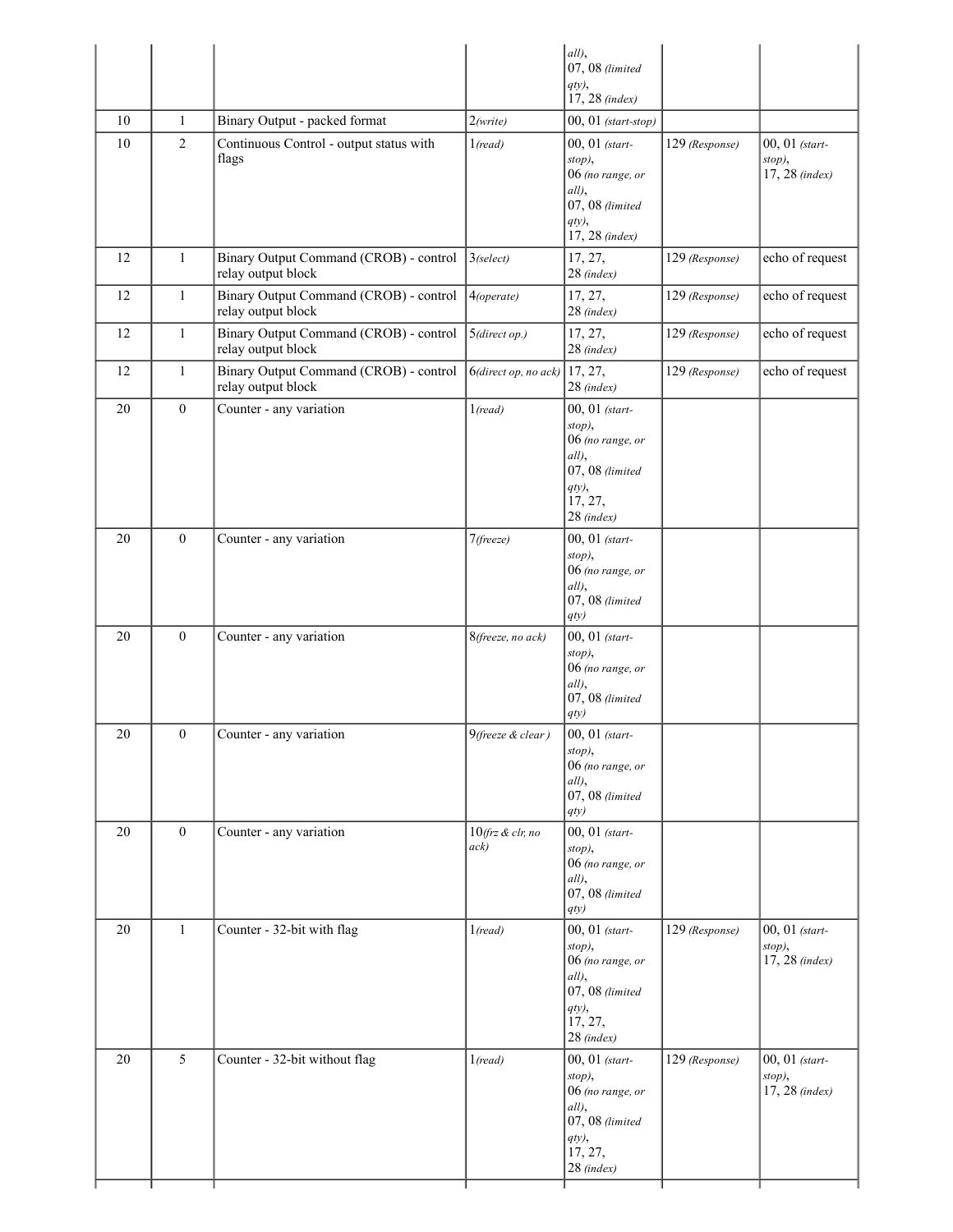|          |                   |                                                                                   |                             | all),<br>07, 08 (limited<br>qty),                                                                                               |                |                                              |
|----------|-------------------|-----------------------------------------------------------------------------------|-----------------------------|---------------------------------------------------------------------------------------------------------------------------------|----------------|----------------------------------------------|
|          |                   |                                                                                   |                             | 17, 28 (index)                                                                                                                  |                |                                              |
| 10<br>10 | $\mathbf{1}$<br>2 | Binary Output - packed format<br>Continuous Control - output status with<br>flags | 2(write)<br>1 (read)        | $00, 01$ (start-stop)<br>00, 01 (start-<br>stop),<br>06 (no range, or<br>all),<br>07, 08 (limited<br>$qty$ ),<br>17, 28 (index) | 129 (Response) | 00, 01 (start-<br>stop),<br>17, 28 (index)   |
| 12       | $\mathbf{1}$      | Binary Output Command (CROB) - control<br>relay output block                      | $3$ (select)                | 17, 27,<br>28 (index)                                                                                                           | 129 (Response) | echo of request                              |
| 12       | $\mathbf{1}$      | Binary Output Command (CROB) - control<br>relay output block                      | 4(operate)                  | 17, 27,<br>28 (index)                                                                                                           | 129 (Response) | echo of request                              |
| 12       | $\mathbf{1}$      | Binary Output Command (CROB) - control<br>relay output block                      | 5(direct op.)               | 17, 27,<br>28 (index)                                                                                                           | 129 (Response) | echo of request                              |
| 12       | $\mathbf{1}$      | Binary Output Command (CROB) - control<br>relay output block                      | 6(direct op, no ack)        | 17, 27,<br>$28$ (index)                                                                                                         | 129 (Response) | echo of request                              |
| 20       | $\mathbf{0}$      | Counter - any variation                                                           | 1( <i>read</i> )            | 00, 01 (start-<br>stop),<br>06 (no range, or<br>all),<br>07, 08 (limited<br>$qty$ ,<br>17, 27,<br>$28$ (index)                  |                |                                              |
| 20       | $\mathbf{0}$      | Counter - any variation                                                           | 7(freeze)                   | 00, 01 (start-<br>stop),<br>06 (no range, or<br>all),<br>07, 08 (limited<br>qty)                                                |                |                                              |
| 20       | $\mathbf{0}$      | Counter - any variation                                                           | 8(freeze, no ack)           | 00, 01 (start-<br>stop),<br>06 (no range, or<br>all),<br>07, 08 (limited<br>qty)                                                |                |                                              |
| 20       | $\mathbf{0}$      | Counter - any variation                                                           | $9$ (freeze & clear)        | $ 00, 01$ (start-<br>stop),<br>06 (no range, or<br>all),<br>$07,08$ (limited<br>qty)                                            |                |                                              |
| 20       | $\boldsymbol{0}$  | Counter - any variation                                                           | $10$ (frz & clr, no<br>ack) | 00, 01 (start-<br>stop),<br>06 (no range, or<br>all),<br>07, 08 (limited<br>qty)                                                |                |                                              |
| 20       | $\mathbf{1}$      | Counter - 32-bit with flag                                                        | 1( <i>read</i> )            | 00, 01 (start-<br>stop),<br>06 (no range, or<br>all),<br>07, 08 (limited<br>$qty$ ,<br>17, 27,<br>28 (index)                    | 129 (Response) | 00, 01 (start-<br>stop),<br>$17, 28$ (index) |
| 20       | 5                 | Counter - 32-bit without flag                                                     | 1 (read)                    | 00, 01 (start-<br>stop),<br>06 (no range, or<br>all),<br>07, 08 (limited<br>$qty$ ,<br>17, 27,<br>28 (index)                    | 129 (Response) | 00, 01 (start-<br>stop),<br>17, 28 (index)   |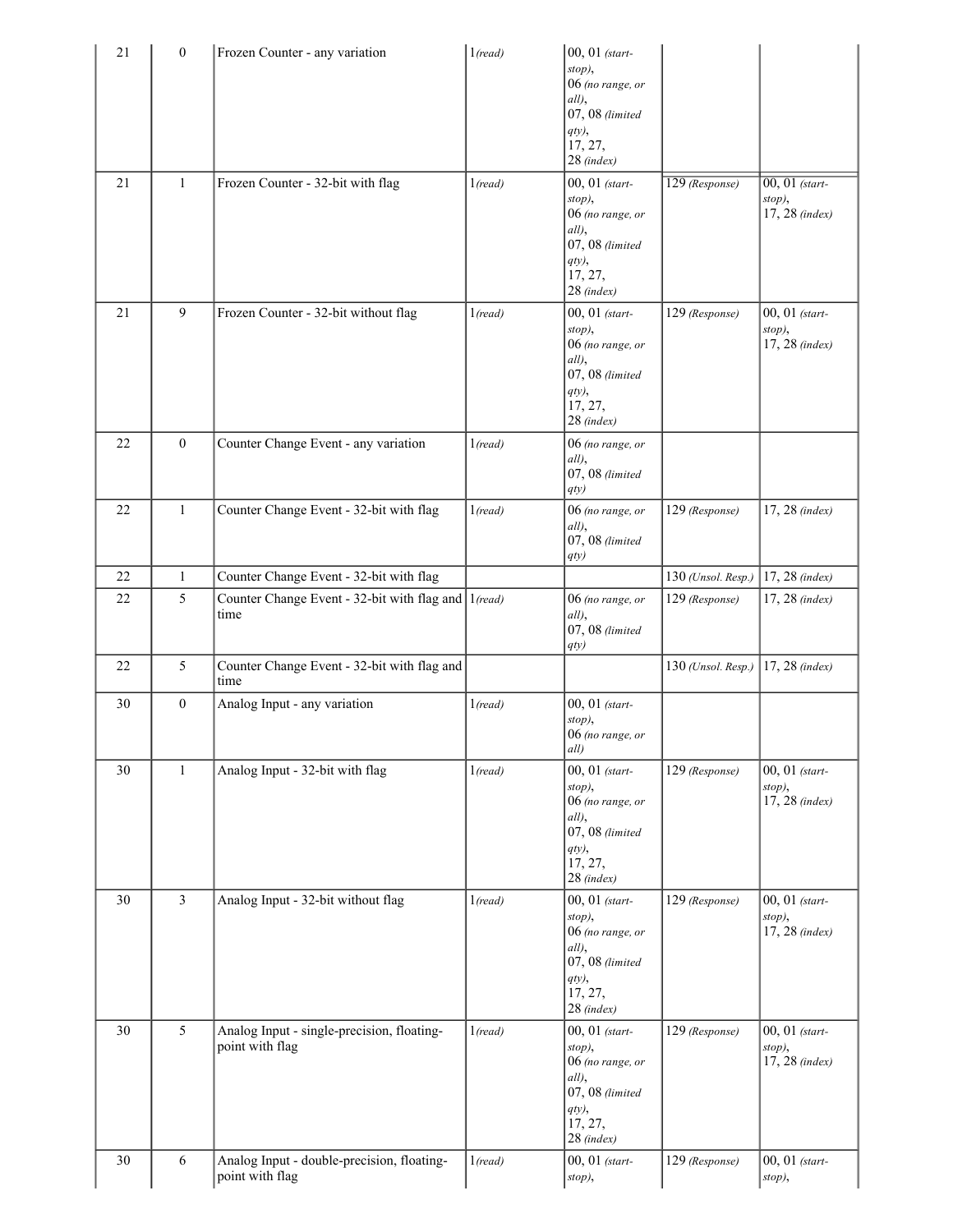| 21<br>21 | $\boldsymbol{0}$<br>$\mathbf{1}$ | Frozen Counter - any variation<br>Frozen Counter - 32-bit with flag | 1 (read)<br>1 (read) | 00, 01 (start-<br>stop),<br>06 (no range, or<br>all),<br>07, 08 (limited<br>$qty$ ,<br>17, 27,<br>28 (index)<br>00, 01 (start-<br>stop),<br>06 (no range, or<br>all),<br>07, 08 (limited<br>$qty$ ,<br>17, 27,<br>28 (index) | 129 (Response)     | $\overline{00, 01}$ (start-<br>stop),<br>17, 28 (index) |
|----------|----------------------------------|---------------------------------------------------------------------|----------------------|------------------------------------------------------------------------------------------------------------------------------------------------------------------------------------------------------------------------------|--------------------|---------------------------------------------------------|
| 21       | 9                                | Frozen Counter - 32-bit without flag                                | 1 (read)             | 00, 01 (start-<br>stop),<br>06 (no range, or<br>all),<br>07, 08 (limited<br>$qty$ ,<br>17, 27,<br>28 (index)                                                                                                                 | 129 (Response)     | 00, 01 (start-<br>stop),<br>17, 28 (index)              |
| 22       | $\theta$                         | Counter Change Event - any variation                                | 1 (read)             | 06 (no range, or<br>all),<br>$07,08$ (limited<br>qty)                                                                                                                                                                        |                    |                                                         |
| 22       | 1                                | Counter Change Event - 32-bit with flag                             | 1 (read)             | 06 (no range, or<br>$all$ ),<br>07, 08 (limited<br>qty)                                                                                                                                                                      | 129 (Response)     | 17, 28 (index)                                          |
| 22       | 1                                | Counter Change Event - 32-bit with flag                             |                      |                                                                                                                                                                                                                              | 130 (Unsol. Resp.) | $17, 28$ (index)                                        |
| 22       | 5                                | Counter Change Event - 32-bit with flag and 1(read)<br>time         |                      | 06 (no range, or<br>all),<br>$07,08$ (limited<br>qty)                                                                                                                                                                        | 129 (Response)     | 17, 28 (index)                                          |
| 22       | 5                                | Counter Change Event - 32-bit with flag and<br>time                 |                      |                                                                                                                                                                                                                              | 130 (Unsol. Resp.) | 17, 28 (index)                                          |
| 30       | $\mathbf{0}$                     | Analog Input - any variation                                        | 1 <sub>(read)</sub>  | 00, 01 (start-<br>stop),<br>06 (no range, or<br>$ all\rangle$                                                                                                                                                                |                    |                                                         |
| 30       | $\mathbf{1}$                     | Analog Input - 32-bit with flag                                     | 1 (read)             | 00, 01 (start-<br>stop),<br>06 (no range, or<br>all),<br>07, 08 (limited<br>$qty$ ,<br>17, 27,<br>28 (index)                                                                                                                 | 129 (Response)     | 00, 01 (start-<br>stop),<br>17, 28 (index)              |
| 30       | $\overline{3}$                   | Analog Input - 32-bit without flag                                  | 1 (read)             | 00, 01 (start-<br>stop),<br>06 (no range, or<br>all),<br>$07,08$ (limited<br>$qty$ ,<br>17, 27,<br>28 (index)                                                                                                                | 129 (Response)     | 00, 01 (start-<br>stop),<br>17, 28 (index)              |
| 30       | 5                                | Analog Input - single-precision, floating-<br>point with flag       | 1 (read)             | 00, 01 (start-<br>stop),<br>06 (no range, or<br>all),<br>$07,08$ (limited<br>$qty$ ),<br>17, 27,<br>28 (index)                                                                                                               | 129 (Response)     | 00, 01 (start-<br>stop),<br>17, 28 (index)              |
| 30       | 6                                | Analog Input - double-precision, floating-<br>point with flag       | 1 (read)             | 00, 01 (start-<br>stop),                                                                                                                                                                                                     | 129 (Response)     | 00, 01 (start-<br>stop),                                |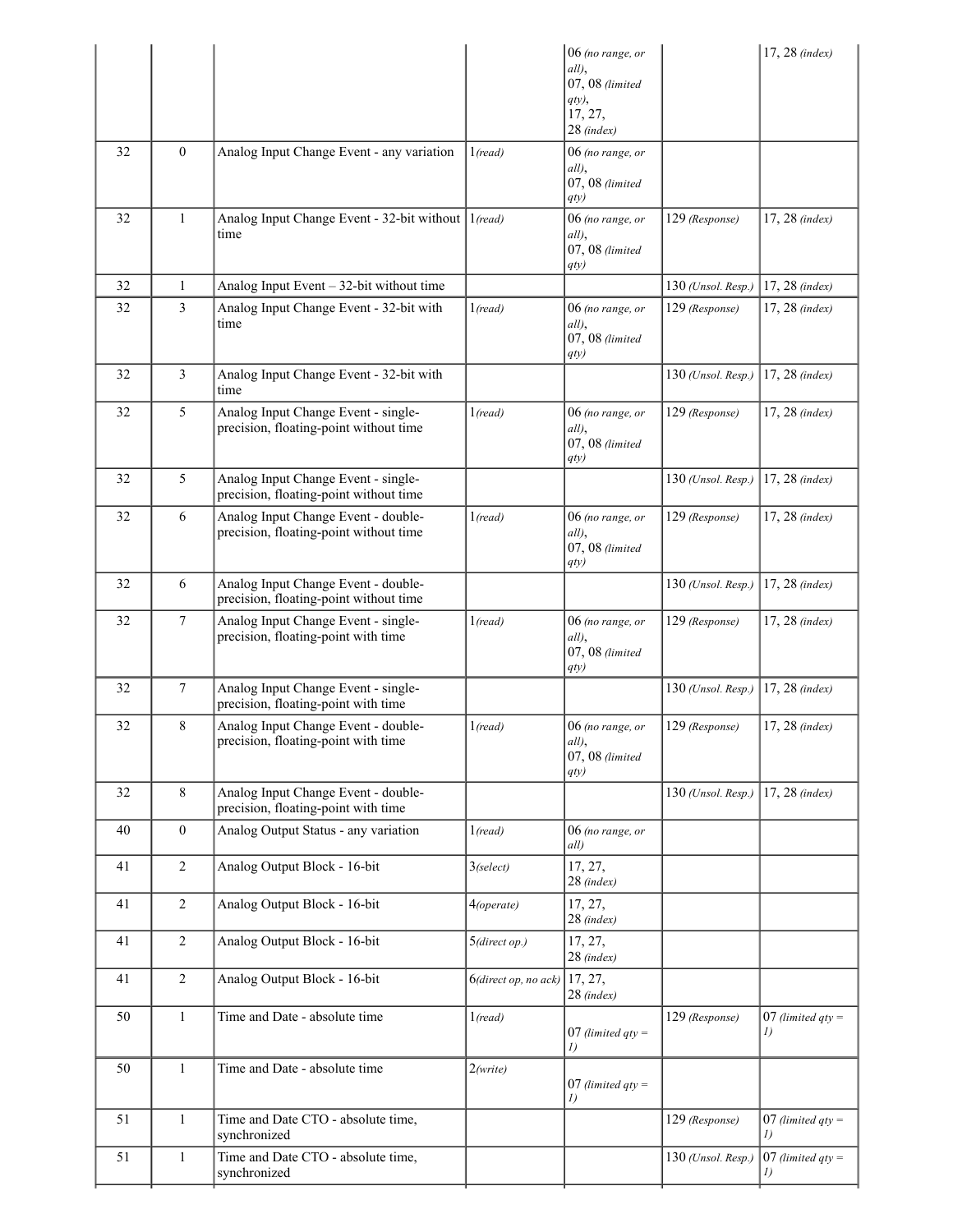|    |                |                                                                               |                                 | $06$ (no range, or       |                    | 17, 28 (index)      |
|----|----------------|-------------------------------------------------------------------------------|---------------------------------|--------------------------|--------------------|---------------------|
|    |                |                                                                               |                                 | all),<br>07, 08 (limited |                    |                     |
|    |                |                                                                               |                                 | qty),                    |                    |                     |
|    |                |                                                                               |                                 | 17, 27,                  |                    |                     |
|    |                |                                                                               |                                 | $28$ (index)             |                    |                     |
| 32 | $\overline{0}$ | Analog Input Change Event - any variation                                     | 1 (read)                        | 06 (no range, or         |                    |                     |
|    |                |                                                                               |                                 | all),                    |                    |                     |
|    |                |                                                                               |                                 | 07, 08 (limited          |                    |                     |
|    |                |                                                                               |                                 | qty)                     |                    |                     |
| 32 | $\mathbf{1}$   | Analog Input Change Event - 32-bit without 1(read)<br>time                    |                                 | 06 (no range, or         | 129 (Response)     | 17, 28 (index)      |
|    |                |                                                                               |                                 | all),<br>07, 08 (limited |                    |                     |
|    |                |                                                                               |                                 | qty)                     |                    |                     |
| 32 | $\mathbf{1}$   | Analog Input Event - 32-bit without time                                      |                                 |                          | 130 (Unsol. Resp.) | 17, 28 (index)      |
| 32 | 3              | Analog Input Change Event - 32-bit with                                       | 1 <sub>(read)</sub>             | 06 (no range, or         | 129 (Response)     | $17, 28$ (index)    |
|    |                | time                                                                          |                                 | all),                    |                    |                     |
|    |                |                                                                               |                                 | 07, 08 (limited          |                    |                     |
|    |                |                                                                               |                                 | qty)                     |                    |                     |
| 32 | 3              | Analog Input Change Event - 32-bit with                                       |                                 |                          | 130 (Unsol. Resp.) | 17, 28 (index)      |
|    |                | time                                                                          |                                 |                          |                    |                     |
| 32 | 5              | Analog Input Change Event - single-                                           | 1 (read)                        | 06 (no range, or         | 129 (Response)     | 17, 28 (index)      |
|    |                | precision, floating-point without time                                        |                                 | all),                    |                    |                     |
|    |                |                                                                               |                                 | $07,08$ (limited         |                    |                     |
|    |                |                                                                               |                                 | qty)                     |                    |                     |
| 32 | 5              | Analog Input Change Event - single-<br>precision, floating-point without time |                                 |                          | 130 (Unsol. Resp.) | 17, 28 (index)      |
|    |                |                                                                               |                                 |                          |                    |                     |
| 32 | 6              | Analog Input Change Event - double-                                           | 1 (read)                        | 06 (no range, or         | 129 (Response)     | $17, 28$ (index)    |
|    |                | precision, floating-point without time                                        |                                 | all),<br>07, 08 (limited |                    |                     |
|    |                |                                                                               |                                 | qty)                     |                    |                     |
| 32 | 6              | Analog Input Change Event - double-                                           |                                 |                          | 130 (Unsol. Resp.) | $17, 28$ (index)    |
|    |                | precision, floating-point without time                                        |                                 |                          |                    |                     |
| 32 | 7              | Analog Input Change Event - single-                                           | 1 (read)                        | $06$ (no range, or       | 129 (Response)     | $17, 28$ (index)    |
|    |                | precision, floating-point with time                                           |                                 | all),                    |                    |                     |
|    |                |                                                                               |                                 | 07, 08 (limited          |                    |                     |
|    |                |                                                                               |                                 | qty)                     |                    |                     |
| 32 | 7              | Analog Input Change Event - single-                                           |                                 |                          | 130 (Unsol. Resp.) | 17, 28 (index)      |
|    |                | precision, floating-point with time                                           |                                 |                          |                    |                     |
| 32 | 8              | Analog Input Change Event - double-                                           | 1 (read)                        | 06 (no range, or         | 129 (Response)     | $17, 28$ (index)    |
|    |                | precision, floating-point with time                                           |                                 | all),<br>07, 08 (limited |                    |                     |
|    |                |                                                                               |                                 | qty)                     |                    |                     |
| 32 | 8              | Analog Input Change Event - double-                                           |                                 |                          | 130 (Unsol. Resp.) | 17, 28 (index)      |
|    |                | precision, floating-point with time                                           |                                 |                          |                    |                     |
| 40 | $\mathbf{0}$   | Analog Output Status - any variation                                          | 1 (read)                        | 06 (no range, or         |                    |                     |
|    |                |                                                                               |                                 | all)                     |                    |                     |
| 41 | $\overline{2}$ | Analog Output Block - 16-bit                                                  | $3$ (select)                    | 17, 27,                  |                    |                     |
|    |                |                                                                               |                                 | $28$ (index)             |                    |                     |
| 41 | $\overline{2}$ | Analog Output Block - 16-bit                                                  | 4(operate)                      | 17, 27,                  |                    |                     |
|    |                |                                                                               |                                 | 28 (index)               |                    |                     |
| 41 | $\overline{2}$ | Analog Output Block - 16-bit                                                  | 5(direct op.)                   | 17, 27,                  |                    |                     |
|    |                |                                                                               |                                 | 28 (index)               |                    |                     |
| 41 | $\overline{2}$ | Analog Output Block - 16-bit                                                  | $6$ (direct op, no ack) 17, 27, |                          |                    |                     |
|    |                |                                                                               |                                 | $28$ (index)             |                    |                     |
| 50 | $\mathbf{1}$   | Time and Date - absolute time                                                 | 1 (read)                        |                          | 129 (Response)     | $07$ (limited qty = |
|    |                |                                                                               |                                 | 07 (limited $qty =$      |                    | 1)                  |
|    |                |                                                                               |                                 | I)                       |                    |                     |
| 50 | $\mathbf{1}$   | Time and Date - absolute time                                                 | 2(write)                        |                          |                    |                     |
|    |                |                                                                               |                                 | 07 (limited $qty =$      |                    |                     |
|    |                |                                                                               |                                 | I)                       |                    |                     |
| 51 | 1              | Time and Date CTO - absolute time,                                            |                                 |                          | 129 (Response)     | 07 (limited $qty =$ |
|    |                | synchronized                                                                  |                                 |                          |                    | 1)                  |
| 51 | 1              | Time and Date CTO - absolute time,                                            |                                 |                          | 130 (Unsol. Resp.) | 07 (limited $qty =$ |
|    |                | synchronized                                                                  |                                 |                          |                    |                     |
|    |                |                                                                               |                                 |                          |                    |                     |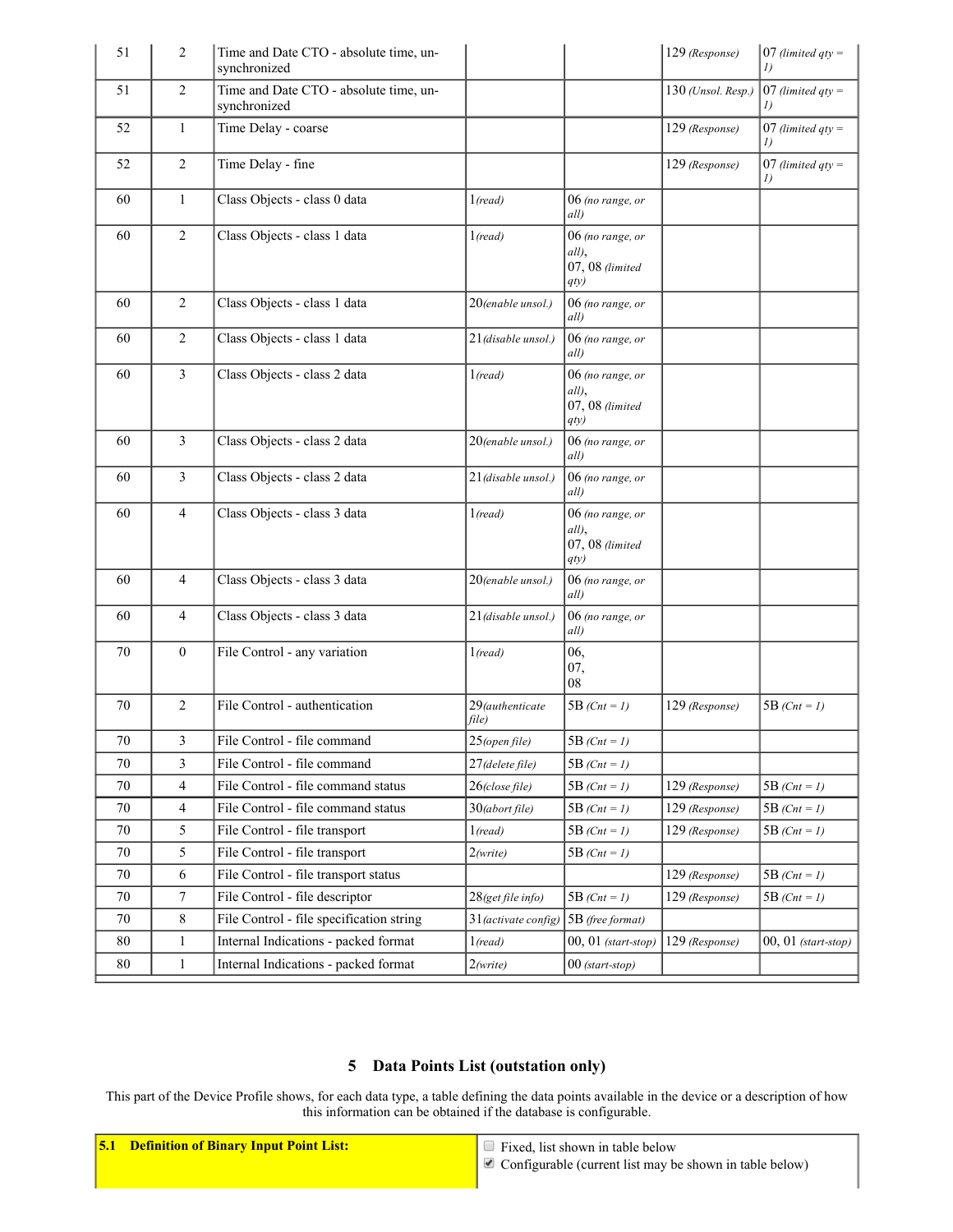| 51     | $\overline{2}$ | Time and Date CTO - absolute time, un-<br>synchronized |                          |                                                      | 129 (Response)     | 07 (limited $qty =$<br>$\mathcal{I}$ |
|--------|----------------|--------------------------------------------------------|--------------------------|------------------------------------------------------|--------------------|--------------------------------------|
| 51     | $\overline{2}$ | Time and Date CTO - absolute time, un-<br>synchronized |                          |                                                      | 130 (Unsol. Resp.) | 07 (limited $qty =$                  |
| 52     | $\mathbf{1}$   | Time Delay - coarse                                    |                          |                                                      | 129 (Response)     | 07 (limited $qty =$                  |
| 52     | 2              | Time Delay - fine                                      |                          |                                                      | 129 (Response)     | 07 (limited $qty =$<br>1)            |
| 60     | $\mathbf{1}$   | Class Objects - class 0 data                           | 1 (read)                 | 06 (no range, or<br>all)                             |                    |                                      |
| 60     | 2              | Class Objects - class 1 data                           | 1 (read)                 | 06 (no range, or<br>all),<br>07, 08 (limited<br>qty) |                    |                                      |
| 60     | $\overline{2}$ | Class Objects - class 1 data                           | 20(enable unsol.)        | 06 (no range, or<br>all)                             |                    |                                      |
| 60     | 2              | Class Objects - class 1 data                           | 21 (disable unsol.)      | 06 (no range, or<br>all)                             |                    |                                      |
| 60     | 3              | Class Objects - class 2 data                           | 1 (read)                 | 06 (no range, or<br>all),<br>07, 08 (limited<br>qty) |                    |                                      |
| 60     | 3              | Class Objects - class 2 data                           | 20(enable unsol.)        | 06 (no range, or<br>all)                             |                    |                                      |
| 60     | 3              | Class Objects - class 2 data                           | 21 (disable unsol.)      | 06 (no range, or<br>all)                             |                    |                                      |
| 60     | 4              | Class Objects - class 3 data                           | 1 (read)                 | 06 (no range, or<br>all),<br>07, 08 (limited<br>qty) |                    |                                      |
| 60     | 4              | Class Objects - class 3 data                           | 20(enable unsol.)        | 06 (no range, or<br>all)                             |                    |                                      |
| 60     | 4              | Class Objects - class 3 data                           | 21 (disable unsol.)      | 06 (no range, or<br>all)                             |                    |                                      |
| 70     | $\overline{0}$ | File Control - any variation                           | $1$ (read)               | 06,<br>07,<br>08                                     |                    |                                      |
| 70     | $\overline{2}$ | File Control - authentication                          | 29(authenticate<br>file) | 5B $(Cnt = 1)$                                       | 129 (Response)     | 5B $(Cnt = 1)$                       |
| $70\,$ | 3              | File Control - file command                            | $25$ (open file)         | 5B ( $Cnt = 1$ )                                     |                    |                                      |
| 70     | 3              | File Control - file command                            | 27 (delete file)         | 5B $(Cnt = 1)$                                       |                    |                                      |
| 70     | $\overline{4}$ | File Control - file command status                     | $26$ (close file)        | 5B $(Cnt = 1)$                                       | 129 (Response)     | 5B $(Cnt = 1)$                       |
| 70     | $\overline{4}$ | File Control - file command status                     | $30$ (abort file)        | 5B (Cnt = 1)                                         | 129 (Response)     | 5B $(Cnt = 1)$                       |
| 70     | 5              | File Control - file transport                          | 1( <i>read</i> )         | 5B ( $Cnt = 1$ )                                     | 129 (Response)     | 5B (Cnt = 1)                         |
| 70     | 5              | File Control - file transport                          | 2(write)                 | 5B (Cnt = 1)                                         |                    |                                      |
| 70     | 6              | File Control - file transport status                   |                          |                                                      | 129 (Response)     | 5B $(Cnt = 1)$                       |
| 70     | $\tau$         | File Control - file descriptor                         | 28(get file info)        | 5B (Cnt = 1)                                         | 129 (Response)     | 5B (Cnt = 1)                         |
| 70     | 8              | File Control - file specification string               | $31$ (activate config)   | 5B (free format)                                     |                    |                                      |
| $80\,$ | 1              | Internal Indications - packed format                   | 1( <i>read</i> )         | $00, 01$ (start-stop)                                | 129 (Response)     | $00, 01$ (start-stop)                |
| 80     | $\mathbf{1}$   | Internal Indications - packed format                   | 2(write)                 | $00$ (start-stop)                                    |                    |                                      |

## 5 Data Points List (outstation only)

This part of the Device Profile shows, for each data type, a table defining the data points available in the device or a description of how this information can be obtained if the database is configurable.

5.1 **Definition of Binary Input Point List:**  $\Box$  Fixed, list shown in table below

 $\bullet$  Configurable (current list may be shown in table below)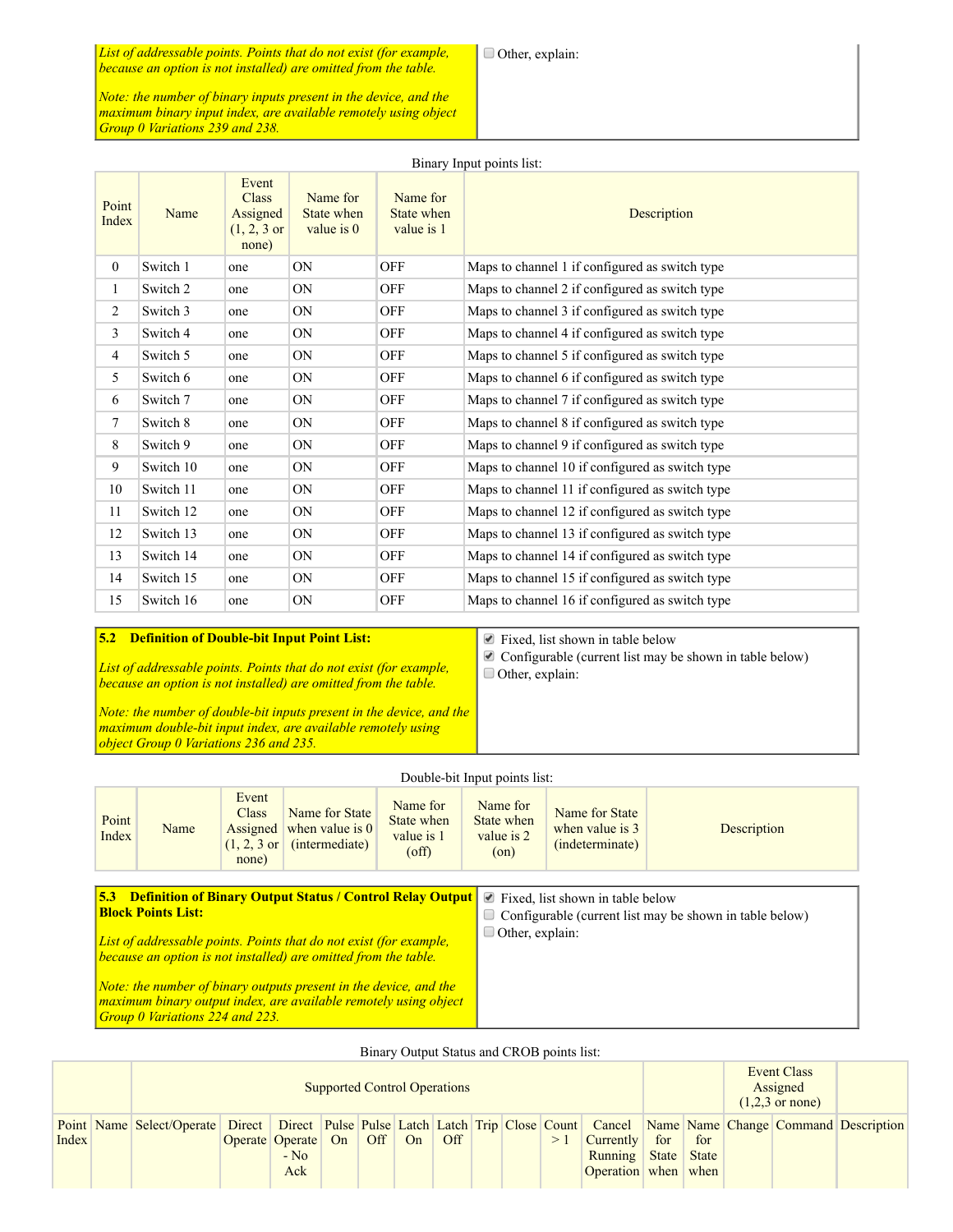*List of addressable points. Points that do not exist (for example, because an option is not installed) are omitted from the table.*

*Note: the number of binary inputs present in the device, and the maximum binary input index, are available remotely using object Group 0 Variations 239 and 238.*

| Point<br>Index | Name      | Event<br><b>Class</b><br>Assigned<br>$(1, 2, 3 \text{ or }$<br>none) | Name for<br>State when<br>value is $0$ | Name for<br>State when<br>value is 1 | Description                                     |
|----------------|-----------|----------------------------------------------------------------------|----------------------------------------|--------------------------------------|-------------------------------------------------|
| $\overline{0}$ | Switch 1  | one                                                                  | ON                                     | OFF                                  | Maps to channel 1 if configured as switch type  |
| $\mathbf{1}$   | Switch 2  | one                                                                  | ON                                     | OFF                                  | Maps to channel 2 if configured as switch type  |
| 2              | Switch 3  | one                                                                  | ON                                     | OFF                                  | Maps to channel 3 if configured as switch type  |
| 3              | Switch 4  | one                                                                  | ON                                     | OFF                                  | Maps to channel 4 if configured as switch type  |
| $\overline{4}$ | Switch 5  | one                                                                  | ON                                     | OFF                                  | Maps to channel 5 if configured as switch type  |
| 5              | Switch 6  | one                                                                  | ON                                     | OFF                                  | Maps to channel 6 if configured as switch type  |
| 6              | Switch 7  | one                                                                  | ON                                     | OFF                                  | Maps to channel 7 if configured as switch type  |
| $\tau$         | Switch 8  | one                                                                  | ON                                     | OFF                                  | Maps to channel 8 if configured as switch type  |
| 8              | Switch 9  | one                                                                  | ON                                     | OFF                                  | Maps to channel 9 if configured as switch type  |
| 9              | Switch 10 | one                                                                  | ON                                     | OFF                                  | Maps to channel 10 if configured as switch type |
| 10             | Switch 11 | one                                                                  | ON                                     | OFF                                  | Maps to channel 11 if configured as switch type |
| 11             | Switch 12 | one                                                                  | ON                                     | OFF                                  | Maps to channel 12 if configured as switch type |
| 12             | Switch 13 | one                                                                  | ON                                     | OFF                                  | Maps to channel 13 if configured as switch type |
| 13             | Switch 14 | one                                                                  | ON                                     | OFF                                  | Maps to channel 14 if configured as switch type |
| 14             | Switch 15 | one                                                                  | ON                                     | OFF                                  | Maps to channel 15 if configured as switch type |
| 15             | Switch 16 | one                                                                  | ON                                     | <b>OFF</b>                           | Maps to channel 16 if configured as switch type |

#### 5.2 Definition of Double-bit Input Point List: *List of addressable points. Points that do not exist (for example, because an option is not installed) are omitted from the table.* Other, explain:

Fixed, list shown in table below  $\blacktriangleright$  Configurable (current list may be shown in table below)

*Note: the number of double-bit inputs present in the device, and the maximum doublebit input index, are available remotely using object Group 0 Variations 236 and 235.*

| Point<br>Index | Name                                   | Event<br>Class<br>Assigned<br>$(1, 2, 3 \text{ or } 3)$<br>none) | Name for State<br>when value is $0$<br>(intermediate)                                                                                 | Name for<br>State when<br>value is 1<br>$\text{of } f$ | Name for<br>State when<br>value is 2<br>$($ on $)$ | Name for State<br>when value is 3<br>(indeterminate) | Description                                             |
|----------------|----------------------------------------|------------------------------------------------------------------|---------------------------------------------------------------------------------------------------------------------------------------|--------------------------------------------------------|----------------------------------------------------|------------------------------------------------------|---------------------------------------------------------|
| 5.3            | <b>Block Points List:</b>              |                                                                  | <b>Definition of Binary Output Status / Control Relay Output</b>                                                                      |                                                        | $\blacktriangleright$<br>$\Box$                    | Fixed, list shown in table below                     | Configurable (current list may be shown in table below) |
|                |                                        |                                                                  | List of addressable points. Points that do not exist (for example,<br>because an option is not installed) are omitted from the table. |                                                        | $\Box$ Other, explain:                             |                                                      |                                                         |
|                | <b>Group 0 Variations 224 and 223.</b> |                                                                  | Note: the number of binary outputs present in the device, and the<br>maximum binary output index, are available remotely using object |                                                        |                                                    |                                                      |                                                         |

Double-bit Input points list:

| Binary Output Status and CROB points list: |                                                                                                                              |                                                                                             |                                     |  |     |    |     |  |  |    |                                                                       |     |     |  |  |  |
|--------------------------------------------|------------------------------------------------------------------------------------------------------------------------------|---------------------------------------------------------------------------------------------|-------------------------------------|--|-----|----|-----|--|--|----|-----------------------------------------------------------------------|-----|-----|--|--|--|
|                                            |                                                                                                                              | Event Class<br>Assigned<br><b>Supported Control Operations</b><br>$(1,2,3 \text{ or none})$ |                                     |  |     |    |     |  |  |    |                                                                       |     |     |  |  |  |
| Index                                      | Point Name Select/Operate Direct Direct Pulse Pulse Latch Latch Trip Close Count Cancel Name Name Change Command Description |                                                                                             | Operate Operate On<br>$-$ No<br>Ack |  | Off | On | Off |  |  | >1 | <b>Currently</b><br><b>Running State State</b><br>Operation when when | for | for |  |  |  |

#### Binary Input points list: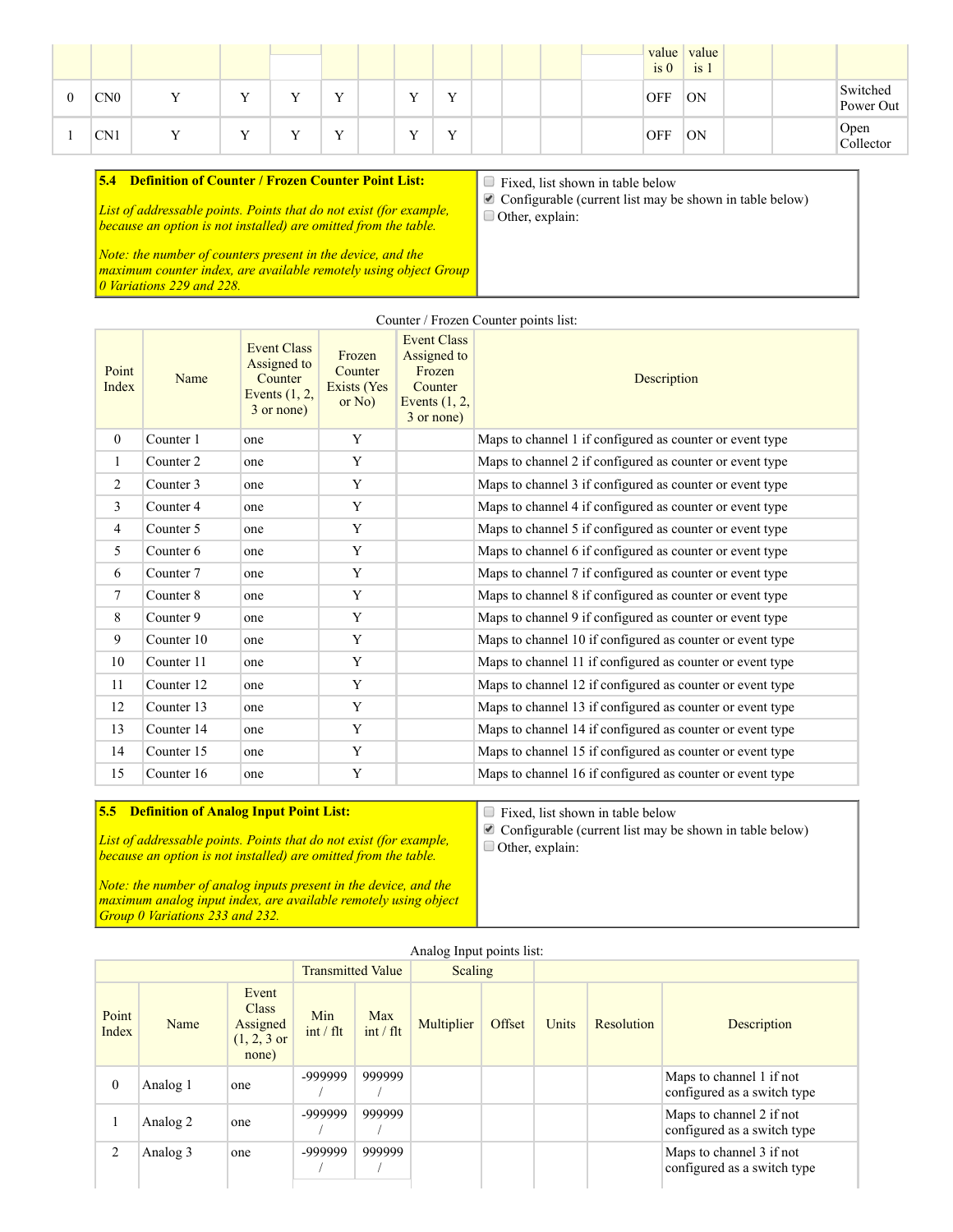|   |                 |              |  |              |  |  | is <sub>0</sub> | value value<br>is 1 |  |                       |
|---|-----------------|--------------|--|--------------|--|--|-----------------|---------------------|--|-----------------------|
| v | CN <sub>0</sub> | $\mathbf{r}$ |  | $\mathbf{v}$ |  |  | <b>OFF</b>      | <b>ON</b>           |  | Switched<br>Power Out |
|   | CN <sub>1</sub> |              |  | $\mathbf{v}$ |  |  | <b>OFF</b>      | <b>ON</b>           |  | Open<br>Collector     |

| <b>Definition of Counter / Frozen Counter Point List:</b><br>5.4                                                                                                | $\Box$ Fixed, list shown in table below                                                          |
|-----------------------------------------------------------------------------------------------------------------------------------------------------------------|--------------------------------------------------------------------------------------------------|
| List of addressable points. Points that do not exist (for example,<br>because an option is not installed) are omitted from the table.                           | $\blacksquare$ Configurable (current list may be shown in table below)<br>$\Box$ Other, explain: |
| Note: the number of counters present in the device, and the<br>  maximum counter index, are available remotely using object Group<br>10 Variations 229 and 228. |                                                                                                  |

| Counter / Frozen Counter points list: |            |                                                                               |                                              |                                                                                         |                                                           |  |  |  |  |  |
|---------------------------------------|------------|-------------------------------------------------------------------------------|----------------------------------------------|-----------------------------------------------------------------------------------------|-----------------------------------------------------------|--|--|--|--|--|
| Point<br>Index                        | Name       | <b>Event Class</b><br>Assigned to<br>Counter<br>Events $(1, 2,$<br>3 or none) | Frozen<br>Counter<br>Exists (Yes<br>or $No)$ | <b>Event Class</b><br>Assigned to<br>Frozen<br>Counter<br>Events $(1, 2,$<br>3 or none) | Description                                               |  |  |  |  |  |
| $\mathbf{0}$                          | Counter 1  | one                                                                           | Y                                            |                                                                                         | Maps to channel 1 if configured as counter or event type  |  |  |  |  |  |
| $\mathbf{1}$                          | Counter 2  | one                                                                           | Y                                            |                                                                                         | Maps to channel 2 if configured as counter or event type  |  |  |  |  |  |
| $\overline{c}$                        | Counter 3  | one                                                                           | Y                                            |                                                                                         | Maps to channel 3 if configured as counter or event type  |  |  |  |  |  |
| 3                                     | Counter 4  | one                                                                           | Y                                            |                                                                                         | Maps to channel 4 if configured as counter or event type  |  |  |  |  |  |
| $\overline{4}$                        | Counter 5  | one                                                                           | Y                                            |                                                                                         | Maps to channel 5 if configured as counter or event type  |  |  |  |  |  |
| 5                                     | Counter 6  | one                                                                           | Y                                            |                                                                                         | Maps to channel 6 if configured as counter or event type  |  |  |  |  |  |
| 6                                     | Counter 7  | one                                                                           | Y                                            |                                                                                         | Maps to channel 7 if configured as counter or event type  |  |  |  |  |  |
| $\tau$                                | Counter 8  | one                                                                           | Y                                            |                                                                                         | Maps to channel 8 if configured as counter or event type  |  |  |  |  |  |
| 8                                     | Counter 9  | one                                                                           | Y                                            |                                                                                         | Maps to channel 9 if configured as counter or event type  |  |  |  |  |  |
| 9                                     | Counter 10 | one                                                                           | Y                                            |                                                                                         | Maps to channel 10 if configured as counter or event type |  |  |  |  |  |
| 10                                    | Counter 11 | one                                                                           | Y                                            |                                                                                         | Maps to channel 11 if configured as counter or event type |  |  |  |  |  |
| 11                                    | Counter 12 | one                                                                           | Y                                            |                                                                                         | Maps to channel 12 if configured as counter or event type |  |  |  |  |  |
| 12                                    | Counter 13 | one                                                                           | Y                                            |                                                                                         | Maps to channel 13 if configured as counter or event type |  |  |  |  |  |
| 13                                    | Counter 14 | one                                                                           | Y                                            |                                                                                         | Maps to channel 14 if configured as counter or event type |  |  |  |  |  |
| 14                                    | Counter 15 | one                                                                           | Y                                            |                                                                                         | Maps to channel 15 if configured as counter or event type |  |  |  |  |  |
| 15                                    | Counter 16 | one                                                                           | Y                                            |                                                                                         | Maps to channel 16 if configured as counter or event type |  |  |  |  |  |

| <b>5.5 Definition of Analog Input Point List:</b>                                                                                            | Fixed, list shown in table below                                                              |
|----------------------------------------------------------------------------------------------------------------------------------------------|-----------------------------------------------------------------------------------------------|
| <i>List of addressable points. Points that do not exist (for example,</i><br>because an option is not installed) are omitted from the table. | $\triangle$ Configurable (current list may be shown in table below)<br>$\Box$ Other, explain: |
| Note: the number of analog inputs present in the device, and the<br>maximum analog input index, are available remotely using object          |                                                                                               |

*Group 0 Variations 233 and 232.*

|                |          |                                                                      |                     |                     | Analog Input points list: |  |       |            |                                                         |
|----------------|----------|----------------------------------------------------------------------|---------------------|---------------------|---------------------------|--|-------|------------|---------------------------------------------------------|
|                |          | <b>Transmitted Value</b>                                             |                     | Scaling             |                           |  |       |            |                                                         |
| Point<br>Index | Name     | Event<br><b>Class</b><br>Assigned<br>$(1, 2, 3 \text{ or }$<br>none) | Min<br>$int / f$ It | Max<br>$int / f$ lt | Offset<br>Multiplier      |  | Units | Resolution | Description                                             |
| $\mathbf{0}$   | Analog 1 | one                                                                  | -999999             | 999999              |                           |  |       |            | Maps to channel 1 if not<br>configured as a switch type |
|                | Analog 2 | one                                                                  | -999999             | 999999              |                           |  |       |            | Maps to channel 2 if not<br>configured as a switch type |
| 2              | Analog 3 | one                                                                  | -999999             | 999999              |                           |  |       |            | Maps to channel 3 if not<br>configured as a switch type |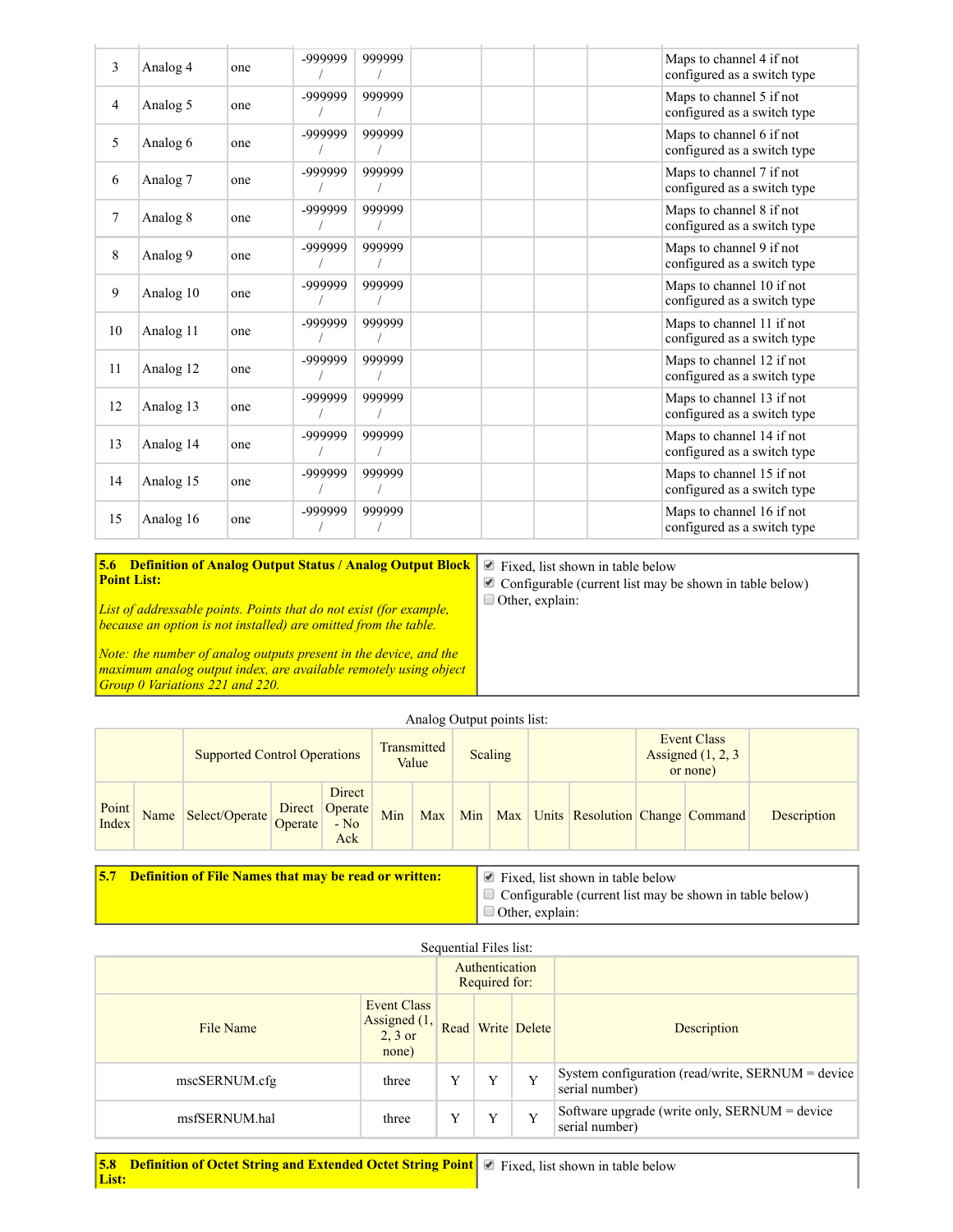| 3              | Analog 4            | one | -999999 | 999999 | Maps to channel 4 if not<br>configured as a switch type  |
|----------------|---------------------|-----|---------|--------|----------------------------------------------------------|
| $\overline{4}$ | Analog 5            | one | -999999 | 999999 | Maps to channel 5 if not<br>configured as a switch type  |
| 5              | Analog 6            | one | -999999 | 999999 | Maps to channel 6 if not<br>configured as a switch type  |
| 6              | Analog <sub>7</sub> | one | -999999 | 999999 | Maps to channel 7 if not<br>configured as a switch type  |
| $\tau$         | Analog 8            | one | -999999 | 999999 | Maps to channel 8 if not<br>configured as a switch type  |
| 8              | Analog 9            | one | -999999 | 999999 | Maps to channel 9 if not<br>configured as a switch type  |
| 9              | Analog 10           | one | -999999 | 999999 | Maps to channel 10 if not<br>configured as a switch type |
| 10             | Analog 11           | one | -999999 | 999999 | Maps to channel 11 if not<br>configured as a switch type |
| 11             | Analog 12           | one | -999999 | 999999 | Maps to channel 12 if not<br>configured as a switch type |
| 12             | Analog 13           | one | -999999 | 999999 | Maps to channel 13 if not<br>configured as a switch type |
| 13             | Analog 14           | one | -999999 | 999999 | Maps to channel 14 if not<br>configured as a switch type |
| 14             | Analog 15           | one | -999999 | 999999 | Maps to channel 15 if not<br>configured as a switch type |
| 15             | Analog 16           | one | -999999 | 999999 | Maps to channel 16 if not<br>configured as a switch type |

5.6 Definition of Analog Output Status / Analog Output Block Point List: *List of addressable points. Points that do not exist (for example, because an option is not installed) are omitted from the table.* ■ Fixed, list shown in table below  $\triangle$  Configurable (current list may be shown in table below) Other, explain:

*Note: the number of analog outputs present in the device, and the maximum analog output index, are available remotely using object Group 0 Variations 221 and 220.*

Analog Output points list:

|                |      | <b>Supported Control Operations</b> |  |               | Transmitted<br>Value |     | Scaling |  |  |                                         | Event Class<br>Assigned $(1, 2, 3)$<br>or none) |  |             |
|----------------|------|-------------------------------------|--|---------------|----------------------|-----|---------|--|--|-----------------------------------------|-------------------------------------------------|--|-------------|
| Point<br>Index | Name | Select/Operate Direct Operate - No  |  | Direct<br>Ack | Min                  | Max |         |  |  | Min Max Units Resolution Change Command |                                                 |  | Description |

**5.7 Definition of File Names that may be read or written:**  $\bullet$  Fixed, list shown in table below  $\Box$  Configurable (current list may be shown in table below) Other, explain:

| Sequential Files list:                                                |       |                                 |   |                   |                                                                     |  |  |  |  |
|-----------------------------------------------------------------------|-------|---------------------------------|---|-------------------|---------------------------------------------------------------------|--|--|--|--|
|                                                                       |       | Authentication<br>Required for: |   |                   |                                                                     |  |  |  |  |
| <b>Event Class</b><br>Assigned (1,<br>File Name<br>$2, 3$ or<br>none) |       |                                 |   | Read Write Delete | Description                                                         |  |  |  |  |
| mscSERNUM.cfg                                                         | three |                                 | Y | Y                 | System configuration (read/write, SERNUM = device<br>serial number) |  |  |  |  |
| msfSERNUM.hal                                                         | three |                                 | Y | Y                 | Software upgrade (write only, SERNUM $=$ device<br>serial number)   |  |  |  |  |